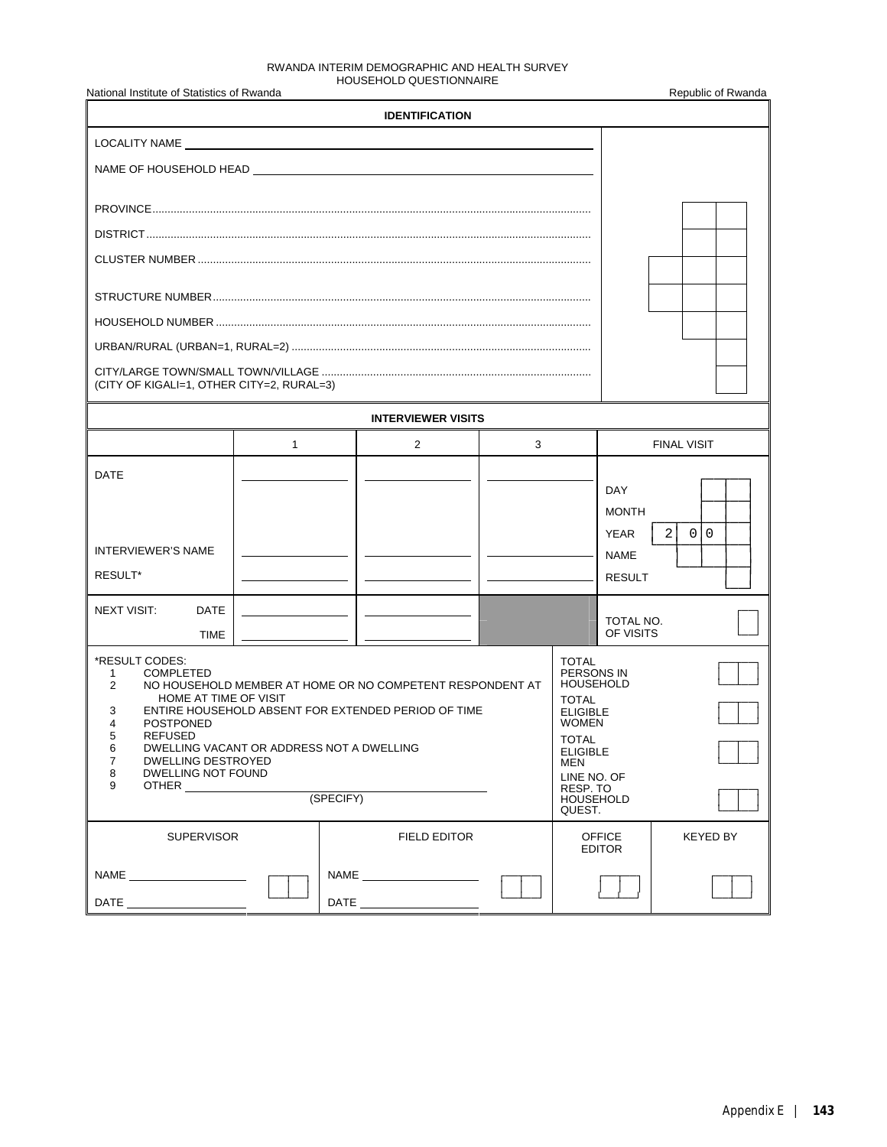#### RWANDA INTERIM DEMOGRAPHIC AND HEALTH SURVEY HOUSEHOLD QUESTIONNAIRE

| National Institute of Statistics of Rwanda                                                                                                                                                                                                                           |              |           |                                                                                                                  |   |                                                                                                                                                                                                      |                                             | Republic of Rwanda    |  |  |  |
|----------------------------------------------------------------------------------------------------------------------------------------------------------------------------------------------------------------------------------------------------------------------|--------------|-----------|------------------------------------------------------------------------------------------------------------------|---|------------------------------------------------------------------------------------------------------------------------------------------------------------------------------------------------------|---------------------------------------------|-----------------------|--|--|--|
|                                                                                                                                                                                                                                                                      |              |           | <b>IDENTIFICATION</b>                                                                                            |   |                                                                                                                                                                                                      |                                             |                       |  |  |  |
|                                                                                                                                                                                                                                                                      |              |           |                                                                                                                  |   |                                                                                                                                                                                                      |                                             |                       |  |  |  |
| NAME OF HOUSEHOLD HEAD NAME OF THE STATE OF THE STATE OF THE STATE OF THE STATE OF THE STATE OF THE STATE OF THE STATE OF THE STATE OF THE STATE OF THE STATE OF THE STATE OF THE STATE OF THE STATE OF THE STATE OF THE STATE                                       |              |           |                                                                                                                  |   |                                                                                                                                                                                                      |                                             |                       |  |  |  |
|                                                                                                                                                                                                                                                                      |              |           |                                                                                                                  |   |                                                                                                                                                                                                      |                                             |                       |  |  |  |
|                                                                                                                                                                                                                                                                      |              |           |                                                                                                                  |   |                                                                                                                                                                                                      |                                             |                       |  |  |  |
|                                                                                                                                                                                                                                                                      |              |           |                                                                                                                  |   |                                                                                                                                                                                                      |                                             |                       |  |  |  |
|                                                                                                                                                                                                                                                                      |              |           |                                                                                                                  |   |                                                                                                                                                                                                      |                                             |                       |  |  |  |
|                                                                                                                                                                                                                                                                      |              |           |                                                                                                                  |   |                                                                                                                                                                                                      |                                             |                       |  |  |  |
|                                                                                                                                                                                                                                                                      |              |           |                                                                                                                  |   |                                                                                                                                                                                                      |                                             |                       |  |  |  |
|                                                                                                                                                                                                                                                                      |              |           |                                                                                                                  |   |                                                                                                                                                                                                      |                                             |                       |  |  |  |
| (CITY OF KIGALI=1, OTHER CITY=2, RURAL=3)                                                                                                                                                                                                                            |              |           |                                                                                                                  |   |                                                                                                                                                                                                      |                                             |                       |  |  |  |
|                                                                                                                                                                                                                                                                      |              |           | <b>INTERVIEWER VISITS</b>                                                                                        |   |                                                                                                                                                                                                      |                                             |                       |  |  |  |
|                                                                                                                                                                                                                                                                      | $\mathbf{1}$ |           | $\overline{2}$                                                                                                   | 3 |                                                                                                                                                                                                      |                                             | <b>FINAL VISIT</b>    |  |  |  |
| DATE                                                                                                                                                                                                                                                                 |              |           |                                                                                                                  |   |                                                                                                                                                                                                      | <b>DAY</b><br><b>MONTH</b>                  |                       |  |  |  |
| <b>INTERVIEWER'S NAME</b><br>RESULT*                                                                                                                                                                                                                                 |              |           |                                                                                                                  |   |                                                                                                                                                                                                      | <b>YEAR</b><br><b>NAME</b><br><b>RESULT</b> | 2<br>$\mathbf 0$<br>0 |  |  |  |
| <b>NEXT VISIT:</b><br><b>DATE</b>                                                                                                                                                                                                                                    |              |           |                                                                                                                  |   |                                                                                                                                                                                                      | TOTAL NO.<br>OF VISITS                      |                       |  |  |  |
|                                                                                                                                                                                                                                                                      | <b>TIME</b>  |           |                                                                                                                  |   |                                                                                                                                                                                                      |                                             |                       |  |  |  |
| *RESULT CODES:<br><b>COMPLETED</b><br>1<br>2<br>HOME AT TIME OF VISIT<br>3<br>4<br><b>POSTPONED</b><br>REFUSED<br>5<br>DWELLING VACANT OR ADDRESS NOT A DWELLING<br>6<br>$\overline{7}$<br><b>DWELLING DESTROYED</b><br>8<br>DWELLING NOT FOUND<br>9<br><b>OTHER</b> |              | (SPECIFY) | NO HOUSEHOLD MEMBER AT HOME OR NO COMPETENT RESPONDENT AT<br>ENTIRE HOUSEHOLD ABSENT FOR EXTENDED PERIOD OF TIME |   | <b>TOTAL</b><br>PERSONS IN<br><b>HOUSEHOLD</b><br><b>TOTAL</b><br><b>ELIGIBLE</b><br><b>WOMEN</b><br><b>TOTAL</b><br><b>ELIGIBLE</b><br>MEN<br>LINE NO. OF<br>RESP. TO<br><b>HOUSEHOLD</b><br>QUEST. |                                             |                       |  |  |  |
| <b>SUPERVISOR</b>                                                                                                                                                                                                                                                    |              |           | <b>FIELD EDITOR</b>                                                                                              |   |                                                                                                                                                                                                      | <b>OFFICE</b><br><b>EDITOR</b>              | KEYED BY              |  |  |  |
|                                                                                                                                                                                                                                                                      |              |           | NAME _________________________                                                                                   |   |                                                                                                                                                                                                      |                                             |                       |  |  |  |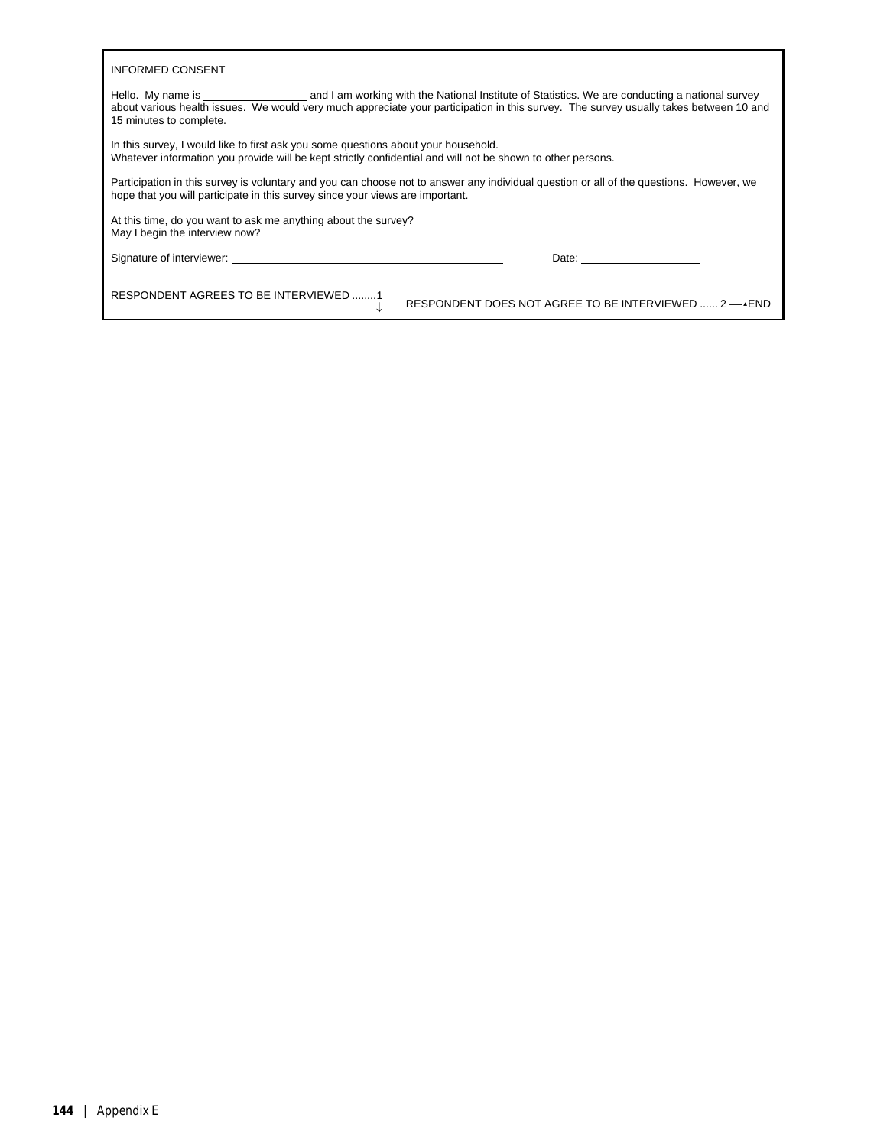| <b>INFORMED CONSENT</b>                                                                                                                                                                                                                                                                                                                                                                                                                                          |
|------------------------------------------------------------------------------------------------------------------------------------------------------------------------------------------------------------------------------------------------------------------------------------------------------------------------------------------------------------------------------------------------------------------------------------------------------------------|
| Hello. My name is service that is and I am working with the National Institute of Statistics. We are conducting a national survey<br>about various health issues. We would very much appreciate your participation in this survey. The survey usually takes between 10 and<br>15 minutes to complete.                                                                                                                                                            |
| In this survey, I would like to first ask you some questions about your household.<br>Whatever information you provide will be kept strictly confidential and will not be shown to other persons.                                                                                                                                                                                                                                                                |
| Participation in this survey is voluntary and you can choose not to answer any individual question or all of the questions. However, we<br>hope that you will participate in this survey since your views are important.                                                                                                                                                                                                                                         |
| At this time, do you want to ask me anything about the survey?<br>May I begin the interview now?                                                                                                                                                                                                                                                                                                                                                                 |
| Signature of interviewer: example and the state of the state of the state of the state of the state of the state of the state of the state of the state of the state of the state of the state of the state of the state of th<br>Date: the contract of the contract of the contract of the contract of the contract of the contract of the contract of the contract of the contract of the contract of the contract of the contract of the contract of the cont |
| RESPONDENT AGREES TO BE INTERVIEWED 1<br>RESPONDENT DOES NOT AGREE TO BE INTERVIEWED  2 - AEND                                                                                                                                                                                                                                                                                                                                                                   |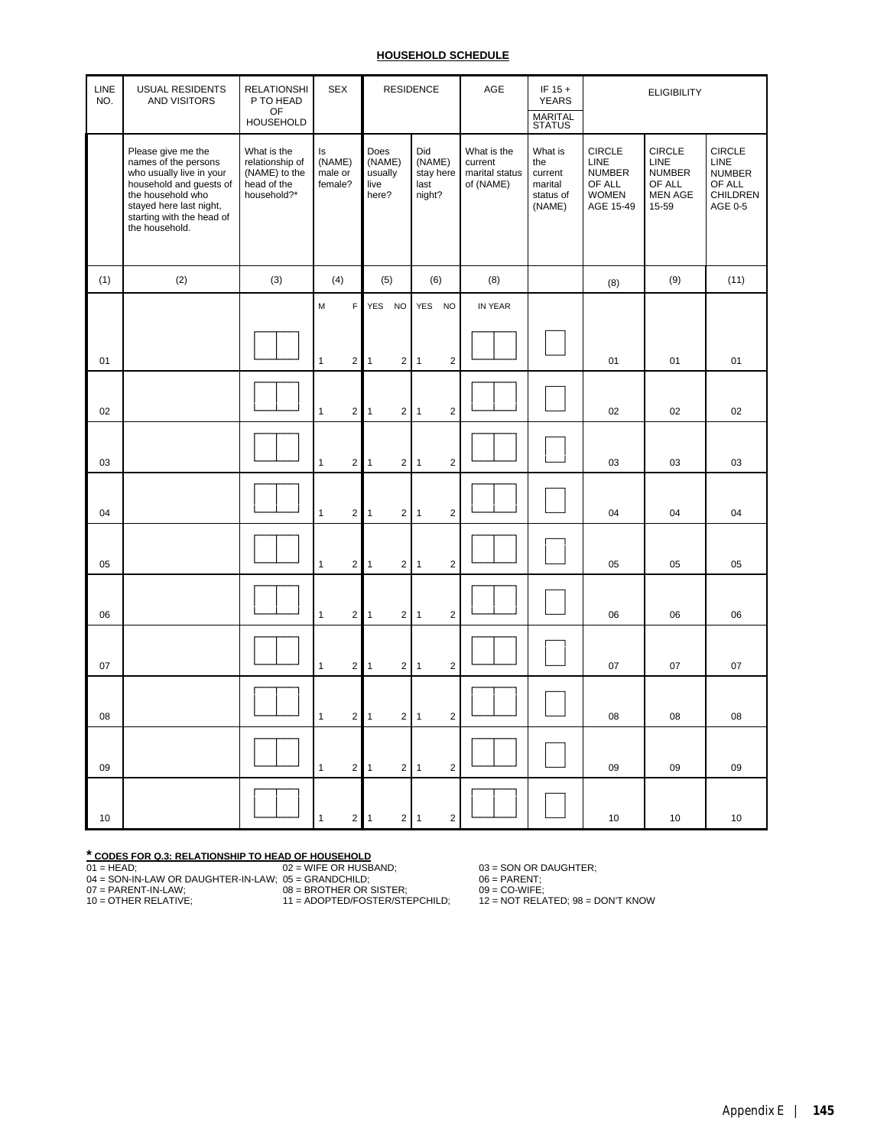# **HOUSEHOLD SCHEDULE**

| LINE<br>NO. | USUAL RESIDENTS<br><b>AND VISITORS</b>                                                                                                                                                           | <b>RELATIONSHI</b><br>P TO HEAD<br>OF<br><b>HOUSEHOLD</b>                     | <b>SEX</b>                         |                |                                            | <b>RESIDENCE</b>        |                                 |                | AGE                                                   | IF $15 +$<br><b>YEARS</b><br><b>MARITAL</b><br>STATUS       | <b>ELIGIBILITY</b>                                                            |                                                                             |                                                                                |
|-------------|--------------------------------------------------------------------------------------------------------------------------------------------------------------------------------------------------|-------------------------------------------------------------------------------|------------------------------------|----------------|--------------------------------------------|-------------------------|---------------------------------|----------------|-------------------------------------------------------|-------------------------------------------------------------|-------------------------------------------------------------------------------|-----------------------------------------------------------------------------|--------------------------------------------------------------------------------|
|             | Please give me the<br>names of the persons<br>who usually live in your<br>household and guests of<br>the household who<br>stayed here last night,<br>starting with the head of<br>the household. | What is the<br>relationship of<br>(NAME) to the<br>head of the<br>household?* | Is<br>(NAME)<br>male or<br>female? |                | Does<br>(NAME)<br>usually<br>live<br>here? |                         | Did<br>(NAME)<br>last<br>night? | stay here      | What is the<br>current<br>marital status<br>of (NAME) | What is<br>the<br>current<br>marital<br>status of<br>(NAME) | <b>CIRCLE</b><br>LINE<br><b>NUMBER</b><br>OF ALL<br><b>WOMEN</b><br>AGE 15-49 | <b>CIRCLE</b><br>LINE<br><b>NUMBER</b><br>OF ALL<br><b>MEN AGE</b><br>15-59 | <b>CIRCLE</b><br>LINE<br><b>NUMBER</b><br>OF ALL<br><b>CHILDREN</b><br>AGE 0-5 |
| (1)         | (2)                                                                                                                                                                                              | (3)                                                                           | (4)                                |                | (5)                                        |                         |                                 | (6)            | (8)                                                   |                                                             | (8)                                                                           | (9)                                                                         | (11)                                                                           |
|             |                                                                                                                                                                                                  |                                                                               | M                                  | F              | YES NO                                     |                         |                                 | YES NO         | IN YEAR                                               |                                                             |                                                                               |                                                                             |                                                                                |
| 01          |                                                                                                                                                                                                  |                                                                               | $\mathbf{1}$                       | $\overline{2}$ | $\mathbf{1}$                               | $\sqrt{2}$              | $\mathbf{1}$                    | $\overline{2}$ |                                                       |                                                             | 01                                                                            | 01                                                                          | 01                                                                             |
| 02          |                                                                                                                                                                                                  |                                                                               | $\mathbf{1}$                       | $\overline{2}$ | $\overline{1}$                             | $\mathbf 2$             | $\mathbf{1}$                    | $\overline{2}$ |                                                       |                                                             | 02                                                                            | 02                                                                          | 02                                                                             |
| 03          |                                                                                                                                                                                                  |                                                                               | $\mathbf{1}$                       | $\overline{c}$ | $\mathbf{1}$                               | $\sqrt{2}$              | 1                               | $\overline{2}$ |                                                       |                                                             | 03                                                                            | 03                                                                          | 03                                                                             |
| 04          |                                                                                                                                                                                                  |                                                                               | $\mathbf{1}$                       | $\overline{2}$ | $\mathbf{1}$                               | $\sqrt{2}$              | $\mathbf{1}$                    | $\overline{2}$ |                                                       |                                                             | 04                                                                            | 04                                                                          | 04                                                                             |
| 05          |                                                                                                                                                                                                  |                                                                               | $\mathbf{1}$                       | $\overline{2}$ | $\mathbf{1}$                               | $\overline{\mathbf{c}}$ | $\mathbf{1}$                    | 2              |                                                       |                                                             | 05                                                                            | 05                                                                          | 05                                                                             |
| 06          |                                                                                                                                                                                                  |                                                                               | $\mathbf{1}$                       | 2 <sup>1</sup> | $\mathbf{1}$                               | $\sqrt{2}$              | $\mathbf{1}$                    | $\overline{2}$ |                                                       |                                                             | 06                                                                            | 06                                                                          | 06                                                                             |
| 07          |                                                                                                                                                                                                  |                                                                               | $\mathbf{1}$                       | 2 <sup>1</sup> | $\mathbf{1}$                               | $\overline{2}$          | $\mathbf{1}$                    | $\overline{2}$ |                                                       |                                                             | 07                                                                            | 07                                                                          | 07                                                                             |
| 08          |                                                                                                                                                                                                  |                                                                               | $\overline{2}$<br>$\mathbf{1}$     |                | $\mathbf{1}$                               | $\sqrt{2}$              | $\mathbf{1}$                    | $\overline{2}$ |                                                       |                                                             | 08                                                                            | 08                                                                          | 08                                                                             |
| 09          |                                                                                                                                                                                                  |                                                                               | $\mathbf{1}$                       | $\overline{2}$ | $\mathbf{1}$                               | $\sqrt{2}$              | $\mathbf{1}$                    | $\overline{2}$ |                                                       |                                                             | 09                                                                            | 09                                                                          | 09                                                                             |
| 10          |                                                                                                                                                                                                  |                                                                               | $\mathbf{1}$                       | $\overline{2}$ | $\overline{1}$                             | 2 1                     |                                 | $\overline{c}$ |                                                       |                                                             | 10                                                                            | 10                                                                          | 10                                                                             |

**\* CODES FOR Q.3: RELATIONSHIP TO HEAD OF HOUSEHOLD** 01 = HEAD; 02 = WIFE OR HUSBAND; 03 = SON OR DAUGHTER; 04 = SON-IN-LAW OR DAUGHTER-IN-LAW; 05 = GRANDCHILD; 06 = PARENT; 07 = PARENT-IN-LAW; 08 = BROTHER OR SISTER; 09 = CO-WIFE; 10 = OTHER RELATIVE; 11 = ADOPTED/FOSTER/STEPCHILD; 12 = NOT RELATED; 98 = DON'T KNOW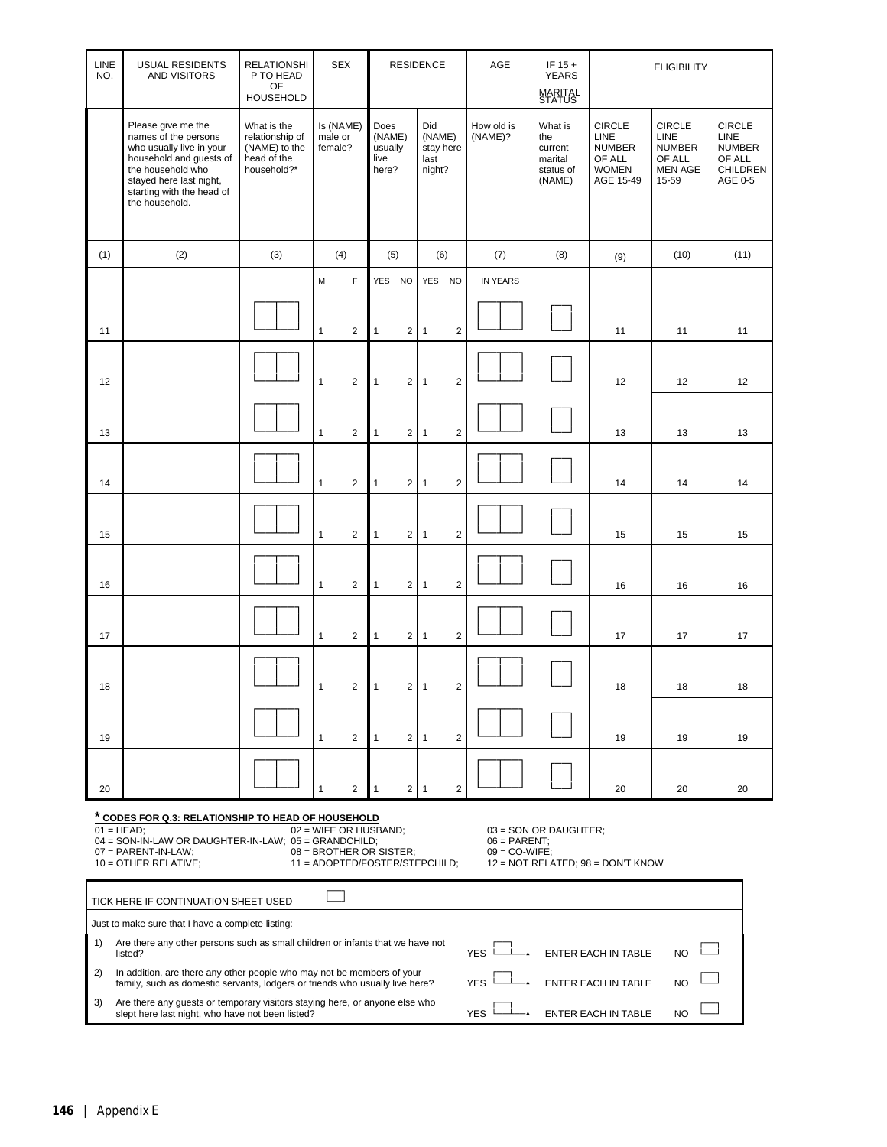| LINE<br>NO. | <b>USUAL RESIDENTS</b><br><b>AND VISITORS</b>                                                                                                                                                                                                                                                                                                                                         | <b>RELATIONSHI</b><br>P TO HEAD<br>OF<br><b>HOUSEHOLD</b>                     | <b>SEX</b>                      |                                            |                | <b>RESIDENCE</b>                             |                | AGE                   | IF $15 +$<br><b>YEARS</b><br><b>MARITAL</b><br>STATUS       |                                                                               | <b>ELIGIBILITY</b>                                                          |                                                                                       |  |  |  |
|-------------|---------------------------------------------------------------------------------------------------------------------------------------------------------------------------------------------------------------------------------------------------------------------------------------------------------------------------------------------------------------------------------------|-------------------------------------------------------------------------------|---------------------------------|--------------------------------------------|----------------|----------------------------------------------|----------------|-----------------------|-------------------------------------------------------------|-------------------------------------------------------------------------------|-----------------------------------------------------------------------------|---------------------------------------------------------------------------------------|--|--|--|
|             | Please give me the<br>names of the persons<br>who usually live in your<br>household and guests of<br>the household who<br>stayed here last night,<br>starting with the head of<br>the household.                                                                                                                                                                                      | What is the<br>relationship of<br>(NAME) to the<br>head of the<br>household?* | Is (NAME)<br>male or<br>female? | Does<br>(NAME)<br>usually<br>live<br>here? |                | Did<br>(NAME)<br>stay here<br>last<br>night? |                | How old is<br>(NAME)? | What is<br>the<br>current<br>marital<br>status of<br>(NAME) | <b>CIRCLE</b><br>LINE<br><b>NUMBER</b><br>OF ALL<br><b>WOMEN</b><br>AGE 15-49 | <b>CIRCLE</b><br>LINE<br><b>NUMBER</b><br>OF ALL<br><b>MEN AGE</b><br>15-59 | <b>CIRCLE</b><br><b>LINE</b><br><b>NUMBER</b><br>OF ALL<br><b>CHILDREN</b><br>AGE 0-5 |  |  |  |
| (1)         | (2)                                                                                                                                                                                                                                                                                                                                                                                   | (3)                                                                           | (4)                             | (5)                                        |                | (6)                                          |                | (7)                   | (8)                                                         | (9)                                                                           | (10)                                                                        | (11)                                                                                  |  |  |  |
|             |                                                                                                                                                                                                                                                                                                                                                                                       |                                                                               | F<br>M                          | YES NO                                     |                | YES NO                                       |                | IN YEARS              |                                                             |                                                                               |                                                                             |                                                                                       |  |  |  |
| 11          |                                                                                                                                                                                                                                                                                                                                                                                       |                                                                               | $\mathbf{1}$<br>2               | $\mathbf{1}$                               | $\overline{2}$ | $\mathbf{1}$                                 | $\overline{2}$ |                       |                                                             | 11                                                                            | 11                                                                          | 11                                                                                    |  |  |  |
| 12          |                                                                                                                                                                                                                                                                                                                                                                                       |                                                                               | $\overline{2}$<br>$\mathbf{1}$  | $\mathbf{1}$                               | $\overline{2}$ | $\mathbf{1}$                                 | $\overline{2}$ |                       |                                                             | 12                                                                            | 12                                                                          | 12                                                                                    |  |  |  |
| 13          |                                                                                                                                                                                                                                                                                                                                                                                       |                                                                               | $\overline{2}$<br>$\mathbf{1}$  | $\mathbf{1}$                               | $\overline{2}$ | $\overline{1}$                               | $\overline{2}$ |                       |                                                             | 13                                                                            | 13                                                                          | 13                                                                                    |  |  |  |
| 14          |                                                                                                                                                                                                                                                                                                                                                                                       |                                                                               | $\overline{2}$<br>$\mathbf{1}$  | $\mathbf{1}$                               | $\overline{2}$ | $\overline{1}$                               | $\overline{2}$ |                       |                                                             | 14                                                                            | 14                                                                          | 14                                                                                    |  |  |  |
| 15          |                                                                                                                                                                                                                                                                                                                                                                                       |                                                                               | $\overline{2}$<br>$\mathbf{1}$  | $\mathbf{1}$                               | $\overline{2}$ | $\mathbf{1}$                                 | $\overline{2}$ |                       |                                                             | 15                                                                            | 15                                                                          | 15                                                                                    |  |  |  |
| 16          | $\overline{2}$<br>$\overline{2}$<br>$\mathbf{1}$<br>$\overline{2}$<br>$\mathbf{1}$<br>$\mathbf{1}$<br>16<br>16<br>16                                                                                                                                                                                                                                                                  |                                                                               |                                 |                                            |                |                                              |                |                       |                                                             |                                                                               |                                                                             |                                                                                       |  |  |  |
| 17          | $\overline{2}$<br>$\overline{2}$<br>$\overline{1}$<br>$\overline{2}$<br>17<br>$\mathbf{1}$<br>$\mathbf{1}$<br>17<br>17                                                                                                                                                                                                                                                                |                                                                               |                                 |                                            |                |                                              |                |                       |                                                             |                                                                               |                                                                             |                                                                                       |  |  |  |
| 18          |                                                                                                                                                                                                                                                                                                                                                                                       |                                                                               | 2<br>1                          | 1                                          | 2 <sup>1</sup> | $\overline{1}$                               | $\overline{c}$ |                       |                                                             | 18                                                                            | 18                                                                          | 18                                                                                    |  |  |  |
| 19          |                                                                                                                                                                                                                                                                                                                                                                                       |                                                                               | $\mathbf{1}$<br>2               | $\mathbf{1}$                               | $\overline{2}$ | $\overline{1}$                               | $\overline{2}$ |                       |                                                             | 19                                                                            | 19                                                                          | 19                                                                                    |  |  |  |
| 20          |                                                                                                                                                                                                                                                                                                                                                                                       |                                                                               | 2                               |                                            | $\overline{2}$ | $\overline{1}$                               | $\overline{2}$ |                       |                                                             | 20                                                                            | 20                                                                          | 20                                                                                    |  |  |  |
|             | * CODES FOR Q.3: RELATIONSHIP TO HEAD OF HOUSEHOLD<br>$01 = HEAD$ ;<br>02 = WIFE OR HUSBAND;<br>03 = SON OR DAUGHTER;<br>04 = SON-IN-LAW OR DAUGHTER-IN-LAW; 05 = GRANDCHILD;<br>$06 = PARENT$<br>$07 = PARENT-IN-LAW;$<br>08 = BROTHER OR SISTER;<br>$09 = CO-WIFE$ ;<br>10 = OTHER RELATIVE:<br>11 = ADOPTED/FOSTER/STEPCHILD;<br>$12 = NOT RELATED$ ; $98 = DON$ <sup>T</sup> KNOW |                                                                               |                                 |                                            |                |                                              |                |                       |                                                             |                                                                               |                                                                             |                                                                                       |  |  |  |
|             | TICK HERE IF CONTINUATION SHEET USED                                                                                                                                                                                                                                                                                                                                                  |                                                                               |                                 |                                            |                |                                              |                |                       |                                                             |                                                                               |                                                                             |                                                                                       |  |  |  |
|             | Just to make sure that I have a complete listing:                                                                                                                                                                                                                                                                                                                                     |                                                                               |                                 |                                            |                |                                              |                |                       |                                                             |                                                                               |                                                                             |                                                                                       |  |  |  |
| 1)          | Are there any other persons such as small children or infants that we have not<br>listed?                                                                                                                                                                                                                                                                                             |                                                                               |                                 |                                            |                |                                              |                | <b>YES</b>            |                                                             | ENTER EACH IN TABLE                                                           | N <sub>O</sub>                                                              |                                                                                       |  |  |  |
| 2)          | In addition, are there any other people who may not be members of your<br>family, such as domestic servants, lodgers or friends who usually live here?                                                                                                                                                                                                                                |                                                                               |                                 |                                            |                |                                              |                | <b>YES</b>            |                                                             | ENTER EACH IN TABLE                                                           | NO                                                                          |                                                                                       |  |  |  |
| 3)          | Are there any guests or temporary visitors staying here, or anyone else who<br>slept here last night, who have not been listed?                                                                                                                                                                                                                                                       |                                                                               |                                 |                                            |                |                                              |                | <b>YES</b>            |                                                             | ENTER EACH IN TABLE                                                           | N <sub>O</sub>                                                              |                                                                                       |  |  |  |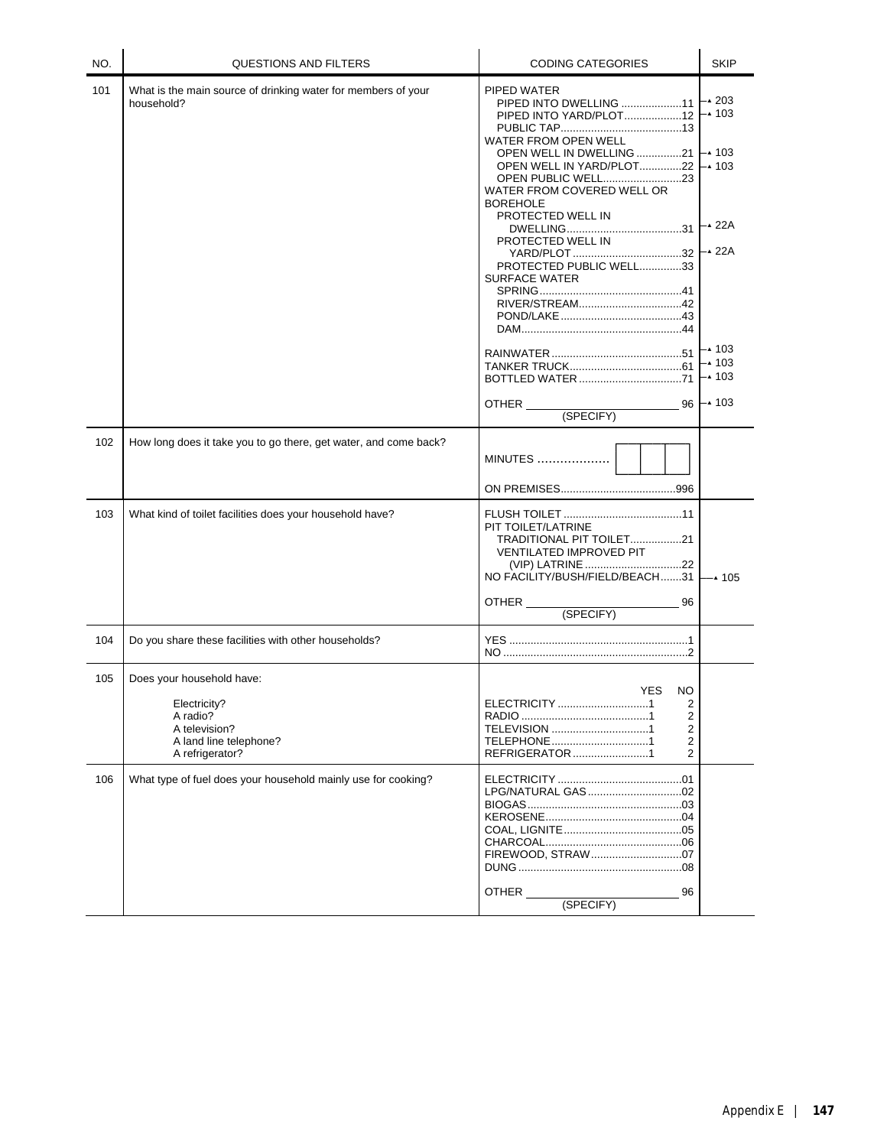| NO. | <b>QUESTIONS AND FILTERS</b>                                                                                        | <b>CODING CATEGORIES</b>                                                                                                                                                                         | <b>SKIP</b>                                                        |
|-----|---------------------------------------------------------------------------------------------------------------------|--------------------------------------------------------------------------------------------------------------------------------------------------------------------------------------------------|--------------------------------------------------------------------|
| 101 | What is the main source of drinking water for members of your<br>household?                                         | PIPED WATER<br>PIPED INTO DWELLING 11<br>PIPED INTO YARD/PLOT12<br>WATER FROM OPEN WELL<br>OPEN WELL IN DWELLING 21<br>OPEN WELL IN YARD/PLOT22<br>WATER FROM COVERED WELL OR<br><b>BOREHOLE</b> | –▲ 203<br>–▲ 103<br>$\mathsf{L}\cdot$ 103<br>$\mathsf{L}\cdot$ 103 |
|     |                                                                                                                     | PROTECTED WELL IN<br>PROTECTED WELL IN<br>PROTECTED PUBLIC WELL33<br><b>SURFACE WATER</b>                                                                                                        | – <b>∡</b> 22A<br>- <b>▲</b> 22A                                   |
|     |                                                                                                                     | BOTTLED WATER71<br>OTHER<br>(SPECIFY)                                                                                                                                                            | ⊢▲ 103<br>$-4$ 103<br>$-4$ 103<br>$96 - 103$                       |
| 102 | How long does it take you to go there, get water, and come back?                                                    | <b>MINUTES </b>                                                                                                                                                                                  |                                                                    |
| 103 | What kind of toilet facilities does your household have?                                                            | PIT TOILET/LATRINE<br>TRADITIONAL PIT TOILET21<br><b>VENTILATED IMPROVED PIT</b><br>(VIP) LATRINE 22<br>NO FACILITY/BUSH/FIELD/BEACH31<br>OTHER<br>96<br>(SPECIFY)                               | $-4$ 105                                                           |
| 104 | Do you share these facilities with other households?                                                                |                                                                                                                                                                                                  |                                                                    |
| 105 | Does your household have:<br>Electricity?<br>A radio?<br>A television?<br>A land line telephone?<br>A refrigerator? | YES<br>NO.<br>2<br>2<br>TELEVISION 1<br>2<br>2<br>TELEPHONE1<br>REFRIGERATOR 1<br>2                                                                                                              |                                                                    |
| 106 | What type of fuel does your household mainly use for cooking?                                                       | OTHER<br>96<br>(SPECIFY)                                                                                                                                                                         |                                                                    |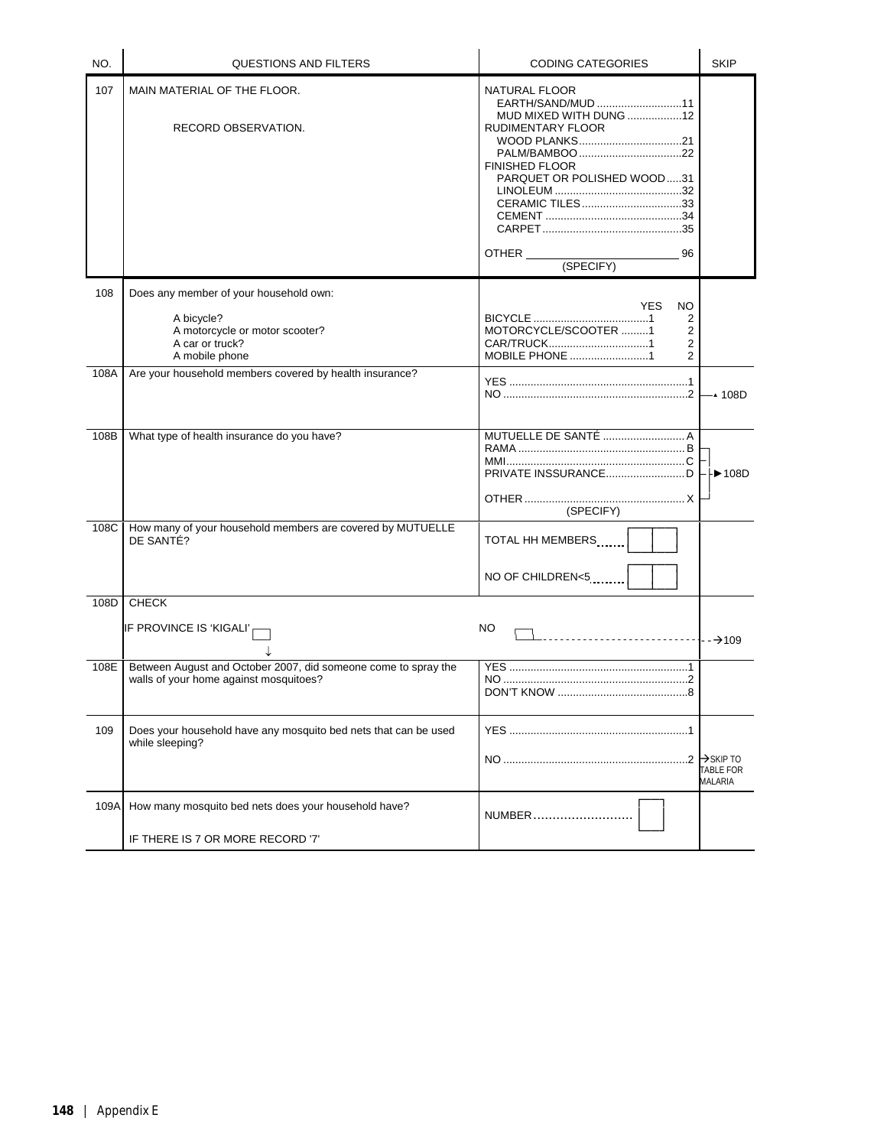| NO.  | QUESTIONS AND FILTERS                                                                                                       | <b>CODING CATEGORIES</b>                                                                                                                                                             | <b>SKIP</b>                                          |
|------|-----------------------------------------------------------------------------------------------------------------------------|--------------------------------------------------------------------------------------------------------------------------------------------------------------------------------------|------------------------------------------------------|
| 107  | MAIN MATERIAL OF THE FLOOR.<br>RECORD OBSERVATION.                                                                          | NATURAL FLOOR<br>EARTH/SAND/MUD 11<br>MUD MIXED WITH DUNG 12<br>RUDIMENTARY FLOOR<br><b>FINISHED FLOOR</b><br>PARQUET OR POLISHED WOOD31<br>CERAMIC TILES33<br>96<br>OTHER (SPECIFY) |                                                      |
| 108  | Does any member of your household own:<br>A bicycle?<br>A motorcycle or motor scooter?<br>A car or truck?<br>A mobile phone | NO.<br>YES.<br>2<br>MOTORCYCLE/SCOOTER 1<br>2<br>2<br><b>MOBILE PHONE</b> 1<br>2                                                                                                     |                                                      |
| 108A | Are your household members covered by health insurance?                                                                     |                                                                                                                                                                                      | —▲ 108D                                              |
| 108B | What type of health insurance do you have?                                                                                  | (SPECIFY)                                                                                                                                                                            | $\blacktriangleright$ 108D                           |
| 108C | How many of your household members are covered by MUTUELLE<br>DE SANTÉ?                                                     | TOTAL HH MEMBERS<br>NO OF CHILDREN<5                                                                                                                                                 |                                                      |
| 108D | <b>CHECK</b>                                                                                                                |                                                                                                                                                                                      |                                                      |
|      | IF PROVINCE IS 'KIGALI' <sub>I</sub>                                                                                        | NO                                                                                                                                                                                   | --→109                                               |
| 108E | Between August and October 2007, did someone come to spray the<br>walls of your home against mosquitoes?                    |                                                                                                                                                                                      |                                                      |
| 109  | Does your household have any mosquito bed nets that can be used<br>while sleeping?                                          |                                                                                                                                                                                      | $\rightarrow$ SKIP TO<br><b>TABLE FOR</b><br>MALARIA |
| 109A | How many mosquito bed nets does your household have?                                                                        | NUMBER                                                                                                                                                                               |                                                      |
|      | IF THERE IS 7 OR MORE RECORD '7'                                                                                            |                                                                                                                                                                                      |                                                      |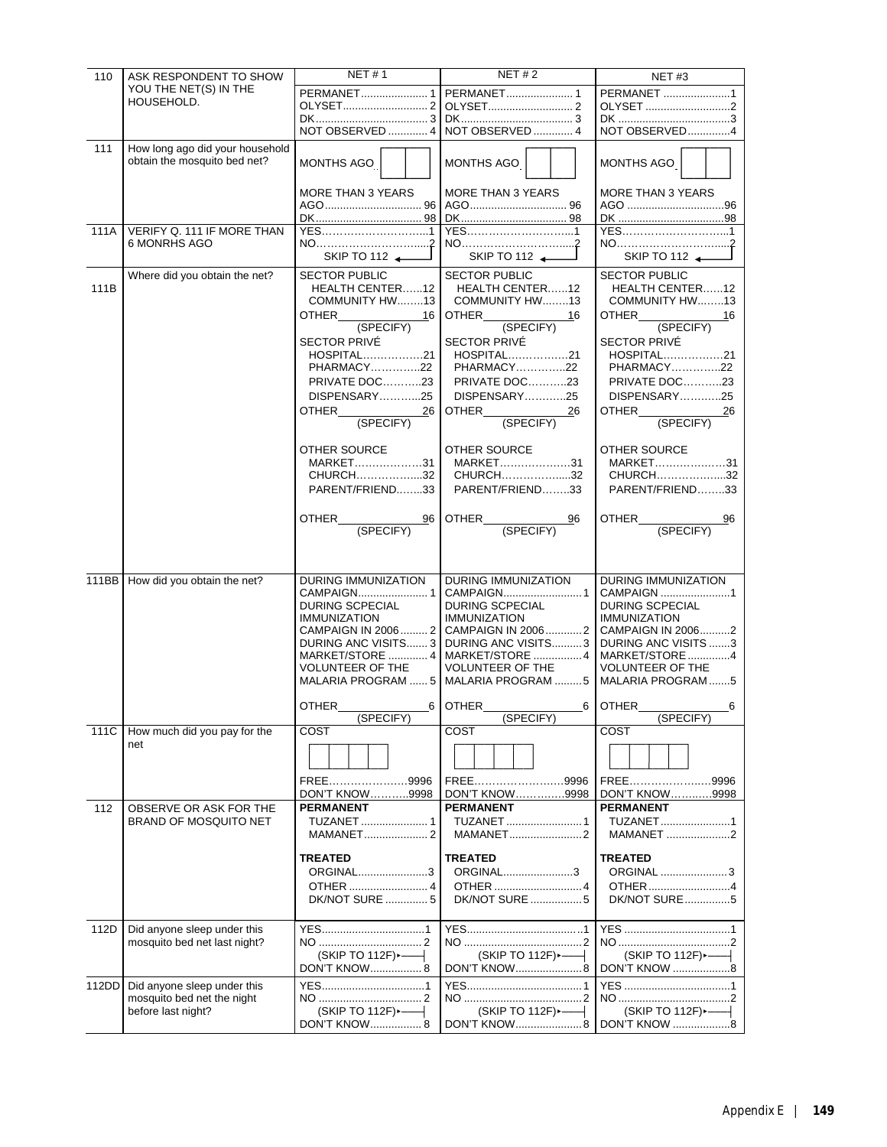| 110   | ASK RESPONDENT TO SHOW                                          | <b>NET#1</b>                               | NET $# 2$                                 | <b>NET#3</b>                                      |
|-------|-----------------------------------------------------------------|--------------------------------------------|-------------------------------------------|---------------------------------------------------|
|       | YOU THE NET(S) IN THE                                           | PERMANET 1                                 | PERMANET 1                                | PERMANET 1                                        |
|       | HOUSEHOLD.                                                      |                                            |                                           | OLYSET 2                                          |
|       |                                                                 |                                            |                                           |                                                   |
|       |                                                                 | NOT OBSERVED  4                            | NOT OBSERVED  4                           | NOT OBSERVED4                                     |
| 111   | How long ago did your household<br>obtain the mosquito bed net? | MONTHS AGO                                 | MONTHS AGO                                | MONTHS AGO                                        |
|       |                                                                 | <b>MORE THAN 3 YEARS</b>                   | <b>MORE THAN 3 YEARS</b>                  | MORE THAN 3 YEARS<br>AGO 96                       |
|       |                                                                 |                                            |                                           |                                                   |
| 111A  | VERIFY Q. 111 IF MORE THAN                                      | YES1                                       |                                           | YES1                                              |
|       | 6 MONRHS AGO                                                    |                                            |                                           |                                                   |
|       |                                                                 | SKIP TO 112                                | SKIP TO 112                               | SKIP TO 112                                       |
|       | Where did you obtain the net?                                   | <b>SECTOR PUBLIC</b>                       | <b>SECTOR PUBLIC</b>                      | <b>SECTOR PUBLIC</b>                              |
| 111B  |                                                                 | HEALTH CENTER12<br>COMMUNITY HW13          | HEALTH CENTER12<br>COMMUNITY HW13         | HEALTH CENTER12<br>COMMUNITY HW13                 |
|       |                                                                 | OTHER<br>16                                | <b>OTHER</b><br>16                        | <b>OTHER</b><br>16                                |
|       |                                                                 | (SPECIFY)                                  | (SPECIFY)                                 | (SPECIFY)                                         |
|       |                                                                 | SECTOR PRIVÉ                               | SECTOR PRIVÉ                              | <b>SECTOR PRIVÉ</b>                               |
|       |                                                                 | HOSPITAL21                                 | HOSPITAL21                                | HOSPITAL21                                        |
|       |                                                                 | PHARMACY22                                 | PHARMACY22                                | PHARMACY22                                        |
|       |                                                                 | PRIVATE DOC23<br>DISPENSARY25              | <b>PRIVATE DOC23</b><br>DISPENSARY25      | <b>PRIVATE DOC23</b><br>DISPENSARY25              |
|       |                                                                 | OTHER<br>26                                | OTHER<br>26                               | OTHER<br>26                                       |
|       |                                                                 | (SPECIFY)                                  | (SPECIFY)                                 | (SPECIFY)                                         |
|       |                                                                 | OTHER SOURCE                               | <b>OTHER SOURCE</b>                       | OTHER SOURCE                                      |
|       |                                                                 | MARKET31                                   | MARKET31                                  | MARKET31                                          |
|       |                                                                 | CHURCH32                                   | CHURCH32                                  | CHURCH32                                          |
|       |                                                                 | PARENT/FRIEND33                            | PARENT/FRIEND33                           | PARENT/FRIEND33                                   |
|       |                                                                 | OTHER<br>96                                | OTHER<br>96                               | OTHER<br>96                                       |
|       |                                                                 | (SPECIFY)                                  | (SPECIFY)                                 | (SPECIFY)                                         |
|       |                                                                 |                                            |                                           |                                                   |
|       |                                                                 |                                            |                                           |                                                   |
|       | 111BB How did you obtain the net?                               | <b>DURING IMMUNIZATION</b>                 | <b>DURING IMMUNIZATION</b>                | <b>DURING IMMUNIZATION</b>                        |
|       |                                                                 | <b>DURING SCPECIAL</b>                     | DURING SCPECIAL                           | CAMPAIGN 1<br>DURING SCPECIAL                     |
|       |                                                                 | <b>IMMUNIZATION</b>                        | <b>IMMUNIZATION</b>                       | <b>IMMUNIZATION</b>                               |
|       |                                                                 |                                            | CAMPAIGN IN 2006  2 CAMPAIGN IN 2006  2   | CAMPAIGN IN 20062                                 |
|       |                                                                 | DURING ANC VISITS 3                        | DURING ANC VISITS3                        | DURING ANC VISITS 3                               |
|       |                                                                 | MARKET/STORE  4<br><b>VOLUNTEER OF THE</b> | MARKET/STORE 4<br><b>VOLUNTEER OF THE</b> | MARKET/STORE4<br><b>VOLUNTEER OF THE</b>          |
|       |                                                                 |                                            | MALARIA PROGRAM  5   MALARIA PROGRAM  5   | MALARIA PROGRAM 5                                 |
|       |                                                                 | <b>OTHER</b><br>6 I                        | 6<br><b>OTHER</b>                         | <b>OTHER</b><br>6                                 |
|       |                                                                 | (SPECIFY)                                  | (SPECIFY)                                 | (SPECIFY)                                         |
| 111C  | How much did you pay for the<br>net                             | COST                                       | COST                                      | COST                                              |
|       |                                                                 |                                            |                                           |                                                   |
|       |                                                                 | FREE<br>.9996                              | FREE9996                                  | FREE9996                                          |
|       |                                                                 | <b>DON'T KNOW9998</b>                      | DON'T KNOW9998                            | DON'T KNOW9998                                    |
| 112   | OBSERVE OR ASK FOR THE                                          | <b>PERMANENT</b>                           | <b>PERMANENT</b>                          | <b>PERMANENT</b>                                  |
|       | BRAND OF MOSQUITO NET                                           | TUZANET  1                                 | TUZANET  1<br>MAMANET2                    | TUZANET1<br>MAMANET 2                             |
|       |                                                                 | <b>TREATED</b>                             | <b>TREATED</b>                            | <b>TREATED</b>                                    |
|       |                                                                 | ORGINAL3                                   | ORGINAL3                                  | ORGINAL 3                                         |
|       |                                                                 | <b>DK/NOT SURE 5</b>                       | DK/NOT SURE 5                             | OTHER4<br><b>DK/NOT SURE5</b>                     |
|       |                                                                 |                                            |                                           |                                                   |
| 112D  | Did anyone sleep under this                                     |                                            |                                           |                                                   |
|       | mosquito bed net last night?                                    | (SKIP TO 112F) ----                        | (SKIP TO 112F) ----                       |                                                   |
|       |                                                                 | <b>DON'T KNOW 8</b>                        | DON'T KNOW8                               | DON'T KNOW 8                                      |
| 112DD | Did anyone sleep under this                                     |                                            |                                           |                                                   |
|       | mosquito bed net the night                                      | (SKIP TO 112F) ---                         | $(SKIP TO 112F)$ $\longleftarrow$         |                                                   |
|       | before last night?                                              | <b>DON'T KNOW 8</b>                        |                                           | $(SKIP TO 112F)$ $\longleftarrow$<br>DON'T KNOW 8 |
|       |                                                                 |                                            |                                           |                                                   |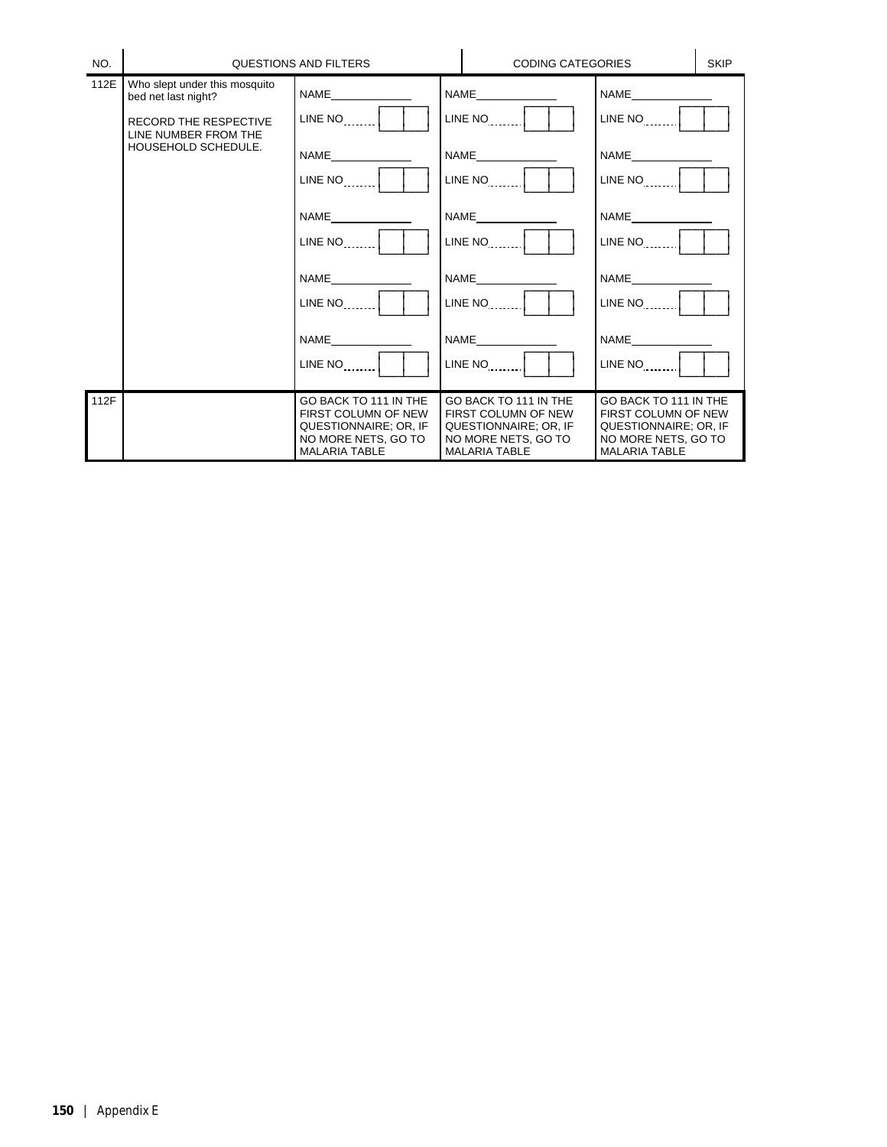| NO.  |                                                                                                                                     | QUESTIONS AND FILTERS                                                                                                        | <b>CODING CATEGORIES</b>                                                                                                  |                                                                                                                      | <b>SKIP</b> |
|------|-------------------------------------------------------------------------------------------------------------------------------------|------------------------------------------------------------------------------------------------------------------------------|---------------------------------------------------------------------------------------------------------------------------|----------------------------------------------------------------------------------------------------------------------|-------------|
| 112E | Who slept under this mosquito<br>bed net last night?<br><b>RECORD THE RESPECTIVE</b><br>LINE NUMBER FROM THE<br>HOUSEHOLD SCHEDULE. | $LINE NO$ <sub>1,1,1</sub><br>$LINE NO$  <br><b>NAME</b><br>$LINE NO$ <sub>1,1,1</sub><br>NAME<br>$LINE NO$  <br><b>NAME</b> | $LINE NO$ $\vert$<br>NAME<br>$LINE NO$ $ $<br><b>NAME</b><br>$LINE NO$ $ $<br><b>NAME</b><br>$LINE NO$ $ $<br><b>NAME</b> | $LINE NO$ $\vert$<br>$LINE NO$ $ $<br>$LINE NO$ $ $<br>$LINE NO$ $ $<br><b>NAME</b>                                  |             |
|      |                                                                                                                                     | $LINE NO$ <sub>1,,,,,</sub>                                                                                                  | $LINE NO$ $\vert$                                                                                                         | $LINE NO$ $\vert$                                                                                                    |             |
| 112F |                                                                                                                                     | GO BACK TO 111 IN THE<br>FIRST COLUMN OF NEW<br>QUESTIONNAIRE; OR, IF<br>NO MORE NETS, GO TO<br>MALARIA TABLE                | GO BACK TO 111 IN THE<br>FIRST COLUMN OF NEW<br>QUESTIONNAIRE; OR, IF<br>NO MORE NETS, GO TO<br>MALARIA TABLE             | GO BACK TO 111 IN THE<br>FIRST COLUMN OF NEW<br>QUESTIONNAIRE; OR, IF<br>NO MORE NETS, GO TO<br><b>MALARIA TABLE</b> |             |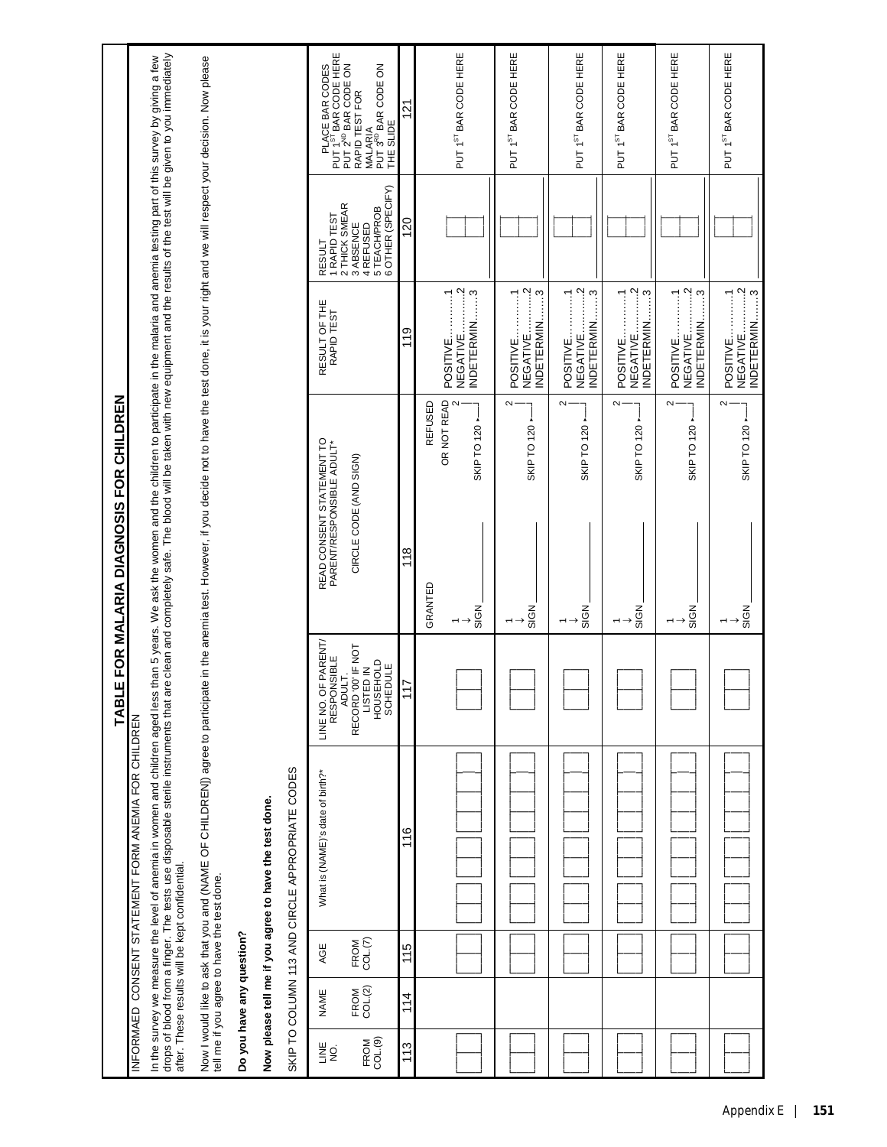|                                                                                                                 |                                                                                                                                                                                                                                   |                                                                                                                                                                                                                    |                           |                                                        |                                                 | PLACE BAR CODES<br>PUT 1 <sup>ST</sup> BAR CODE HERE<br>PUT 2 <sup>ND</sup> BAR CODE ON | MALARIA<br>PUT 3 <sup>RD</sup> BAR CODE ON<br>RAPID TEST FOR<br>THE SLIDE    | $\frac{2}{1}$ |         | PUT 1ST BAR CODE HERE                                                                  | PUT 1ST BAR CODE HERE                                                                                                                                                                                                                                                                                                                                                                                                                                                                                                                                                                                                                                     | PUT 1ST BAR CODE HERE                                                                                   | PUT 1ST BAR CODE HERE                 | PUT 1ST BAR CODE HERE                                                             | PUT 1ST BAR CODE HERE                 |
|-----------------------------------------------------------------------------------------------------------------|-----------------------------------------------------------------------------------------------------------------------------------------------------------------------------------------------------------------------------------|--------------------------------------------------------------------------------------------------------------------------------------------------------------------------------------------------------------------|---------------------------|--------------------------------------------------------|-------------------------------------------------|-----------------------------------------------------------------------------------------|------------------------------------------------------------------------------|---------------|---------|----------------------------------------------------------------------------------------|-----------------------------------------------------------------------------------------------------------------------------------------------------------------------------------------------------------------------------------------------------------------------------------------------------------------------------------------------------------------------------------------------------------------------------------------------------------------------------------------------------------------------------------------------------------------------------------------------------------------------------------------------------------|---------------------------------------------------------------------------------------------------------|---------------------------------------|-----------------------------------------------------------------------------------|---------------------------------------|
|                                                                                                                 |                                                                                                                                                                                                                                   |                                                                                                                                                                                                                    |                           |                                                        |                                                 | 1 RAPID TEST<br>RESULT                                                                  | 4 REFUSED<br>5 TEACH/PROB<br>6 OTHER (SPECIFY)<br>2 THICK SMEAR<br>3 ABSENCE | 120           |         |                                                                                        |                                                                                                                                                                                                                                                                                                                                                                                                                                                                                                                                                                                                                                                           |                                                                                                         |                                       |                                                                                   |                                       |
|                                                                                                                 |                                                                                                                                                                                                                                   |                                                                                                                                                                                                                    |                           |                                                        |                                                 | RESULT OF THE<br>RAPID TEST                                                             |                                                                              | 119           |         | NEGATIVE2<br>$\begin{bmatrix} 1 & 1 \\ 1 & 1 \end{bmatrix}$<br>INDETERMIN3<br>POSITIVE | $\cdots$ $\cdots$ $\cdots$ $\cdots$<br>$\begin{array}{c} \begin{array}{c} \begin{array}{c} \begin{array}{c} \end{array} \\ \end{array} \end{array} \end{array} \end{array} \end{array} \end{array} \begin{array}{c} \begin{array}{c} \begin{array}{c} \end{array} \\ \end{array} \end{array} \end{array} \begin{array}{c} \begin{array}{c} \end{array} \end{array} \end{array} \begin{array}{c} \begin{array}{c} \end{array} \end{array} \end{array} \begin{array}{c} \begin{array}{c} \end{array} \end{array} \end{array} \begin{array}{c} \begin{array}{c} \end{array} \end{array} \end{$<br>1.1.3<br><b>INDETERMIN</b><br>POSITIVE.<br><b>NEGATIVE</b> | $\cdots$ $\cdots$ $\cdots$ $\cdots$<br>NDETERMIN3<br>$\overline{\phantom{a}}$<br>POSITIVE.<br>NEGATIVE. | NEGATIVE2<br>POSITIVE1<br>INDETERMIN3 | $\cdots$ $\cdots$ $\cdots$ $\cdots$<br>POSITIVE1<br>NDETERMIN3<br><b>NEGATIVE</b> | NEGATIVE2<br>POSITIVE1<br>INDETERMIN3 |
| ד ב ב החשב המוד המוד המוד המודה המודר המודר המודר המודר המודר המודר המודר המודר המודר המודר המודר המודר המודר ה | In the survey we measure the level of anemia in women and children aged less than 5 years. We ask the women and the children to participate in the malaria and anemia testing part of this survey by giving a few<br>drops of blo | Now I would like to ask that you and (NAME OF CHILDRENI) agree to participate in the anemia test. However, if you decide not to have the test done, it is your right and we will respect your decision. Now please |                           |                                                        |                                                 | READ CONSENT STATEMENT TO<br>PARENT/RESPONSIBLE ADULT*                                  | CIRCLE CODE (AND SIGN)                                                       | 118           | REFUSED | OR NOT READ<br>SKIP TO 120 -                                                           | $\sim$<br>SKIP TO 120                                                                                                                                                                                                                                                                                                                                                                                                                                                                                                                                                                                                                                     | $\sim$<br>SKIP TO 120 -                                                                                 | $\sim$<br>SKIP TO 120 -               | $\sim$<br>SKIP TO 120 -                                                           | $\sim$<br>SKIP TO 120 -               |
|                                                                                                                 |                                                                                                                                                                                                                                   |                                                                                                                                                                                                                    |                           |                                                        |                                                 |                                                                                         |                                                                              |               | GRANTED | SIGN                                                                                   | SIGN                                                                                                                                                                                                                                                                                                                                                                                                                                                                                                                                                                                                                                                      | SIGN                                                                                                    | SIGN                                  | SIGN                                                                              | SIGN                                  |
| Q<br>1                                                                                                          |                                                                                                                                                                                                                                   |                                                                                                                                                                                                                    |                           |                                                        |                                                 | E NO. OF PARENT/<br>RESPONSIBLE<br>ADULT.<br>LINE NO.                                   | RECORD '00' IF NOT<br>LISTED IN<br>HOUSEHOLD<br>HOUSEHOLD<br>SCHEDULE        | 117           |         |                                                                                        |                                                                                                                                                                                                                                                                                                                                                                                                                                                                                                                                                                                                                                                           |                                                                                                         |                                       |                                                                                   |                                       |
| INFORMAED CONSENT STATEMENT FORM ANEMIA FOR CHILDREN                                                            | after. These results will be kept confidential.                                                                                                                                                                                   |                                                                                                                                                                                                                    |                           | Now please tell me if you agree to have the test done. | SKIP TO COLUMN 113 AND CIRCLE APPROPRIATE CODES | What is (NAME)'s date of birth?*                                                        |                                                                              | 116           |         |                                                                                        |                                                                                                                                                                                                                                                                                                                                                                                                                                                                                                                                                                                                                                                           |                                                                                                         |                                       |                                                                                   |                                       |
|                                                                                                                 |                                                                                                                                                                                                                                   |                                                                                                                                                                                                                    |                           |                                                        |                                                 | AGE                                                                                     | FROM<br>COL. <sub>(7)</sub>                                                  | 115           |         |                                                                                        |                                                                                                                                                                                                                                                                                                                                                                                                                                                                                                                                                                                                                                                           |                                                                                                         |                                       |                                                                                   |                                       |
|                                                                                                                 |                                                                                                                                                                                                                                   | tell me if you agree to have the test done.                                                                                                                                                                        | Do you have any question? |                                                        |                                                 | NAME                                                                                    | FROM<br>COL.(2)                                                              | 114           |         |                                                                                        |                                                                                                                                                                                                                                                                                                                                                                                                                                                                                                                                                                                                                                                           |                                                                                                         |                                       |                                                                                   |                                       |
|                                                                                                                 |                                                                                                                                                                                                                                   |                                                                                                                                                                                                                    |                           |                                                        |                                                 | ≝g                                                                                      | FROM<br>COL(9)                                                               | 113           |         |                                                                                        |                                                                                                                                                                                                                                                                                                                                                                                                                                                                                                                                                                                                                                                           |                                                                                                         |                                       |                                                                                   |                                       |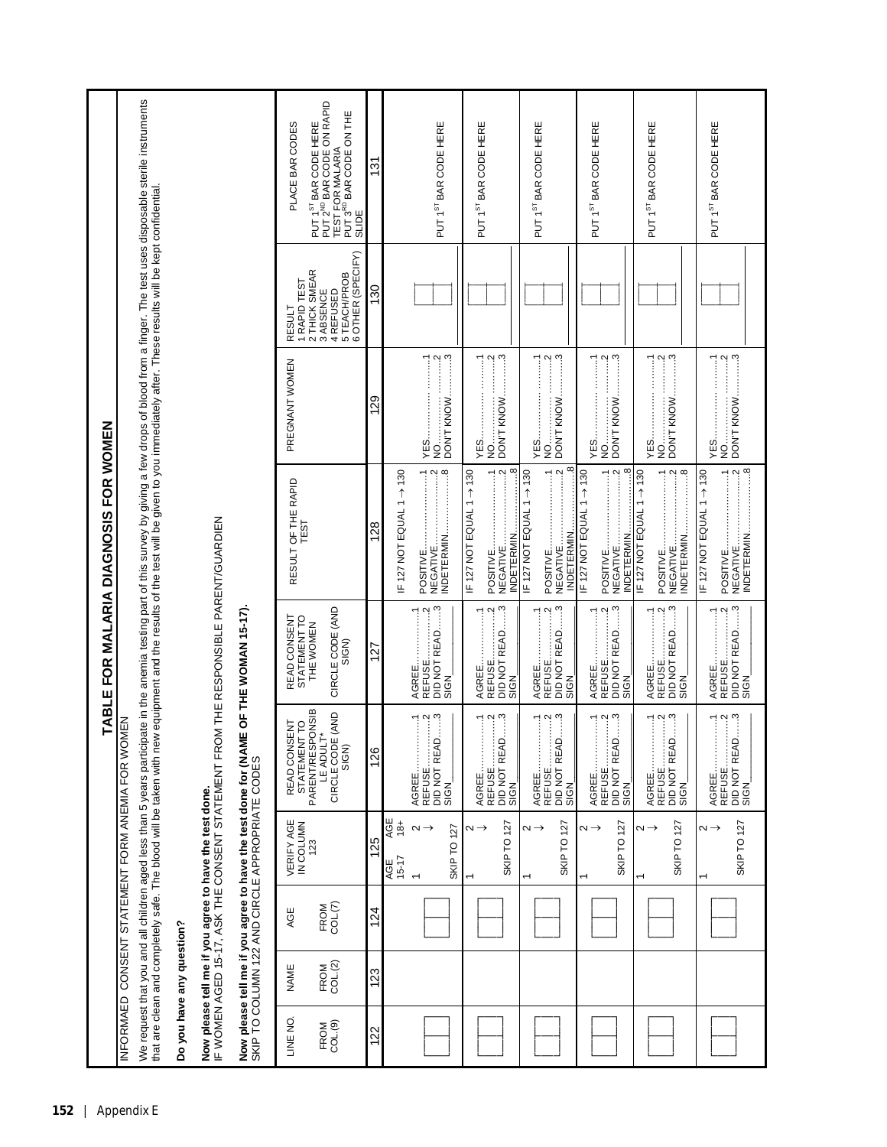|                           |                 |                |                                                                                                                   | <b>TABLE</b>                                                                                                                                                                                                                                                                                                                                    |                                                                                              | FOR WOMEN<br>FOR MALARIA DIAGNOSIS                                                                                                                                                                                                                                                                                                                                                                                                                                                                                                                                                                                                                                                                                                                                                                                                                                                                                                                              |                                                                                                                                                                                                                                                                                                                                                                                                                                                                                                                                                                                                                                                                                                                       |                                                                                               |                                                                                                                                                                                                              |
|---------------------------|-----------------|----------------|-------------------------------------------------------------------------------------------------------------------|-------------------------------------------------------------------------------------------------------------------------------------------------------------------------------------------------------------------------------------------------------------------------------------------------------------------------------------------------|----------------------------------------------------------------------------------------------|-----------------------------------------------------------------------------------------------------------------------------------------------------------------------------------------------------------------------------------------------------------------------------------------------------------------------------------------------------------------------------------------------------------------------------------------------------------------------------------------------------------------------------------------------------------------------------------------------------------------------------------------------------------------------------------------------------------------------------------------------------------------------------------------------------------------------------------------------------------------------------------------------------------------------------------------------------------------|-----------------------------------------------------------------------------------------------------------------------------------------------------------------------------------------------------------------------------------------------------------------------------------------------------------------------------------------------------------------------------------------------------------------------------------------------------------------------------------------------------------------------------------------------------------------------------------------------------------------------------------------------------------------------------------------------------------------------|-----------------------------------------------------------------------------------------------|--------------------------------------------------------------------------------------------------------------------------------------------------------------------------------------------------------------|
| <b>INFORMAED</b>          |                 |                |                                                                                                                   | CONSENT STATEMENT FORM ANEMIA FOR WOMEN                                                                                                                                                                                                                                                                                                         |                                                                                              |                                                                                                                                                                                                                                                                                                                                                                                                                                                                                                                                                                                                                                                                                                                                                                                                                                                                                                                                                                 |                                                                                                                                                                                                                                                                                                                                                                                                                                                                                                                                                                                                                                                                                                                       |                                                                                               |                                                                                                                                                                                                              |
|                           |                 |                |                                                                                                                   |                                                                                                                                                                                                                                                                                                                                                 |                                                                                              | that are clean and completely safe. The blood will be taken with new equipment and the results of the test will be given to you immediately after. These results will be kept confidential.                                                                                                                                                                                                                                                                                                                                                                                                                                                                                                                                                                                                                                                                                                                                                                     |                                                                                                                                                                                                                                                                                                                                                                                                                                                                                                                                                                                                                                                                                                                       |                                                                                               | We request that you and all children aged less than 5 years participate in the anemia testing part of this survey by giving a few drops of blood from a finger. The test uses disposable sterile instruments |
| Do you have any question? |                 |                |                                                                                                                   |                                                                                                                                                                                                                                                                                                                                                 |                                                                                              |                                                                                                                                                                                                                                                                                                                                                                                                                                                                                                                                                                                                                                                                                                                                                                                                                                                                                                                                                                 |                                                                                                                                                                                                                                                                                                                                                                                                                                                                                                                                                                                                                                                                                                                       |                                                                                               |                                                                                                                                                                                                              |
|                           |                 |                | Now please tell me if you agree to have the test done.<br>IF WOMEN AGED 15-17, ASK THE CONSENT STATEMENT FRC      |                                                                                                                                                                                                                                                                                                                                                 | M THE RESPONSIBLE PARENT/GUARDIEN                                                            |                                                                                                                                                                                                                                                                                                                                                                                                                                                                                                                                                                                                                                                                                                                                                                                                                                                                                                                                                                 |                                                                                                                                                                                                                                                                                                                                                                                                                                                                                                                                                                                                                                                                                                                       |                                                                                               |                                                                                                                                                                                                              |
|                           |                 |                | Now please tell me if you agree to have the test done for (NAM<br>SKIP TO COLUMN 122 AND CIRCLE APPROPRIATE CODES | Ш                                                                                                                                                                                                                                                                                                                                               | OF THE WOMAN 15-17)                                                                          |                                                                                                                                                                                                                                                                                                                                                                                                                                                                                                                                                                                                                                                                                                                                                                                                                                                                                                                                                                 |                                                                                                                                                                                                                                                                                                                                                                                                                                                                                                                                                                                                                                                                                                                       |                                                                                               |                                                                                                                                                                                                              |
| LINE NO                   | <b>NAME</b>     | AGE            | VERIFY AGE<br>IN COLUMN<br>123                                                                                    | <b>INE</b><br><b>DLL</b><br>READ CONS<br>STATEMEN                                                                                                                                                                                                                                                                                               | READ CONSENT<br>STATEMENT TO<br>THE WOMEN                                                    | RESULT OF THE RAPID<br>TEST                                                                                                                                                                                                                                                                                                                                                                                                                                                                                                                                                                                                                                                                                                                                                                                                                                                                                                                                     | PREGNANT WOMEN                                                                                                                                                                                                                                                                                                                                                                                                                                                                                                                                                                                                                                                                                                        | 1 RAPID TEST<br>ESULT<br>œ                                                                    | PLACE BAR CODES                                                                                                                                                                                              |
| FROM<br>COL.(9)           | FROM<br>COL.(2) | COL(7)<br>FROM |                                                                                                                   | PARENT/RESPONSIB<br>LE ADULT*<br>CIRCLE CODE (AND<br>SIGN)                                                                                                                                                                                                                                                                                      | CIRCLE CODE (AND<br>SIGN)                                                                    |                                                                                                                                                                                                                                                                                                                                                                                                                                                                                                                                                                                                                                                                                                                                                                                                                                                                                                                                                                 |                                                                                                                                                                                                                                                                                                                                                                                                                                                                                                                                                                                                                                                                                                                       | OTHER (SPECIFY)<br>2 THICK SMEAR<br>3 ABSENCE<br>4 REFUSED<br>5 TEACH/PROB<br>6 OTHER (SPECIF | PUT 1 <sup>ST</sup> BAR CODE HERE<br>PUT 2 <sup>ND</sup> BAR CODE ON RAPID<br>PUT 3 <sup>50</sup> BAR CODE ON THE<br>TEST FOR MALARIA<br>SLIDE                                                               |
| 122                       | 123             | 124            | 125                                                                                                               | 126                                                                                                                                                                                                                                                                                                                                             | 127                                                                                          | 128                                                                                                                                                                                                                                                                                                                                                                                                                                                                                                                                                                                                                                                                                                                                                                                                                                                                                                                                                             | 129                                                                                                                                                                                                                                                                                                                                                                                                                                                                                                                                                                                                                                                                                                                   | 130                                                                                           | $\frac{13}{1}$                                                                                                                                                                                               |
|                           |                 |                | 4g±<br>$15 - 17$<br>AGE                                                                                           |                                                                                                                                                                                                                                                                                                                                                 |                                                                                              | IF 127 NOT EQUAL 1 $\rightarrow$ 130                                                                                                                                                                                                                                                                                                                                                                                                                                                                                                                                                                                                                                                                                                                                                                                                                                                                                                                            |                                                                                                                                                                                                                                                                                                                                                                                                                                                                                                                                                                                                                                                                                                                       |                                                                                               |                                                                                                                                                                                                              |
|                           |                 |                | $\sim$<br><b>SKIP TO 127</b>                                                                                      | DID NOT READ3<br>$\ddotsc$<br>$\frac{1}{2}$<br>REFUSE.<br>AGREE.<br>SIGN                                                                                                                                                                                                                                                                        | DID NOT READ3<br>SIGN<br>$\ddotsc$<br><b>REFUSE</b><br>AGREE.                                | NDETERMIN8<br>$\cdots$ $\cdots$ $\cdots$ $\cdots$<br>NEGATIVE.<br>POSITIVE.                                                                                                                                                                                                                                                                                                                                                                                                                                                                                                                                                                                                                                                                                                                                                                                                                                                                                     | $\cdots$ $\cdots$ $\cdots$<br>$rac{1}{2}$<br>$\begin{bmatrix} 1 & 1 & 1 \\ 1 & 1 & 1 \\ 1 & 1 & 1 \\ 1 & 1 & 1 \\ 1 & 1 & 1 \\ 1 & 1 & 1 \\ 1 & 1 & 1 \\ 1 & 1 & 1 \\ 1 & 1 & 1 \\ 1 & 1 & 1 \\ 1 & 1 & 1 \\ 1 & 1 & 1 \\ 1 & 1 & 1 \\ 1 & 1 & 1 \\ 1 & 1 & 1 \\ 1 & 1 & 1 \\ 1 & 1 & 1 \\ 1 & 1 & 1 \\ 1 & 1 & 1 \\ 1 & 1 & 1 \\ 1 & 1 & 1 \\ 1 & 1 & 1 \\ 1 & 1 & 1 \\ 1 & 1 & $<br>$\vdots$<br>'KNOW<br>NO<br>YES<br><b>DON'T</b>                                                                                                                                                                                                                                                                                  |                                                                                               | PUT 1 <sup>ST</sup> BAR CODE HERE                                                                                                                                                                            |
|                           |                 |                | $\sim$ $\rightarrow$                                                                                              |                                                                                                                                                                                                                                                                                                                                                 |                                                                                              | IF 127 NOT EQUAL 1 $\rightarrow$ 130                                                                                                                                                                                                                                                                                                                                                                                                                                                                                                                                                                                                                                                                                                                                                                                                                                                                                                                            |                                                                                                                                                                                                                                                                                                                                                                                                                                                                                                                                                                                                                                                                                                                       |                                                                                               |                                                                                                                                                                                                              |
|                           |                 |                | SKIP TO 127                                                                                                       | DID NOT READ3<br>$\frac{3}{2}$<br>REFUSE<br>AGREE.<br>SIGN                                                                                                                                                                                                                                                                                      | $\ddotsc$<br>$\cdots$ $\cdots$ $\cdots$ $\cdots$<br>DID NOT READ<br>SIGN<br>AGREE<br>REFUSE. | ®.<br>$\cdots$ $\cdots$ $\cdots$ $\cdots$ $\cdots$ $\cdots$ $\cdots$ $\cdots$ $\cdots$ $\cdots$ $\cdots$ $\cdots$ $\cdots$ $\cdots$ $\cdots$ $\cdots$ $\cdots$ $\cdots$ $\cdots$ $\cdots$ $\cdots$ $\cdots$ $\cdots$ $\cdots$ $\cdots$ $\cdots$ $\cdots$ $\cdots$ $\cdots$ $\cdots$ $\cdots$ $\cdots$ $\cdots$ $\cdots$ $\cdots$ $\cdots$ $\cdots$<br><b>INDETERMIN</b><br>NEGATIVE                                                                                                                                                                                                                                                                                                                                                                                                                                                                                                                                                                             | $\cdots$ $\cdots$ $\cdots$ $\cdots$<br>$\cdots$ $\cdots$ $\cdots$ $\cdots$ $\cdots$ $\cdots$ $\cdots$ $\cdots$ $\cdots$ $\cdots$ $\cdots$ $\cdots$ $\cdots$ $\cdots$ $\cdots$ $\cdots$ $\cdots$ $\cdots$ $\cdots$ $\cdots$ $\cdots$ $\cdots$ $\cdots$ $\cdots$ $\cdots$ $\cdots$ $\cdots$ $\cdots$ $\cdots$ $\cdots$ $\cdots$ $\cdots$ $\cdots$ $\cdots$ $\cdots$ $\cdots$ $\cdots$<br>DON'T KNOW<br>i.<br>S<br>YES.                                                                                                                                                                                                                                                                                                  |                                                                                               | BAR CODE HERE<br>PUT <sub>1</sub> ST                                                                                                                                                                         |
|                           |                 |                | $\sim$ $\rightarrow$                                                                                              | $\overline{\phantom{a}}$<br>AGREE.                                                                                                                                                                                                                                                                                                              | . 1<br>AGREE<br>REFUSE.                                                                      | IF 127 NOT EQUAL 1 → 130                                                                                                                                                                                                                                                                                                                                                                                                                                                                                                                                                                                                                                                                                                                                                                                                                                                                                                                                        | $\begin{bmatrix} 1 & 1 \\ 1 & 1 \\ 1 & 1 \\ 1 & 1 \\ 1 & 1 \\ 1 & 1 \\ 1 & 1 \\ 1 & 1 \\ 1 & 1 \\ 1 & 1 \\ 1 & 1 \\ 1 & 1 \\ 1 & 1 \\ 1 & 1 \\ 1 & 1 \\ 1 & 1 \\ 1 & 1 \\ 1 & 1 \\ 1 & 1 \\ 1 & 1 \\ 1 & 1 \\ 1 & 1 \\ 1 & 1 \\ 1 & 1 \\ 1 & 1 \\ 1 & 1 \\ 1 & 1 \\ 1 & 1 \\ 1 & 1 \\ 1 & 1 \\ 1 & 1 \\ 1 & 1 \\ 1 & 1 \\ 1 & 1 \\ 1 & 1 \\ 1 & $<br><b>YES</b>                                                                                                                                                                                                                                                                                                                                                       |                                                                                               | PUT 1ST BAR CODE HERE                                                                                                                                                                                        |
|                           |                 |                | SKIPTO <sub>127</sub>                                                                                             | DID NOT READ3<br>$\ddotsc$<br>REFUSE.<br>SIGN                                                                                                                                                                                                                                                                                                   | $\begin{array}{c}\n\text{DD NOT READ} \dots \text{3} \\ \text{SGN}\n\end{array}$             | $\frac{8}{2}$<br><b>INDETERMIN</b><br>NEGATIVE<br><b>POSITIVE</b>                                                                                                                                                                                                                                                                                                                                                                                                                                                                                                                                                                                                                                                                                                                                                                                                                                                                                               | $\cdots$ $\cdots$ $\cdots$ $\cdots$ $\cdots$ $\cdots$ $\cdots$ $\cdots$ $\cdots$ $\cdots$ $\cdots$ $\cdots$ $\cdots$ $\cdots$ $\cdots$ $\cdots$ $\cdots$ $\cdots$ $\cdots$ $\cdots$ $\cdots$ $\cdots$ $\cdots$ $\cdots$ $\cdots$ $\cdots$ $\cdots$ $\cdots$ $\cdots$ $\cdots$ $\cdots$ $\cdots$ $\cdots$ $\cdots$ $\cdots$ $\cdots$ $\cdots$<br>$\cdots$ $\cdots$ $\cdots$ $\cdots$ $\cdots$ $\cdots$ $\cdots$ $\cdots$ $\cdots$ $\cdots$ $\cdots$ $\cdots$ $\cdots$ $\cdots$ $\cdots$ $\cdots$ $\cdots$ $\cdots$ $\cdots$ $\cdots$ $\cdots$ $\cdots$ $\cdots$ $\cdots$ $\cdots$ $\cdots$ $\cdots$ $\cdots$ $\cdots$ $\cdots$ $\cdots$ $\cdots$ $\cdots$ $\cdots$ $\cdots$ $\cdots$ $\cdots$<br>DON'T KNOW<br><br>S   |                                                                                               |                                                                                                                                                                                                              |
|                           |                 |                | $\sim$ $\rightarrow$                                                                                              | ا<br>أ<br>AGREE.                                                                                                                                                                                                                                                                                                                                |                                                                                              | IF 127 NOT EQUAL 1 $\rightarrow$ 130                                                                                                                                                                                                                                                                                                                                                                                                                                                                                                                                                                                                                                                                                                                                                                                                                                                                                                                            | YES                                                                                                                                                                                                                                                                                                                                                                                                                                                                                                                                                                                                                                                                                                                   |                                                                                               | PUT 1ST BAR CODE HERE                                                                                                                                                                                        |
|                           |                 |                | SKIP TO 127                                                                                                       | DID NOT READ3<br>$\cdots$ $\cdots$ $\cdots$<br>REFUSE<br>SIGN                                                                                                                                                                                                                                                                                   |                                                                                              | œ<br>$\cdots$ $\cdots$ $\cdots$ $\cdots$<br><b>INDETERMIN</b><br>NEGATIVE<br>POSITIVE.                                                                                                                                                                                                                                                                                                                                                                                                                                                                                                                                                                                                                                                                                                                                                                                                                                                                          | $\cdots$ $\cdots$ $\cdots$ $\cdots$ $\cdots$ $\cdots$ $\cdots$ $\cdots$ $\cdots$ $\cdots$ $\cdots$ $\cdots$ $\cdots$ $\cdots$ $\cdots$ $\cdots$ $\cdots$ $\cdots$ $\cdots$ $\cdots$ $\cdots$ $\cdots$ $\cdots$ $\cdots$ $\cdots$ $\cdots$ $\cdots$ $\cdots$ $\cdots$ $\cdots$ $\cdots$ $\cdots$ $\cdots$ $\cdots$ $\cdots$ $\cdots$ $\cdots$<br>$\cdots$ $\cdots$ $\cdots$ $\cdots$ $\cdots$ $\cdots$ $\cdots$ $\cdots$ $\cdots$ $\cdots$ $\cdots$ $\cdots$ $\cdots$ $\cdots$ $\cdots$ $\cdots$ $\cdots$ $\cdots$ $\cdots$ $\cdots$ $\cdots$ $\cdots$ $\cdots$ $\cdots$ $\cdots$ $\cdots$ $\cdots$ $\cdots$ $\cdots$ $\cdots$ $\cdots$ $\cdots$ $\cdots$ $\cdots$ $\cdots$ $\cdots$ $\cdots$<br>DON'T KNOW<br>i<br>Si |                                                                                               |                                                                                                                                                                                                              |
|                           |                 |                | $\sim$ $\rightarrow$                                                                                              | AGREE.                                                                                                                                                                                                                                                                                                                                          |                                                                                              | IF 127 NOT EQUAL 1 $\rightarrow$ 130                                                                                                                                                                                                                                                                                                                                                                                                                                                                                                                                                                                                                                                                                                                                                                                                                                                                                                                            | $\begin{bmatrix} 1 & 1 \\ 1 & 1 \\ 1 & 1 \\ 1 & 1 \\ 1 & 1 \\ 1 & 1 \\ 1 & 1 \\ 1 & 1 \\ 1 & 1 \\ 1 & 1 \\ 1 & 1 \\ 1 & 1 \\ 1 & 1 \\ 1 & 1 \\ 1 & 1 \\ 1 & 1 \\ 1 & 1 \\ 1 & 1 \\ 1 & 1 \\ 1 & 1 \\ 1 & 1 \\ 1 & 1 \\ 1 & 1 \\ 1 & 1 \\ 1 & 1 \\ 1 & 1 \\ 1 & 1 \\ 1 & 1 \\ 1 & 1 \\ 1 & 1 \\ 1 & 1 \\ 1 & 1 \\ 1 & 1 \\ 1 & 1 \\ 1 & 1 \\ 1 & $<br><b>YES</b>                                                                                                                                                                                                                                                                                                                                                       |                                                                                               | PUT 1ST BAR CODE HERE                                                                                                                                                                                        |
|                           |                 |                | SKIP TO 127                                                                                                       | DID NOT READ3<br>$\cdots$ $\cdots$ $\cdots$<br>REFUSE<br>SIGN                                                                                                                                                                                                                                                                                   |                                                                                              | $\cdots$ $\cdots$ $\cdots$ $\cdots$ $\cdots$ $\cdots$ $\cdots$ $\cdots$ $\cdots$ $\cdots$ $\cdots$ $\cdots$ $\cdots$ $\cdots$ $\cdots$ $\cdots$ $\cdots$ $\cdots$ $\cdots$ $\cdots$ $\cdots$ $\cdots$ $\cdots$ $\cdots$ $\cdots$ $\cdots$ $\cdots$ $\cdots$ $\cdots$ $\cdots$ $\cdots$ $\cdots$ $\cdots$ $\cdots$ $\cdots$ $\cdots$ $\cdots$<br>8<br>$\begin{array}{c} \begin{array}{c} \begin{array}{c} \begin{array}{c} \end{array} \\ \end{array} \end{array} \end{array} \end{array} \begin{array}{c} \begin{array}{c} \begin{array}{c} \end{array} \\ \end{array} \end{array} \end{array} \begin{array}{c} \begin{array}{c} \begin{array}{c} \end{array} \\ \end{array} \end{array} \end{array} \begin{array}{c} \begin{array}{c} \end{array} \end{array} \end{array} \begin{array}{c} \begin{array}{c} \end{array} \end{array} \end{array} \begin{array}{c} \begin{array}{c} \end{array} \end{array}$<br><b>NDETERMIN</b><br><b>NEGATIVE</b><br>POSITIVE. | $\cdots$ $\cdots$ $\cdots$ $\cdots$ $\cdots$ $\cdots$ $\cdots$ $\cdots$ $\cdots$ $\cdots$ $\cdots$ $\cdots$ $\cdots$ $\cdots$ $\cdots$ $\cdots$ $\cdots$ $\cdots$ $\cdots$ $\cdots$ $\cdots$ $\cdots$ $\cdots$ $\cdots$ $\cdots$ $\cdots$ $\cdots$ $\cdots$ $\cdots$ $\cdots$ $\cdots$ $\cdots$ $\cdots$ $\cdots$ $\cdots$ $\cdots$ $\cdots$<br>$\cdots$ $\cdots$ $\cdots$ $\cdots$ $\cdots$ $\cdots$ $\cdots$ $\cdots$ $\cdots$ $\cdots$ $\cdots$ $\cdots$ $\cdots$ $\cdots$ $\cdots$ $\cdots$ $\cdots$ $\cdots$ $\cdots$ $\cdots$ $\cdots$ $\cdots$ $\cdots$ $\cdots$ $\cdots$ $\cdots$ $\cdots$ $\cdots$ $\cdots$ $\cdots$ $\cdots$ $\cdots$ $\cdots$ $\cdots$ $\cdots$ $\cdots$ $\cdots$<br>DON'T KNOW            |                                                                                               |                                                                                                                                                                                                              |
|                           |                 |                | $\sim$ $\rightarrow$                                                                                              | $\begin{bmatrix} 1 & 1 & 1 \\ 1 & 1 & 1 \\ 1 & 1 & 1 \\ 1 & 1 & 1 \\ 1 & 1 & 1 \\ 1 & 1 & 1 \\ 1 & 1 & 1 \\ 1 & 1 & 1 \\ 1 & 1 & 1 \\ 1 & 1 & 1 \\ 1 & 1 & 1 \\ 1 & 1 & 1 \\ 1 & 1 & 1 \\ 1 & 1 & 1 \\ 1 & 1 & 1 \\ 1 & 1 & 1 \\ 1 & 1 & 1 \\ 1 & 1 & 1 \\ 1 & 1 & 1 \\ 1 & 1 & 1 \\ 1 & 1 & 1 \\ 1 & 1 & 1 \\ 1 & 1 & 1 \\ 1 & 1 & $<br>AGREE. |                                                                                              | IF 127 NOT EQUAL 1 $\rightarrow$ 130                                                                                                                                                                                                                                                                                                                                                                                                                                                                                                                                                                                                                                                                                                                                                                                                                                                                                                                            | $\begin{bmatrix} 1 & 1 \\ 1 & 1 \\ 1 & 1 \\ 1 & 1 \\ 1 & 1 \\ 1 & 1 \\ 1 & 1 \\ 1 & 1 \\ 1 & 1 \\ 1 & 1 \\ 1 & 1 \\ 1 & 1 \\ 1 & 1 \\ 1 & 1 \\ 1 & 1 \\ 1 & 1 \\ 1 & 1 \\ 1 & 1 \\ 1 & 1 \\ 1 & 1 \\ 1 & 1 \\ 1 & 1 \\ 1 & 1 \\ 1 & 1 \\ 1 & 1 \\ 1 & 1 \\ 1 & 1 \\ 1 & 1 \\ 1 & 1 \\ 1 & 1 \\ 1 & 1 \\ 1 & 1 \\ 1 & 1 \\ 1 & 1 \\ 1 & 1 \\ 1 & $<br>YES.                                                                                                                                                                                                                                                                                                                                                             |                                                                                               | PUT 1ST BAR CODE HERE                                                                                                                                                                                        |
|                           |                 |                | SKIP TO 127                                                                                                       | REFUSE2<br>DID NOT READ3<br>SIGN                                                                                                                                                                                                                                                                                                                |                                                                                              | INDETERMIN8                                                                                                                                                                                                                                                                                                                                                                                                                                                                                                                                                                                                                                                                                                                                                                                                                                                                                                                                                     | DON'T KNOW 3<br>$\cdots$ $\cdots$ $\cdots$ $\cdots$ $\cdots$ $\cdots$ $\cdots$ $\cdots$ $\cdots$ $\cdots$ $\cdots$ $\cdots$ $\cdots$ $\cdots$ $\cdots$ $\cdots$ $\cdots$ $\cdots$ $\cdots$ $\cdots$ $\cdots$ $\cdots$ $\cdots$ $\cdots$ $\cdots$ $\cdots$ $\cdots$ $\cdots$ $\cdots$ $\cdots$ $\cdots$ $\cdots$ $\cdots$ $\cdots$ $\cdots$ $\cdots$ $\cdots$<br>g                                                                                                                                                                                                                                                                                                                                                     |                                                                                               |                                                                                                                                                                                                              |
|                           |                 |                |                                                                                                                   |                                                                                                                                                                                                                                                                                                                                                 |                                                                                              |                                                                                                                                                                                                                                                                                                                                                                                                                                                                                                                                                                                                                                                                                                                                                                                                                                                                                                                                                                 |                                                                                                                                                                                                                                                                                                                                                                                                                                                                                                                                                                                                                                                                                                                       |                                                                                               |                                                                                                                                                                                                              |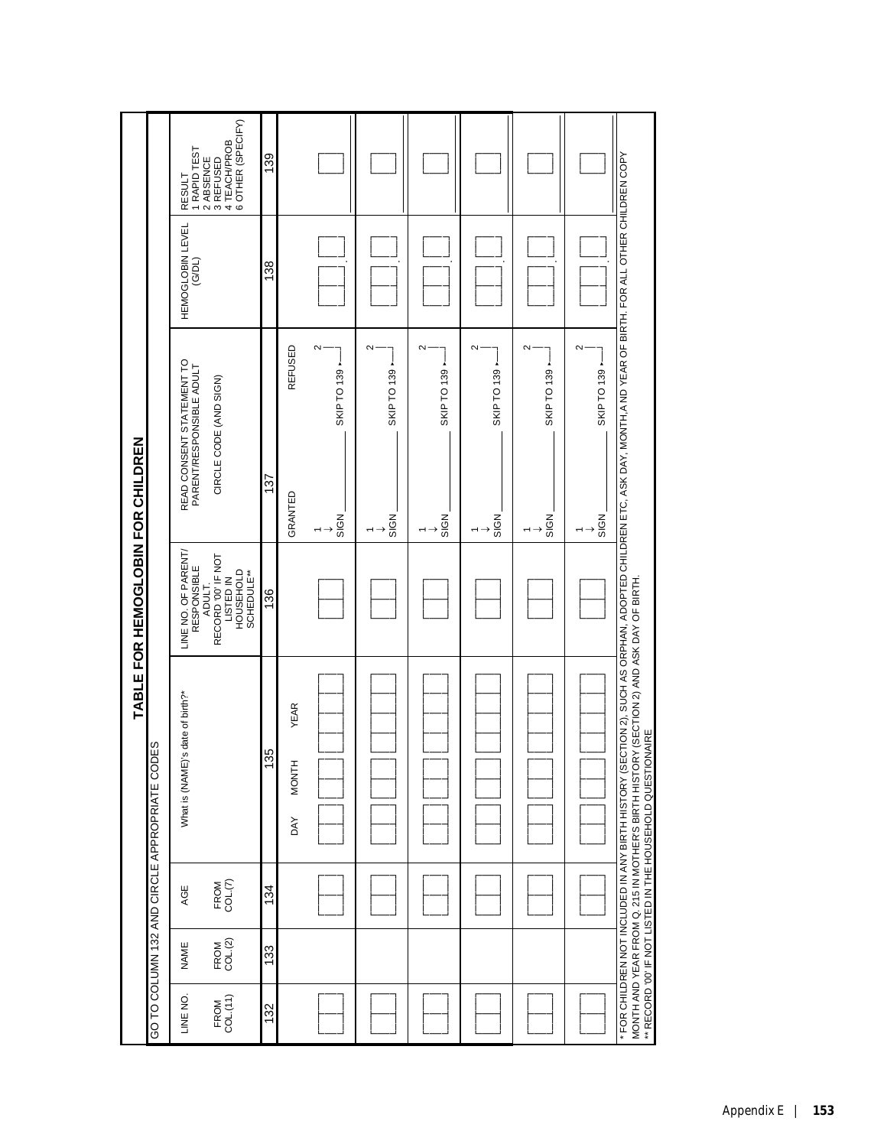|                  |                 |                             |                                                                                                                                                                                                            | TABLE FOR HEMOGLOBIN FOR CHILDREN                                           |                                                                                                                |                                   |                                                             |
|------------------|-----------------|-----------------------------|------------------------------------------------------------------------------------------------------------------------------------------------------------------------------------------------------------|-----------------------------------------------------------------------------|----------------------------------------------------------------------------------------------------------------|-----------------------------------|-------------------------------------------------------------|
|                  |                 |                             | S∃<br>GO TO COLUMN 132 AND CIRCLE APPROPRIATE COD                                                                                                                                                          |                                                                             |                                                                                                                |                                   |                                                             |
| LINE NO          | NAME            | AGE                         | 's date of birth?"<br>What is (NAME)                                                                                                                                                                       | LINE NO. OF PARENT/<br>RESPONSIBLE                                          | READ CONSENT STATEMENT TO<br>PARENT/RESPONSIBLE ADULT                                                          | <b>HEMOGLOBIN LEVEL</b><br>(G/DL) | 1 RAPID TEST<br><b>RESULT</b>                               |
| FROM<br>COL.(11) | FROM<br>COL.(2) | FROM<br>COL. <sub>(7)</sub> |                                                                                                                                                                                                            | RECORD '00' IF NOT<br><b>HOUSEHOLD</b><br>SCHEDULE**<br>LISTED IN<br>ADULT. | CIRCLE CODE (AND SIGN)                                                                                         |                                   | 6 OTHER (SPECIFY)<br>4 TEACH/PROB<br>2 ABSENCE<br>3 REFUSED |
| 132              | 133             | 134                         | 135                                                                                                                                                                                                        | 136                                                                         | 137                                                                                                            | 138                               | 139                                                         |
|                  |                 |                             | <b>YEAR</b><br><b>MONTH</b><br><b>AY</b>                                                                                                                                                                   |                                                                             | REFUSED<br>GRANTED                                                                                             |                                   |                                                             |
|                  |                 |                             |                                                                                                                                                                                                            |                                                                             | SKIP TO 139 -<br>SIGN                                                                                          | $\sim$                            |                                                             |
|                  |                 |                             |                                                                                                                                                                                                            |                                                                             | SKIP TO 139 -<br>SIGN                                                                                          | $\mathbf{\Omega}$                 |                                                             |
|                  |                 |                             |                                                                                                                                                                                                            |                                                                             | SKIP TO 139 .<br>SIGN                                                                                          | Z                                 |                                                             |
|                  |                 |                             |                                                                                                                                                                                                            |                                                                             | SKIP TO 139 -<br>SIGN                                                                                          | $\sim$                            |                                                             |
|                  |                 |                             |                                                                                                                                                                                                            |                                                                             | SKIP TO 139 -<br>SIGN                                                                                          | $\mathbf{\Omega}$                 |                                                             |
|                  |                 |                             |                                                                                                                                                                                                            |                                                                             | SKIP TO 139 -<br>SIGN                                                                                          | $\sim$                            |                                                             |
|                  |                 |                             | MONTH AND YEAR FROM Q. 215 IN MOTHER'S BIRTH HISTORY (SECTION 2) AND ASK DAY OF BIRTH.<br>** RECORD '00' IF NOT LISTED IN THE HOUSEHOLD QUESTIONAIRE<br>FOR CHILDREN NOT INCLUDED IN ANY BIRTH HISTORY (SE |                                                                             | CTION 2), SUCH AS ORPHAN, ADOPTED CHILDREN ETC, ASK DAY, MONTH,A ND YEAR OF BIRTH. FOR ALL OTHER CHILDREN COPY |                                   |                                                             |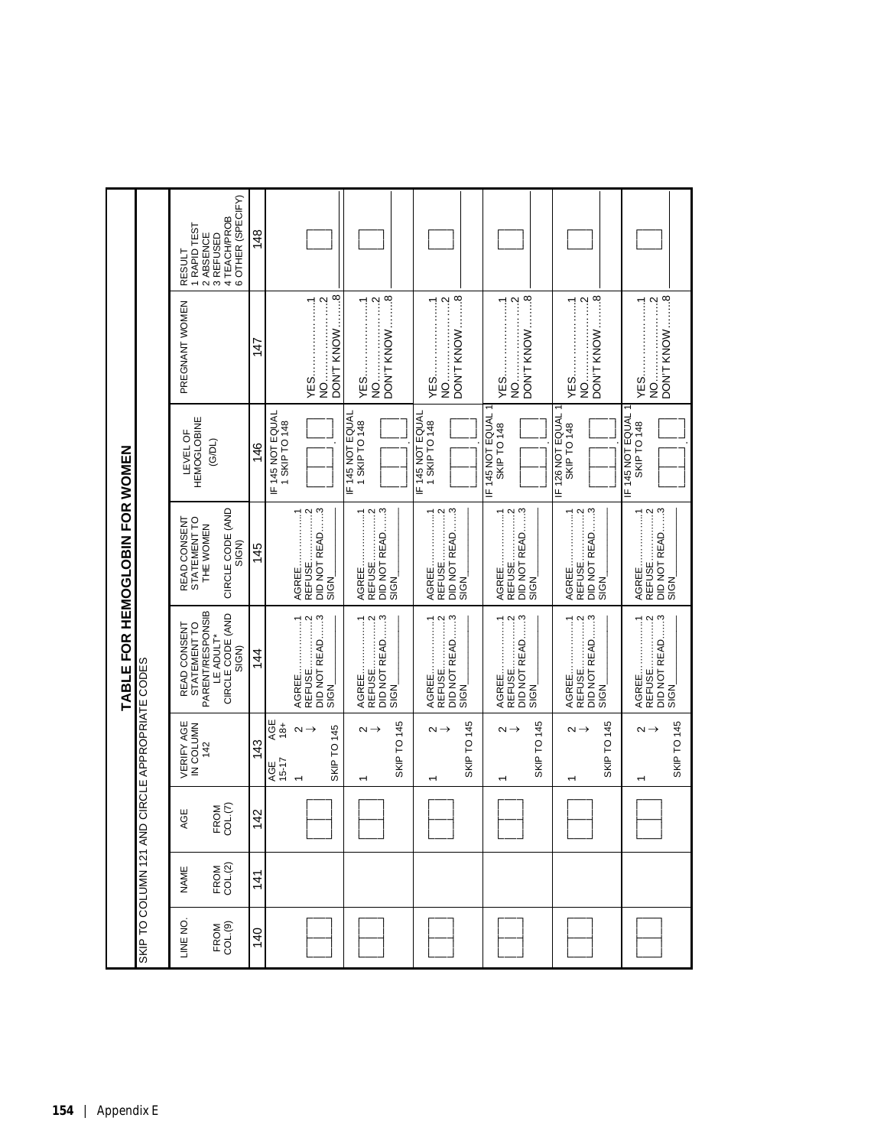|                                |                                              | 1 RAPID TEST<br>2 ABSENCE<br>RESULT              | 6 OTHER (SPECIFY)<br>4 TEACH/PROB<br>3 REFUSED | 148            |                                   |                                                                                                                                                                                                                                                                                                                                                                                                          |                                                                |                        |                                 |                                                                                                                                                                                                                                                                                                                                                                                                     |                    |                                                                                                                                                                                                                                                                                                                                                                                                          |                          |                                      |                                                                                                                                                                                                                                                                                                                                                                                      |                 |                                                                            |                       |
|--------------------------------|----------------------------------------------|--------------------------------------------------|------------------------------------------------|----------------|-----------------------------------|----------------------------------------------------------------------------------------------------------------------------------------------------------------------------------------------------------------------------------------------------------------------------------------------------------------------------------------------------------------------------------------------------------|----------------------------------------------------------------|------------------------|---------------------------------|-----------------------------------------------------------------------------------------------------------------------------------------------------------------------------------------------------------------------------------------------------------------------------------------------------------------------------------------------------------------------------------------------------|--------------------|----------------------------------------------------------------------------------------------------------------------------------------------------------------------------------------------------------------------------------------------------------------------------------------------------------------------------------------------------------------------------------------------------------|--------------------------|--------------------------------------|--------------------------------------------------------------------------------------------------------------------------------------------------------------------------------------------------------------------------------------------------------------------------------------------------------------------------------------------------------------------------------------|-----------------|----------------------------------------------------------------------------|-----------------------|
|                                |                                              | PREGNANT WOMEN                                   |                                                | 147            |                                   | $\ddot{\mathbf{e}}$<br>$\ddot{ }$<br>$\begin{bmatrix} 1 & 1 & 1 \\ 1 & 1 & 1 \\ 1 & 1 & 1 \\ 1 & 1 & 1 \\ 1 & 1 & 1 \\ 1 & 1 & 1 \\ 1 & 1 & 1 \\ 1 & 1 & 1 \\ 1 & 1 & 1 \\ 1 & 1 & 1 \\ 1 & 1 & 1 \\ 1 & 1 & 1 \\ 1 & 1 & 1 \\ 1 & 1 & 1 \\ 1 & 1 & 1 \\ 1 & 1 & 1 \\ 1 & 1 & 1 & 1 \\ 1 & 1 & 1 & 1 \\ 1 & 1 & 1 & 1 \\ 1 & 1 & 1 & 1 \\ 1 & 1 & 1 & 1 \\ 1 & 1 & 1 & $<br>DON'T KNOW<br>YES<br>:<br>Si |                                                                | DON'T KNOW8            |                                 | $\cdots \cdots \cdots$ <sup>8</sup><br>$\ddotsc$<br>DON'T KNOW<br>:<br>Si<br>Si                                                                                                                                                                                                                                                                                                                     |                    | $\cdots$ $\cdots$ $\cdots$ $\cdots$ $\cdots$ $\cdots$ $\cdots$ $\cdots$ $\cdots$ $\cdots$ $\cdots$ $\cdots$ $\cdots$ $\cdots$ $\cdots$ $\cdots$ $\cdots$ $\cdots$ $\cdots$ $\cdots$ $\cdots$ $\cdots$ $\cdots$ $\cdots$ $\cdots$ $\cdots$ $\cdots$ $\cdots$ $\cdots$ $\cdots$ $\cdots$ $\cdots$ $\cdots$ $\cdots$ $\cdots$ $\cdots$ $\cdots$<br>DON'T KNOW<br>:<br>Si<br>YES.                            | $\cdots \cdots \cdots$ 8 | YES.                                 | $rac{3}{2}$<br>$\cdots$ $\cdots$ $\cdots$ $\cdots$ $\cdots$ $\cdots$ $\cdots$ $\cdots$ $\cdots$ $\cdots$ $\cdots$ $\cdots$ $\cdots$ $\cdots$ $\cdots$ $\cdots$ $\cdots$ $\cdots$ $\cdots$ $\cdots$ $\cdots$ $\cdots$ $\cdots$ $\cdots$ $\cdots$ $\cdots$ $\cdots$ $\cdots$ $\cdots$ $\cdots$ $\cdots$ $\cdots$ $\cdots$ $\cdots$ $\cdots$ $\cdots$ $\cdots$<br>DON'T KNOW<br>:<br>Si |                 | $\cdots \cdots \cdots \cdots$<br>$1 - 1 - 1 - 1 - 1$<br>YES<br>$rac{1}{2}$ | DON'T KNOW8           |
|                                |                                              | <b>HEMOGLOBINE</b><br>LEVEL OF                   | (G/DL)                                         | 146            | IF 145 NOT EQUAL<br>1 SKIP TO 148 |                                                                                                                                                                                                                                                                                                                                                                                                          | IF 145 NOT EQUAL<br>1 SKIP TO 148                              |                        | F145 NOT EQUAL<br>1 SKIP TO 148 |                                                                                                                                                                                                                                                                                                                                                                                                     | 145 NOT EQUAL<br>щ | <b>SKIP TO 148</b>                                                                                                                                                                                                                                                                                                                                                                                       |                          | F126 NOT EQUAL<br><b>SKIP TO 148</b> |                                                                                                                                                                                                                                                                                                                                                                                      | F 145 NOT EQUAL | <b>SKIP TO 148</b>                                                         |                       |
|                                |                                              | STATEMENT TO<br>READ CONSENT<br>THE WOMEN        | CIRCLE CODE (AND<br>SIGN)                      | 145            |                                   | DID NOT READ3<br>$\cdots$ $\cdots$ $\cdots$ $\cdots$ $\cdots$ $\cdots$ $\cdots$ $\cdots$ $\cdots$ $\cdots$ $\cdots$ $\cdots$ $\cdots$ $\cdots$ $\cdots$ $\cdots$ $\cdots$ $\cdots$ $\cdots$ $\cdots$ $\cdots$ $\cdots$ $\cdots$ $\cdots$ $\cdots$ $\cdots$ $\cdots$ $\cdots$ $\cdots$ $\cdots$ $\cdots$ $\cdots$ $\cdots$ $\cdots$ $\cdots$ $\cdots$ $\cdots$<br>AGREE1<br><b>REFUSE</b><br>SIGN         | $\cdots$ $\cdots$ $\cdots$ $\cdots$<br>AGREE1<br><b>REFUSE</b> | DID NOT READ3<br>SIGN  | AGREE.                          | $\cdots$ 3<br>$\cdots$ $\cdots$ $\cdots$ $\cdots$ $\cdots$ $\cdots$ $\cdots$ $\cdots$ $\cdots$ $\cdots$ $\cdots$ $\cdots$ $\cdots$ $\cdots$ $\cdots$ $\cdots$ $\cdots$ $\cdots$ $\cdots$ $\cdots$ $\cdots$ $\cdots$ $\cdots$ $\cdots$ $\cdots$ $\cdots$ $\cdots$ $\cdots$ $\cdots$ $\cdots$ $\cdots$ $\cdots$ $\cdots$ $\cdots$ $\cdots$ $\cdots$ $\cdots$<br>DID NOT READ<br><b>REFUSE</b><br>SIGN |                    | DID NOT READ3<br>$\cdots$ $\cdots$ $\cdots$<br>AGREE<br>REFUSE                                                                                                                                                                                                                                                                                                                                           | SIGN                     | AGREE1                               | $\cdots$ <sup>3</sup><br>DID NOT READ<br>SIGN                                                                                                                                                                                                                                                                                                                                        |                 | REFUSE2<br>AGREE1                                                          | DID NOT READ3<br>SIGN |
| TABLE FOR HEMOGLOBIN FOR WOMEN |                                              | STATEMENT TO<br>PARENT/RESPONSIB<br>READ CONSENT | CIRCLE CODE (AND<br>LE ADULT*<br>SIGN)         | $\frac{4}{4}$  |                                   | DID NOT READ3<br>$\cdots$ $\cdots$ $\cdots$ $\cdots$ $\cdots$ $\cdots$ $\cdots$ $\cdots$ $\cdots$ $\cdots$ $\cdots$ $\cdots$ $\cdots$ $\cdots$ $\cdots$ $\cdots$ $\cdots$ $\cdots$ $\cdots$ $\cdots$ $\cdots$ $\cdots$ $\cdots$ $\cdots$ $\cdots$ $\cdots$ $\cdots$ $\cdots$ $\cdots$ $\cdots$ $\cdots$ $\cdots$ $\cdots$ $\cdots$ $\cdots$ $\cdots$ $\cdots$<br>AGREE1<br>REFUSE.<br>SIGN               | AGREE1<br>REFUSE2                                              | DID NOT READ3<br>SIGN_ | AGREE.                          | EAD3<br>DID NOT READ<br>REFUSE.<br>SIGN                                                                                                                                                                                                                                                                                                                                                             |                    | DID NOT READ3<br>$\cdots$ $\cdots$ $\cdots$ $\cdots$ $\cdots$ $\cdots$ $\cdots$ $\cdots$ $\cdots$ $\cdots$ $\cdots$ $\cdots$ $\cdots$ $\cdots$ $\cdots$ $\cdots$ $\cdots$ $\cdots$ $\cdots$ $\cdots$ $\cdots$ $\cdots$ $\cdots$ $\cdots$ $\cdots$ $\cdots$ $\cdots$ $\cdots$ $\cdots$ $\cdots$ $\cdots$ $\cdots$ $\cdots$ $\cdots$ $\cdots$ $\cdots$ $\cdots$<br>$1 - 1 - 1 - 1 - 1$<br>AGREE<br>REFUSE. | SIGN_                    | <b>1.</b> 1<br>AGREE.                | $\cdots$ <sup>3</sup><br>DID NOT READ.<br>SIGN_                                                                                                                                                                                                                                                                                                                                      |                 |                                                                            | DID NOT READ3<br>SIGN |
|                                | SHOO COLUMN 121 AND CIRCLE APPROPRIATE CODES | <b>VERIFY AGE</b><br>IN COLUMN<br>142            |                                                | 143            | AGE<br>$18+$<br>$15 - 17$<br>AGE  | <b>SKIP TO 145</b><br>$\sim$ $\rightarrow$                                                                                                                                                                                                                                                                                                                                                               | $\sim$ $\rightarrow$                                           | SKIP TO 145            | $\sim$ $\rightarrow$            | SKIP TO 145                                                                                                                                                                                                                                                                                                                                                                                         |                    | $\sim$ $\rightarrow$                                                                                                                                                                                                                                                                                                                                                                                     | SKIP TO 145              | $\sim$ $\rightarrow$                 | <b>SKIP TO 145</b>                                                                                                                                                                                                                                                                                                                                                                   |                 | $\sim$                                                                     | SKIP TO 145           |
|                                |                                              | AGE                                              | COL(7)<br>FROM                                 | $\frac{42}{5}$ |                                   |                                                                                                                                                                                                                                                                                                                                                                                                          |                                                                |                        |                                 |                                                                                                                                                                                                                                                                                                                                                                                                     |                    |                                                                                                                                                                                                                                                                                                                                                                                                          |                          |                                      |                                                                                                                                                                                                                                                                                                                                                                                      |                 |                                                                            |                       |
|                                |                                              | NAME                                             | FROM<br>COL.(2)                                | $\frac{4}{1}$  |                                   |                                                                                                                                                                                                                                                                                                                                                                                                          |                                                                |                        |                                 |                                                                                                                                                                                                                                                                                                                                                                                                     |                    |                                                                                                                                                                                                                                                                                                                                                                                                          |                          |                                      |                                                                                                                                                                                                                                                                                                                                                                                      |                 |                                                                            |                       |
|                                |                                              | LINE NO                                          | FROM<br>COL(9)                                 | $\frac{40}{5}$ |                                   |                                                                                                                                                                                                                                                                                                                                                                                                          |                                                                |                        |                                 |                                                                                                                                                                                                                                                                                                                                                                                                     |                    |                                                                                                                                                                                                                                                                                                                                                                                                          |                          |                                      |                                                                                                                                                                                                                                                                                                                                                                                      |                 |                                                                            |                       |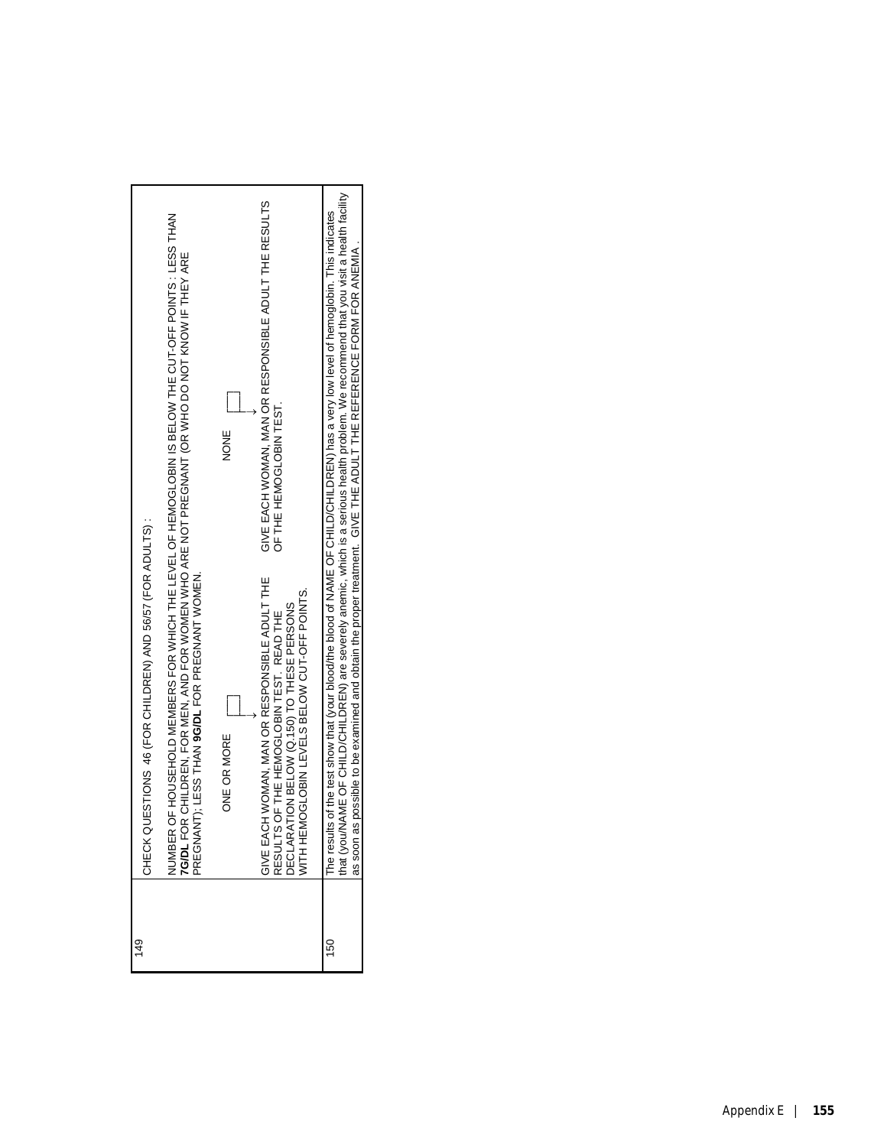| $\frac{49}{5}$ | CHECK QUESTIONS 46 (FOR CHILDREN) AND 56/57 (FOR ADULTS) :                                                                                                                                                                                                                                                                                            |
|----------------|-------------------------------------------------------------------------------------------------------------------------------------------------------------------------------------------------------------------------------------------------------------------------------------------------------------------------------------------------------|
|                | NUMBER OF HOUSEHOLD MEMBERS FOR WHICH THE LEVEL OF HEMOGLOBIN IS BELOW THE CUT-OFF POINTS : LESS THAN<br>7GIDL FOR CHILDREN, FOR MEN, AND FOR WOMEN WHO ARE NOT PREGNANT (OR WHO DO NOT KNOW IF THEY ARE<br>PREGNANT); LESS THAN <b>9G</b>                                                                                                            |
|                | NONE<br>ONE OR MORE                                                                                                                                                                                                                                                                                                                                   |
|                | GIVE EACH WOMAN, MAN OR RESPONSIBLE ADULT THE RESULTS<br>OF THE HEMOGLOBIN TEST.<br>GIVE EACH WOMAN, MAN OR RESPONSIBLE ADULT THE<br>VITH HEMOGLOBIN LEVELS BELOW CUT-OFF POINTS.<br>DECLARATION BELOW (Q.150) TO THESE PERSONS<br>RESULTS OF THE HEMOGLOBIN TEST. READ THE                                                                           |
| 150            | The results of the test show that (your blood/the blood of NAME OF CHILD/CHILDREN) has a very low level of hemoglobin. This indicates<br>that (you/NAME OF CHILD/CHILDREN) are severely anemic, which is a serious health problem<br>as soon as possible to be examined and obtain the proper treatment. GIVE THE ADULT THE REFERENCE FORM FOR ANEMIA |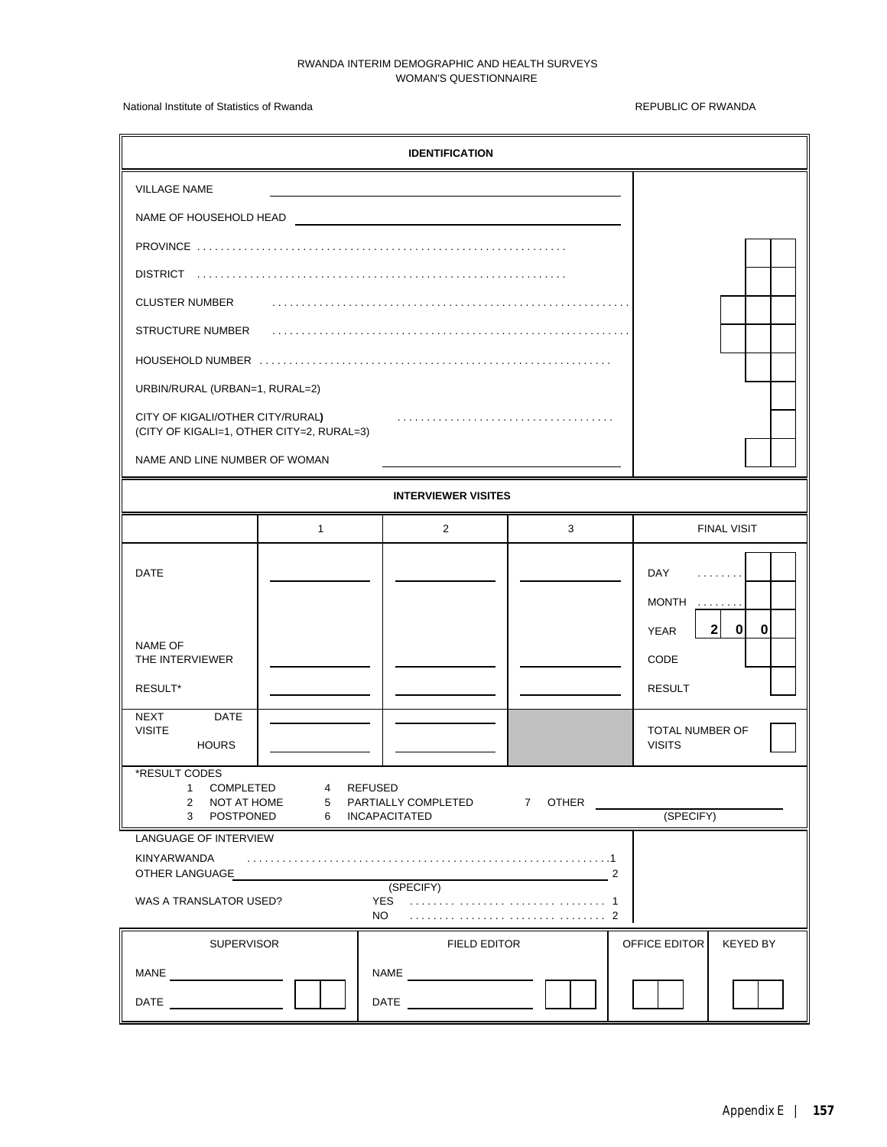## RWANDA INTERIM DEMOGRAPHIC AND HEALTH SURVEYS WOMAN'S QUESTIONNAIRE

National Institute of Statistics of Rwanda **REPUBLIC OF RWANDA** REPUBLIC OF RWANDA

| <b>IDENTIFICATION</b>                                                                                                                            |              |                            |   |                                                                                                             |  |
|--------------------------------------------------------------------------------------------------------------------------------------------------|--------------|----------------------------|---|-------------------------------------------------------------------------------------------------------------|--|
| <b>VILLAGE NAME</b>                                                                                                                              |              |                            |   |                                                                                                             |  |
| NAME OF HOUSEHOLD HEAD                                                                                                                           |              |                            |   |                                                                                                             |  |
|                                                                                                                                                  |              |                            |   |                                                                                                             |  |
| <b>DISTRICT</b>                                                                                                                                  |              |                            |   |                                                                                                             |  |
| <b>CLUSTER NUMBER</b>                                                                                                                            |              |                            |   |                                                                                                             |  |
| <b>STRUCTURE NUMBER</b>                                                                                                                          |              |                            |   |                                                                                                             |  |
|                                                                                                                                                  |              |                            |   |                                                                                                             |  |
| URBIN/RURAL (URBAN=1, RURAL=2)                                                                                                                   |              |                            |   |                                                                                                             |  |
| CITY OF KIGALI/OTHER CITY/RURAL)<br>(CITY OF KIGALI=1, OTHER CITY=2, RURAL=3)                                                                    |              |                            |   |                                                                                                             |  |
| NAME AND LINE NUMBER OF WOMAN                                                                                                                    |              |                            |   |                                                                                                             |  |
|                                                                                                                                                  |              | <b>INTERVIEWER VISITES</b> |   |                                                                                                             |  |
|                                                                                                                                                  | $\mathbf{1}$ | 2                          | 3 | <b>FINAL VISIT</b>                                                                                          |  |
| DATE                                                                                                                                             |              |                            |   | <b>DAY</b><br>.<br><b>MONTH</b><br>$\mathcal{L} \times \mathcal{L} \times \mathcal{L} \times \mathcal{L}$ . |  |
| NAME OF<br>THE INTERVIEWER<br>RESULT*                                                                                                            |              |                            |   | 2 <sup>1</sup><br>$\mathbf{0}$<br>0<br><b>YEAR</b><br>CODE<br><b>RESULT</b>                                 |  |
| <b>DATE</b><br><b>NEXT</b>                                                                                                                       |              |                            |   |                                                                                                             |  |
| <b>VISITE</b><br><b>HOURS</b>                                                                                                                    |              |                            |   | <b>TOTAL NUMBER OF</b><br><b>VISITS</b>                                                                     |  |
| *RESULT CODES<br>COMPLETED<br>4 REFUSED<br>1<br>2 NOT AT HOME<br>5 PARTIALLY COMPLETED<br>7 OTHER<br>(SPECIFY)<br>3 POSTPONED<br>6 INCAPACITATED |              |                            |   |                                                                                                             |  |
| LANGUAGE OF INTERVIEW<br>KINYARWANDA<br>OTHER LANGUAGE<br>2<br>(SPECIFY)<br>WAS A TRANSLATOR USED?<br>NO                                         |              |                            |   |                                                                                                             |  |
| <b>SUPERVISOR</b>                                                                                                                                |              | FIELD EDITOR               |   | OFFICE EDITOR<br><b>KEYED BY</b>                                                                            |  |
| MANE                                                                                                                                             |              | NAME                       |   |                                                                                                             |  |
| DATE                                                                                                                                             |              | DATE                       |   |                                                                                                             |  |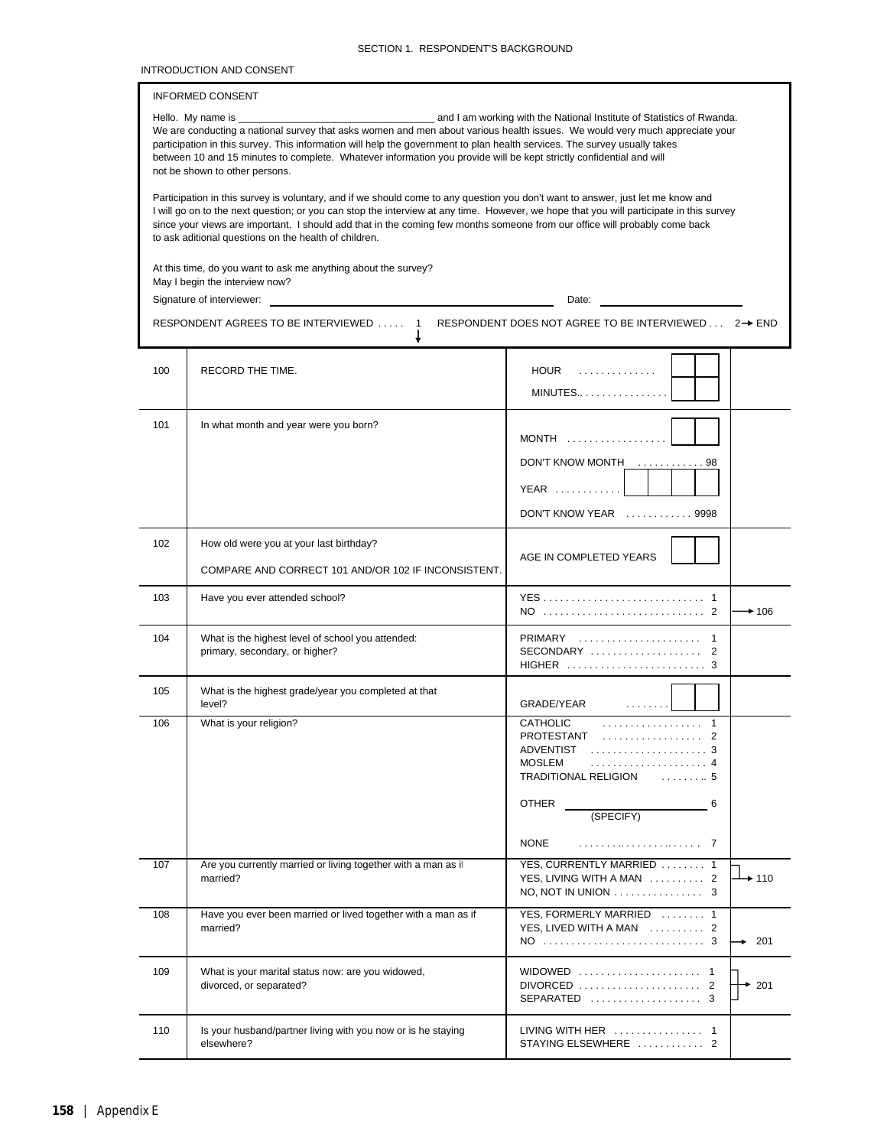|  | SECTION 1. RESPONDENT'S BACKGROUND |  |
|--|------------------------------------|--|
|--|------------------------------------|--|

### INTRODUCTION AND CONSENT

## INFORMED CONSENT

| Hello. Mv name is                                                                                                         | and I am working with the National Institute of Statistics of Rwanda.                                                       |
|---------------------------------------------------------------------------------------------------------------------------|-----------------------------------------------------------------------------------------------------------------------------|
|                                                                                                                           | We are conducting a national survey that asks women and men about various health issues. We would very much appreciate your |
| participation in this survey. This information will help the government to plan health services. The survey usually takes |                                                                                                                             |
| between 10 and 15 minutes to complete. Whatever information you provide will be kept strictly confidential and will       |                                                                                                                             |
| not be shown to other persons.                                                                                            |                                                                                                                             |

Participation in this survey is voluntary, and if we should come to any question you don't want to answer, just let me know and I will go on to the next question; or you can stop the interview at any time. However, we hope that you will participate in this survey since your views are important. I should add that in the coming few months someone from our office will probably come back to ask aditional questions on the health of children.

At this time, do you want to ask me anything about the survey? May I begin the interview now?

| Signature of interviewer: | Date: |
|---------------------------|-------|
|                           |       |

|     | RESPONDENT AGREES TO BE INTERVIEWED<br>1                                                       | RESPONDENT DOES NOT AGREE TO BE INTERVIEWED 2→ END                                                                                                                                                           |
|-----|------------------------------------------------------------------------------------------------|--------------------------------------------------------------------------------------------------------------------------------------------------------------------------------------------------------------|
| 100 | RECORD THE TIME.                                                                               | <b>HOUR</b><br>.<br>$MINUTES$                                                                                                                                                                                |
| 101 | In what month and year were you born?                                                          | $MONTH$<br>DON'T KNOW MONTH 98<br><b>YEAR</b><br>DON'T KNOW YEAR  9998                                                                                                                                       |
| 102 | How old were you at your last birthday?<br>COMPARE AND CORRECT 101 AND/OR 102 IF INCONSISTENT. | AGE IN COMPLETED YEARS                                                                                                                                                                                       |
| 103 | Have you ever attended school?                                                                 | $+106$                                                                                                                                                                                                       |
| 104 | What is the highest level of school you attended:<br>primary, secondary, or higher?            | PRIMARY                                                                                                                                                                                                      |
| 105 | What is the highest grade/year you completed at that<br>level?                                 | GRADE/YEAR<br>.                                                                                                                                                                                              |
| 106 | What is your religion?                                                                         | CATHOLIC<br>.<br>$\mathbf{1}$<br>.<br>PROTESTANT<br>ADVENTIST $\ldots \ldots \ldots \ldots \ldots \ldots$ 3<br><b>MOSLEM</b><br><b>TRADITIONAL RELIGION</b><br>. 5<br>OTHER<br>6<br>(SPECIFY)<br><b>NONE</b> |
| 107 | Are you currently married or living together with a man as if<br>married?                      | YES, CURRENTLY MARRIED  1<br>YES, LIVING WITH A MAN  2<br>$\div$ 110                                                                                                                                         |
| 108 | Have you ever been married or lived together with a man as if<br>married?                      | YES, FORMERLY MARRIED  1<br>YES, LIVED WITH A MAN  2<br>201                                                                                                                                                  |
| 109 | What is your marital status now: are you widowed,<br>divorced, or separated?                   | WIDOWED  1<br>DIVORCED  2<br>201                                                                                                                                                                             |
| 110 | Is your husband/partner living with you now or is he staying<br>elsewhere?                     | LIVING WITH HER  1<br>STAYING ELSEWHERE  2                                                                                                                                                                   |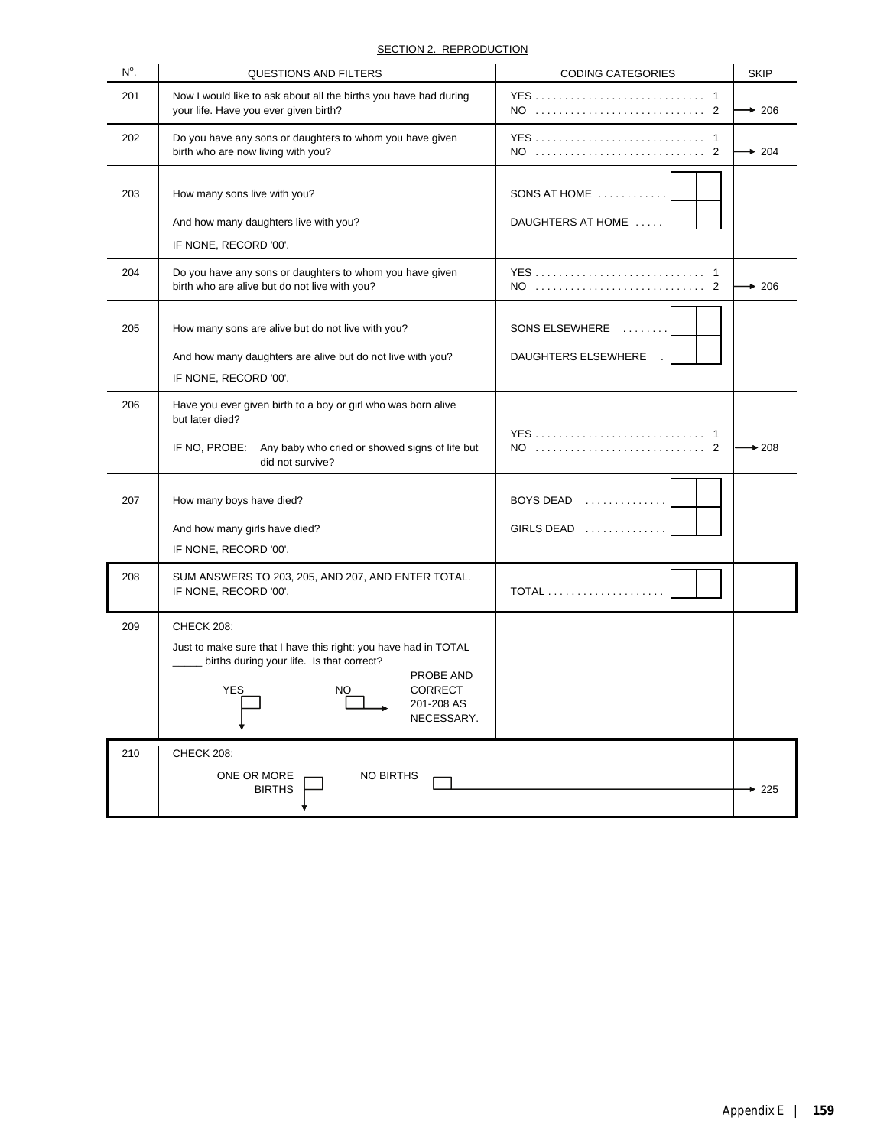| $N^{\circ}$ . | QUESTIONS AND FILTERS                                                                                                                                                                                     | <b>CODING CATEGORIES</b>              | <b>SKIP</b> |
|---------------|-----------------------------------------------------------------------------------------------------------------------------------------------------------------------------------------------------------|---------------------------------------|-------------|
| 201           | Now I would like to ask about all the births you have had during<br>your life. Have you ever given birth?                                                                                                 |                                       | $+206$      |
| 202           | Do you have any sons or daughters to whom you have given<br>birth who are now living with you?                                                                                                            | NO  2                                 | $+204$      |
| 203           | How many sons live with you?<br>And how many daughters live with you?<br>IF NONE, RECORD '00'.                                                                                                            | SONS AT HOME<br>DAUGHTERS AT HOME     |             |
| 204           | Do you have any sons or daughters to whom you have given<br>birth who are alive but do not live with you?                                                                                                 |                                       | $+206$      |
| 205           | How many sons are alive but do not live with you?<br>And how many daughters are alive but do not live with you?<br>IF NONE, RECORD '00'.                                                                  | SONS ELSEWHERE<br>DAUGHTERS ELSEWHERE |             |
| 206           | Have you ever given birth to a boy or girl who was born alive<br>but later died?<br>IF NO, PROBE:<br>Any baby who cried or showed signs of life but<br>did not survive?                                   |                                       | $+208$      |
| 207           | How many boys have died?<br>And how many girls have died?<br>IF NONE, RECORD '00'.                                                                                                                        | BOYS DEAD<br>GIRLS DEAD               |             |
| 208           | SUM ANSWERS TO 203, 205, AND 207, AND ENTER TOTAL.<br>IF NONE, RECORD '00'.                                                                                                                               | <b>TOTAL</b>                          |             |
| 209           | CHECK 208:<br>Just to make sure that I have this right: you have had in TOTAL<br>births during your life. Is that correct?<br>PROBE AND<br><b>YES</b><br><b>CORRECT</b><br>NO<br>201-208 AS<br>NECESSARY. |                                       |             |
| 210           | <b>CHECK 208:</b><br>ONE OR MORE<br><b>NO BIRTHS</b><br><b>BIRTHS</b>                                                                                                                                     |                                       | 225         |

## SECTION 2. REPRODUCTION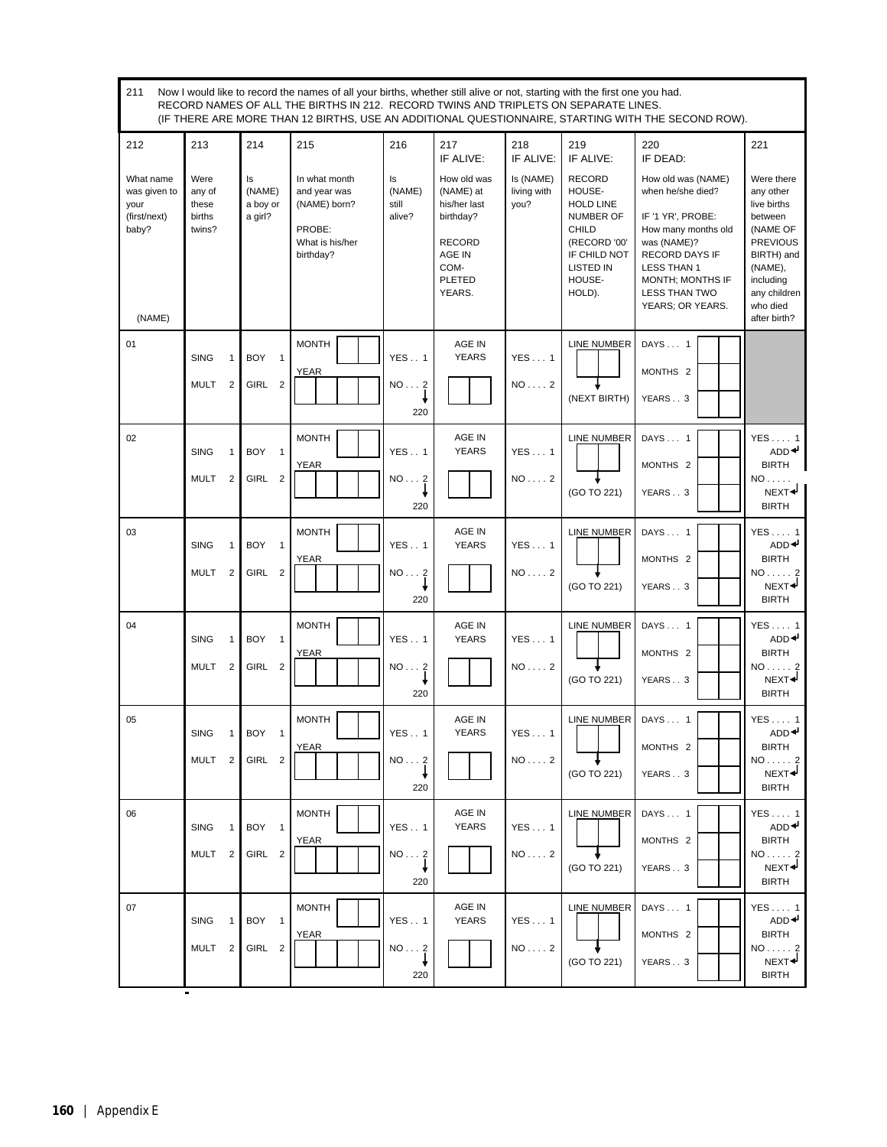| 211                                                                  | Now I would like to record the names of all your births, whether still alive or not, starting with the first one you had.<br>RECORD NAMES OF ALL THE BIRTHS IN 212. RECORD TWINS AND TRIPLETS ON SEPARATE LINES.<br>(IF THERE ARE MORE THAN 12 BIRTHS, USE AN ADDITIONAL QUESTIONNAIRE, STARTING WITH THE SECOND ROW). |                                                 |                                                                                         |                                 |                                                                                                                     |                                  |                                                                                                                                                  |                                                                                                                                                                                                                   |                                                                                                                                                                    |
|----------------------------------------------------------------------|------------------------------------------------------------------------------------------------------------------------------------------------------------------------------------------------------------------------------------------------------------------------------------------------------------------------|-------------------------------------------------|-----------------------------------------------------------------------------------------|---------------------------------|---------------------------------------------------------------------------------------------------------------------|----------------------------------|--------------------------------------------------------------------------------------------------------------------------------------------------|-------------------------------------------------------------------------------------------------------------------------------------------------------------------------------------------------------------------|--------------------------------------------------------------------------------------------------------------------------------------------------------------------|
| 212                                                                  | 213                                                                                                                                                                                                                                                                                                                    | 214                                             | 215                                                                                     | 216                             | 217<br>IF ALIVE:                                                                                                    | 218<br>IF ALIVE:                 | 219<br>IF ALIVE:                                                                                                                                 | 220<br>IF DEAD:                                                                                                                                                                                                   | 221                                                                                                                                                                |
| What name<br>was given to<br>your<br>(first/next)<br>baby?<br>(NAME) | Were<br>any of<br>these<br>births<br>twins?                                                                                                                                                                                                                                                                            | Is<br>(NAME)<br>a boy or<br>a girl?             | In what month<br>and year was<br>(NAME) born?<br>PROBE:<br>What is his/her<br>birthday? | Is<br>(NAME)<br>still<br>alive? | How old was<br>(NAME) at<br>his/her last<br>birthday?<br><b>RECORD</b><br>AGE IN<br>COM-<br><b>PLETED</b><br>YEARS. | Is (NAME)<br>living with<br>you? | <b>RECORD</b><br>HOUSE-<br><b>HOLD LINE</b><br>NUMBER OF<br><b>CHILD</b><br>(RECORD '00'<br>IF CHILD NOT<br><b>LISTED IN</b><br>HOUSE-<br>HOLD). | How old was (NAME)<br>when he/she died?<br>IF '1 YR', PROBE:<br>How many months old<br>was (NAME)?<br><b>RECORD DAYS IF</b><br><b>LESS THAN 1</b><br>MONTH; MONTHS IF<br><b>LESS THAN TWO</b><br>YEARS; OR YEARS. | Were there<br>any other<br>live births<br>between<br>(NAME OF<br><b>PREVIOUS</b><br>BIRTH) and<br>(NAME),<br>including<br>any children<br>who died<br>after birth? |
| 01                                                                   | <b>SING</b><br>$\mathbf{1}$                                                                                                                                                                                                                                                                                            | <b>BOY</b><br>$\overline{1}$                    | <b>MONTH</b>                                                                            | <b>YES1</b>                     | AGE IN<br><b>YEARS</b>                                                                                              | <b>YES1</b>                      | <b>LINE NUMBER</b>                                                                                                                               | DAYS 1                                                                                                                                                                                                            |                                                                                                                                                                    |
|                                                                      | MULT<br>$\overline{2}$                                                                                                                                                                                                                                                                                                 | GIRL 2                                          | <b>YEAR</b>                                                                             | NO2                             |                                                                                                                     | $NO \ldots 2$                    |                                                                                                                                                  | MONTHS <sub>2</sub>                                                                                                                                                                                               |                                                                                                                                                                    |
|                                                                      |                                                                                                                                                                                                                                                                                                                        |                                                 |                                                                                         | 220                             |                                                                                                                     |                                  | (NEXT BIRTH)                                                                                                                                     | YEARS3                                                                                                                                                                                                            |                                                                                                                                                                    |
| 02                                                                   | <b>SING</b><br>$\mathbf{1}$                                                                                                                                                                                                                                                                                            | <b>BOY</b><br>$\overline{1}$                    | <b>MONTH</b>                                                                            | <b>YES1</b>                     | AGE IN<br><b>YEARS</b>                                                                                              | YES1                             | <b>LINE NUMBER</b>                                                                                                                               | DAYS 1                                                                                                                                                                                                            | $YES \dots 1$<br>ADD <sup>4</sup>                                                                                                                                  |
|                                                                      | <b>MULT</b><br>$\overline{2}$                                                                                                                                                                                                                                                                                          | GIRL<br>$\overline{\mathbf{2}}$                 | <b>YEAR</b>                                                                             | NO2                             |                                                                                                                     | $NO \ldots 2$                    | (GO TO 221)                                                                                                                                      | MONTHS <sub>2</sub><br>YEARS3                                                                                                                                                                                     | <b>BIRTH</b><br>$NO \ldots$ .<br>NEXT <sup>+</sup>                                                                                                                 |
|                                                                      |                                                                                                                                                                                                                                                                                                                        |                                                 |                                                                                         | 220                             |                                                                                                                     |                                  |                                                                                                                                                  |                                                                                                                                                                                                                   | <b>BIRTH</b>                                                                                                                                                       |
| 03                                                                   | <b>SING</b><br>$\mathbf{1}$                                                                                                                                                                                                                                                                                            | <b>BOY</b><br>$\overline{1}$                    | <b>MONTH</b><br><b>YEAR</b>                                                             | <b>YES1</b>                     | AGE IN<br><b>YEARS</b>                                                                                              | <b>YES1</b>                      | <b>LINE NUMBER</b>                                                                                                                               | DAYS 1<br>MONTHS <sub>2</sub>                                                                                                                                                                                     | YES1<br>ADD <sup>4</sup><br><b>BIRTH</b>                                                                                                                           |
|                                                                      | <b>MULT</b><br>$\overline{2}$                                                                                                                                                                                                                                                                                          | GIRL 2                                          |                                                                                         | NO2<br>220                      |                                                                                                                     | $NO \ldots 2$                    | (GO TO 221)                                                                                                                                      | YEARS3                                                                                                                                                                                                            | $NO \ldots 2$<br>NEXT <sup>4</sup><br><b>BIRTH</b>                                                                                                                 |
| 04                                                                   |                                                                                                                                                                                                                                                                                                                        | <b>BOY</b>                                      | <b>MONTH</b>                                                                            |                                 | AGE IN<br><b>YEARS</b>                                                                                              |                                  | LINE NUMBER                                                                                                                                      | DAYS 1                                                                                                                                                                                                            | YES1<br>ADD <sup>4</sup>                                                                                                                                           |
|                                                                      | <b>SING</b><br>$\mathbf{1}$<br><b>MULT</b><br>$\overline{2}$                                                                                                                                                                                                                                                           | $\overline{1}$<br><b>GIRL</b><br>$\overline{2}$ | <b>YEAR</b>                                                                             | <b>YES</b> 1<br>NO2             |                                                                                                                     | YES1<br>$NO \ldots 2$            |                                                                                                                                                  | MONTHS <sub>2</sub>                                                                                                                                                                                               | <b>BIRTH</b><br>NO.                                                                                                                                                |
|                                                                      |                                                                                                                                                                                                                                                                                                                        |                                                 |                                                                                         | 220                             |                                                                                                                     |                                  | (GO TO 221)                                                                                                                                      | YEARS3                                                                                                                                                                                                            | NEXT <sup>+</sup><br><b>BIRTH</b>                                                                                                                                  |
| 05                                                                   | <b>SING</b>                                                                                                                                                                                                                                                                                                            | 1 BOY<br>$\overline{1}$                         | <b>MONTH</b>                                                                            | YES 1                           | AGE IN<br><b>YEARS</b>                                                                                              | YES1                             | LINE NUMBER                                                                                                                                      | DAYS 1                                                                                                                                                                                                            | $YES \dots 1$<br>ADD <sup>4</sup>                                                                                                                                  |
|                                                                      | MULT <sub>2</sub>                                                                                                                                                                                                                                                                                                      | GIRL 2                                          | <b>YEAR</b>                                                                             | NO2                             |                                                                                                                     | $NO \ldots 2$                    |                                                                                                                                                  | MONTHS <sub>2</sub>                                                                                                                                                                                               | <b>BIRTH</b><br>$NO \ldots 2$                                                                                                                                      |
|                                                                      |                                                                                                                                                                                                                                                                                                                        |                                                 |                                                                                         | 220                             |                                                                                                                     |                                  | (GO TO 221)                                                                                                                                      | YEARS3                                                                                                                                                                                                            | NEXT <sup>4</sup><br><b>BIRTH</b>                                                                                                                                  |
| 06                                                                   | <b>SING</b><br>$\mathbf{1}$                                                                                                                                                                                                                                                                                            | BOY 1                                           | <b>MONTH</b>                                                                            | <b>YES1</b>                     | AGE IN<br><b>YEARS</b>                                                                                              | YES1                             | LINE NUMBER                                                                                                                                      | DAYS 1                                                                                                                                                                                                            | $YES \dots 1$<br>ADD <sup>↓</sup>                                                                                                                                  |
|                                                                      | MULT <sub>2</sub>                                                                                                                                                                                                                                                                                                      | GIRL 2                                          | <b>YEAR</b>                                                                             | NO2                             |                                                                                                                     | $NO \ldots 2$                    | (GO TO 221)                                                                                                                                      | MONTHS <sub>2</sub>                                                                                                                                                                                               | <b>BIRTH</b><br>$NO \ldots 2$<br>NEXT <sup>+</sup>                                                                                                                 |
|                                                                      |                                                                                                                                                                                                                                                                                                                        |                                                 |                                                                                         | 220                             |                                                                                                                     |                                  |                                                                                                                                                  | YEARS3                                                                                                                                                                                                            | <b>BIRTH</b>                                                                                                                                                       |
| 07                                                                   | <b>SING</b><br>$\mathbf{1}$                                                                                                                                                                                                                                                                                            | BOY<br>$\overline{1}$                           | <b>MONTH</b>                                                                            | YES1                            | AGE IN<br><b>YEARS</b>                                                                                              | YES1                             | LINE NUMBER                                                                                                                                      | DAYS 1                                                                                                                                                                                                            | $YES \dots 1$<br>ADD <sup>4</sup>                                                                                                                                  |
|                                                                      | MULT <sub>2</sub>                                                                                                                                                                                                                                                                                                      | GIRL 2                                          | <b>YEAR</b>                                                                             | NO2                             |                                                                                                                     | $NO \ldots 2$                    | (GO TO 221)                                                                                                                                      | MONTHS <sub>2</sub><br>YEARS3                                                                                                                                                                                     | <b>BIRTH</b><br>NO 2<br>NEXT <sup>+</sup>                                                                                                                          |
|                                                                      | Ξ                                                                                                                                                                                                                                                                                                                      |                                                 |                                                                                         | 220                             |                                                                                                                     |                                  |                                                                                                                                                  |                                                                                                                                                                                                                   | <b>BIRTH</b>                                                                                                                                                       |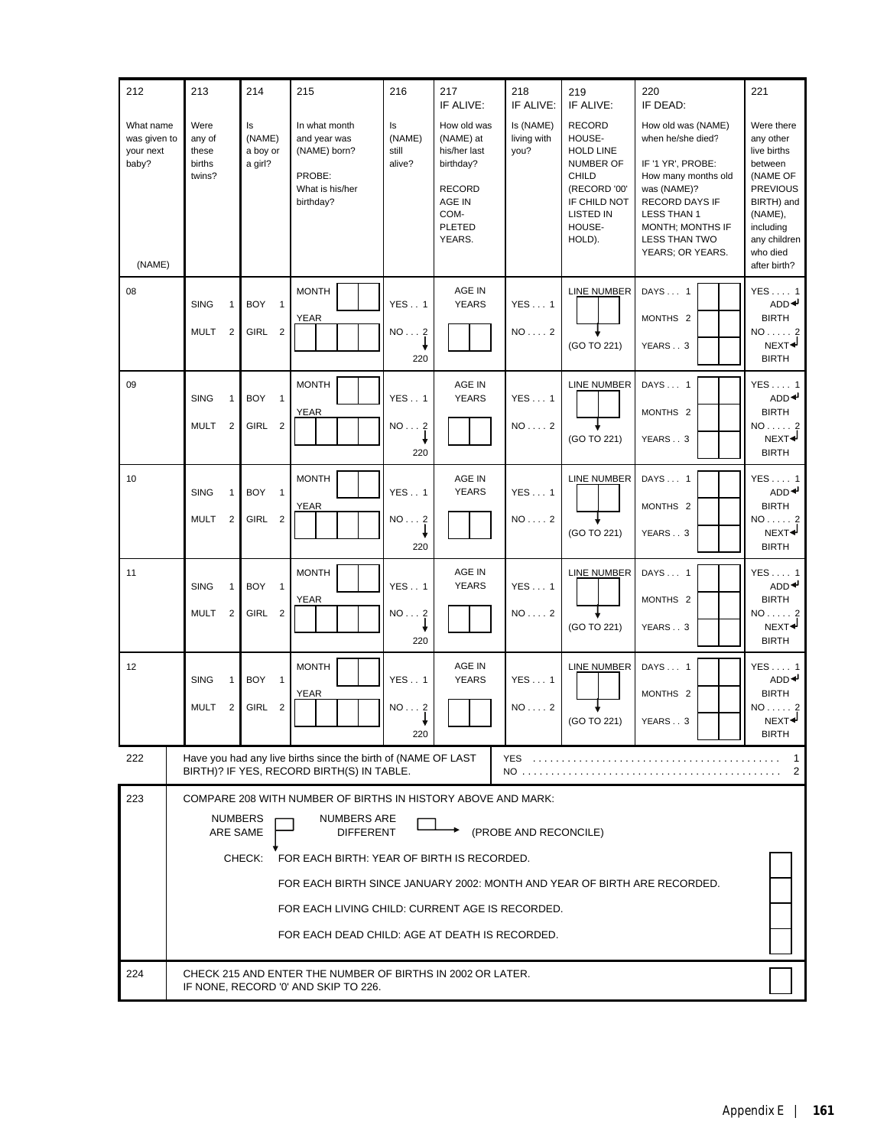| 212                                                       | 213                                                                                                                                                                                                                                                                                                                                                                                                    | 214                                                             | 215                                                                                                        | 216                             | 217<br>IF ALIVE:                                                                                                    | 218<br>IF ALIVE:                 | 219<br>IF ALIVE:                                                                                                                          | 220<br>IF DEAD:                                                                                                                                                                                     | 221                                                                                                                                                                |
|-----------------------------------------------------------|--------------------------------------------------------------------------------------------------------------------------------------------------------------------------------------------------------------------------------------------------------------------------------------------------------------------------------------------------------------------------------------------------------|-----------------------------------------------------------------|------------------------------------------------------------------------------------------------------------|---------------------------------|---------------------------------------------------------------------------------------------------------------------|----------------------------------|-------------------------------------------------------------------------------------------------------------------------------------------|-----------------------------------------------------------------------------------------------------------------------------------------------------------------------------------------------------|--------------------------------------------------------------------------------------------------------------------------------------------------------------------|
| What name<br>was given to<br>your next<br>baby?<br>(NAME) | Were<br>any of<br>these<br>births<br>twins?                                                                                                                                                                                                                                                                                                                                                            | ls<br>(NAME)<br>a boy or<br>a girl?                             | In what month<br>and year was<br>(NAME) born?<br>PROBE:<br>What is his/her<br>birthday?                    | Is<br>(NAME)<br>still<br>alive? | How old was<br>(NAME) at<br>his/her last<br>birthday?<br><b>RECORD</b><br>AGE IN<br>COM-<br><b>PLETED</b><br>YEARS. | Is (NAME)<br>living with<br>you? | <b>RECORD</b><br>HOUSE-<br><b>HOLD LINE</b><br>NUMBER OF<br><b>CHILD</b><br>(RECORD '00'<br>IF CHILD NOT<br>LISTED IN<br>HOUSE-<br>HOLD). | How old was (NAME)<br>when he/she died?<br>IF '1 YR', PROBE:<br>How many months old<br>was (NAME)?<br>RECORD DAYS IF<br><b>LESS THAN 1</b><br>MONTH; MONTHS IF<br>LESS THAN TWO<br>YEARS; OR YEARS. | Were there<br>any other<br>live births<br>between<br>(NAME OF<br><b>PREVIOUS</b><br>BIRTH) and<br>(NAME),<br>including<br>any children<br>who died<br>after birth? |
| 08                                                        | <b>SING</b><br>$\mathbf{1}$<br><b>MULT</b><br>$\overline{2}$                                                                                                                                                                                                                                                                                                                                           | <b>BOY</b><br>$\overline{1}$<br><b>GIRL</b><br>$\overline{2}$   | <b>MONTH</b><br><b>YEAR</b>                                                                                | <b>YES1</b><br>NO2<br>220       | AGE IN<br><b>YEARS</b>                                                                                              | YES1<br>$NO \ldots 2$            | LINE NUMBER<br>(GO TO 221)                                                                                                                | DAYS 1<br>MONTHS <sub>2</sub><br>YEARS3                                                                                                                                                             | YES 1<br>ADD <sup>4</sup><br><b>BIRTH</b><br>$NO \ldots 2$<br>NEXT <sup>4</sup><br><b>BIRTH</b>                                                                    |
| 09                                                        | <b>SING</b><br>$\mathbf{1}$<br><b>MULT</b><br>$\overline{2}$                                                                                                                                                                                                                                                                                                                                           | <b>BOY</b><br>$\overline{1}$<br>GIRL<br>$\overline{\mathbf{2}}$ | <b>MONTH</b><br><b>YEAR</b>                                                                                | <b>YES1</b><br>NO2<br>220       | AGE IN<br><b>YEARS</b>                                                                                              | YES1<br>$NO \ldots 2$            | <b>LINE NUMBER</b><br>(GO TO 221)                                                                                                         | DAYS 1<br>MONTHS <sub>2</sub><br>YEARS3                                                                                                                                                             | YES1<br>ADD <sup>4</sup><br><b>BIRTH</b><br>$NO \ldots 2$<br>NEXT <sup>+</sup><br><b>BIRTH</b>                                                                     |
| 10                                                        | <b>SING</b><br>$\mathbf{1}$<br><b>MULT</b><br>2                                                                                                                                                                                                                                                                                                                                                        | <b>BOY</b><br>$\overline{1}$<br><b>GIRL</b><br>$\overline{2}$   | <b>MONTH</b><br><b>YEAR</b>                                                                                | <b>YES1</b><br>NO2<br>220       | AGE IN<br><b>YEARS</b>                                                                                              | YES1<br>$NO \ldots 2$            | <b>LINE NUMBER</b><br>(GO TO 221)                                                                                                         | DAYS 1<br>MONTHS <sub>2</sub><br>YEARS3                                                                                                                                                             | YES 1<br>ADD <sup>4</sup><br><b>BIRTH</b><br>$NO \ldots 2$<br>NEXT <sup>+</sup><br><b>BIRTH</b>                                                                    |
| 11                                                        | <b>SING</b><br>$\mathbf{1}$<br><b>MULT</b><br>$\overline{2}$                                                                                                                                                                                                                                                                                                                                           | <b>BOY</b><br>$\overline{1}$<br><b>GIRL</b><br>$\overline{2}$   | <b>MONTH</b><br><b>YEAR</b>                                                                                | <b>YES1</b><br>NO2<br>220       | AGE IN<br><b>YEARS</b>                                                                                              | YES1<br>$NO \ldots 2$            | <b>LINE NUMBER</b><br>(GO TO 221)                                                                                                         | DAYS 1<br>MONTHS <sub>2</sub><br>YEARS3                                                                                                                                                             | YES1<br>ADD <sup>4</sup><br><b>BIRTH</b><br>$NO \ldots 2$<br>NEXT <sup>4</sup><br><b>BIRTH</b>                                                                     |
| 12                                                        | <b>SING</b><br>1<br><b>MULT</b><br>2                                                                                                                                                                                                                                                                                                                                                                   | <b>BOY</b><br>$\overline{1}$<br>GIRL<br>$\overline{2}$          | <b>MONTH</b><br><b>YEAR</b>                                                                                | <b>YES1</b><br>NO2<br>220       | AGE IN<br><b>YEARS</b>                                                                                              | YES1<br>$NO \ldots 2$            | <b>LINE NUMBER</b><br>(GO TO 221)                                                                                                         | DAYS 1<br>MONTHS <sub>2</sub><br>YEARS3                                                                                                                                                             | YES1<br>ADD <sup>4</sup><br><b>BIRTH</b><br>$NO \ldots 2$<br>NEXT <sup>4</sup><br><b>BIRTH</b>                                                                     |
| 222                                                       |                                                                                                                                                                                                                                                                                                                                                                                                        |                                                                 | Have you had any live births since the birth of (NAME OF LAST<br>BIRTH)? IF YES, RECORD BIRTH(S) IN TABLE. |                                 |                                                                                                                     | YES                              |                                                                                                                                           |                                                                                                                                                                                                     | 2                                                                                                                                                                  |
| 223                                                       | COMPARE 208 WITH NUMBER OF BIRTHS IN HISTORY ABOVE AND MARK:<br><b>NUMBERS ARE</b><br><b>NUMBERS</b><br>(PROBE AND RECONCILE)<br>ARE SAME<br><b>DIFFERENT</b><br>CHECK:<br>FOR EACH BIRTH: YEAR OF BIRTH IS RECORDED.<br>FOR EACH BIRTH SINCE JANUARY 2002: MONTH AND YEAR OF BIRTH ARE RECORDED.<br>FOR EACH LIVING CHILD: CURRENT AGE IS RECORDED.<br>FOR EACH DEAD CHILD: AGE AT DEATH IS RECORDED. |                                                                 |                                                                                                            |                                 |                                                                                                                     |                                  |                                                                                                                                           |                                                                                                                                                                                                     |                                                                                                                                                                    |
| 224                                                       |                                                                                                                                                                                                                                                                                                                                                                                                        |                                                                 | CHECK 215 AND ENTER THE NUMBER OF BIRTHS IN 2002 OR LATER.<br>IF NONE, RECORD '0' AND SKIP TO 226.         |                                 |                                                                                                                     |                                  |                                                                                                                                           |                                                                                                                                                                                                     |                                                                                                                                                                    |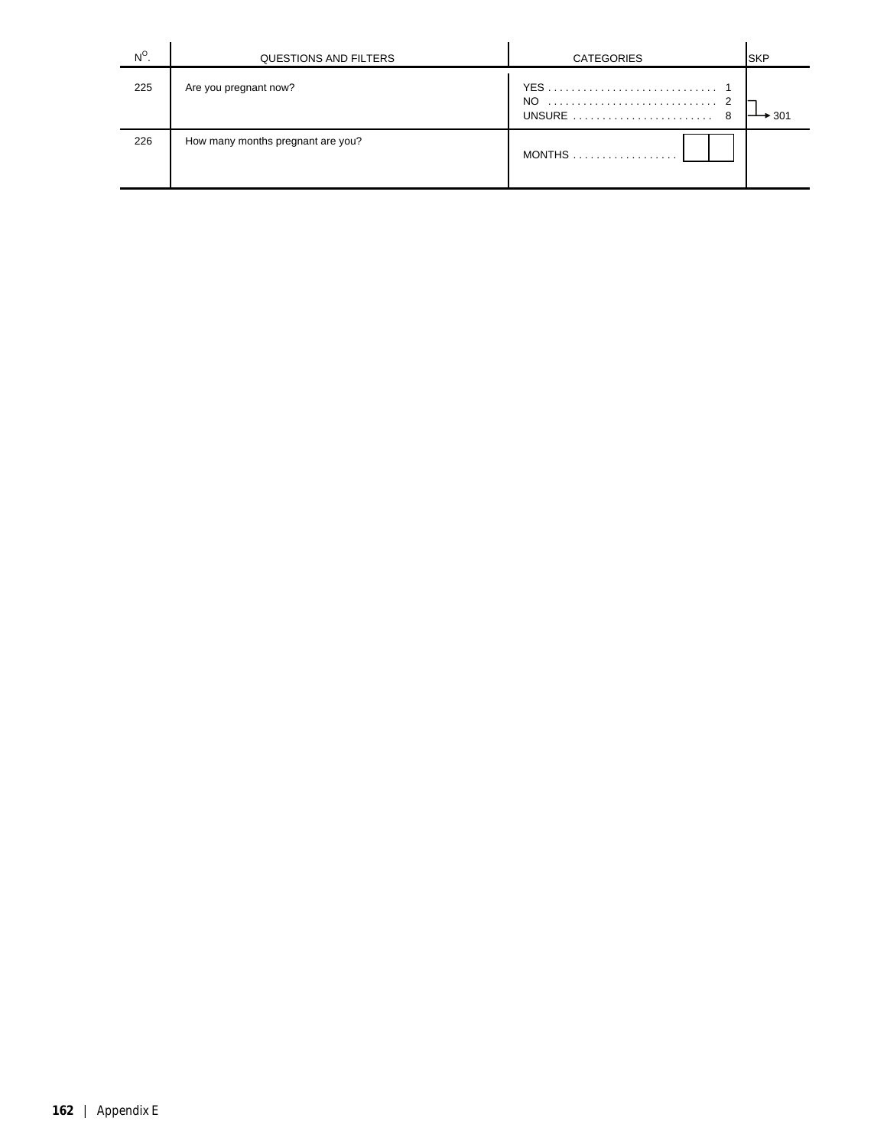| $N^{\circ}$ | QUESTIONS AND FILTERS             | <b>CATEGORIES</b>  | <b>SKP</b> |
|-------------|-----------------------------------|--------------------|------------|
| 225         | Are you pregnant now?             | NO.<br>UNSURE<br>8 | 301        |
| 226         | How many months pregnant are you? | <b>MONTHS</b>      |            |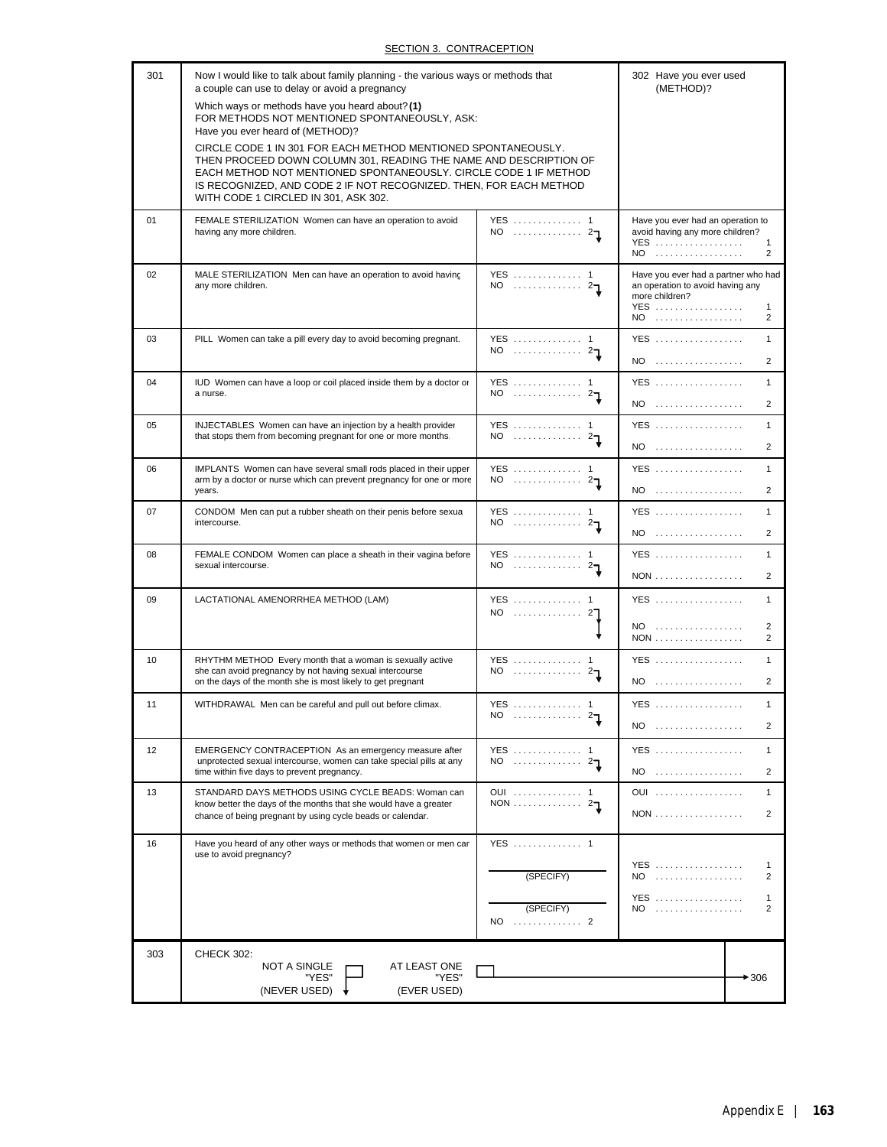# SECTION 3. CONTRACEPTION

| 301 | Now I would like to talk about family planning - the various ways or methods that<br>a couple can use to delay or avoid a pregnancy                                                                                                                                                                                  |                                 | 302 Have you ever used<br>(METHOD)?                                                                                           |
|-----|----------------------------------------------------------------------------------------------------------------------------------------------------------------------------------------------------------------------------------------------------------------------------------------------------------------------|---------------------------------|-------------------------------------------------------------------------------------------------------------------------------|
|     | Which ways or methods have you heard about? (1)<br>FOR METHODS NOT MENTIONED SPONTANEOUSLY, ASK:<br>Have you ever heard of (METHOD)?                                                                                                                                                                                 |                                 |                                                                                                                               |
|     | CIRCLE CODE 1 IN 301 FOR EACH METHOD MENTIONED SPONTANEOUSLY.<br>THEN PROCEED DOWN COLUMN 301, READING THE NAME AND DESCRIPTION OF<br>EACH METHOD NOT MENTIONED SPONTANEOUSLY. CIRCLE CODE 1 IF METHOD<br>IS RECOGNIZED, AND CODE 2 IF NOT RECOGNIZED. THEN, FOR EACH METHOD<br>WITH CODE 1 CIRCLED IN 301, ASK 302. |                                 |                                                                                                                               |
| 01  | FEMALE STERILIZATION Women can have an operation to avoid<br>having any more children.                                                                                                                                                                                                                               | YES  1<br>$NO$ $21$             | Have you ever had an operation to<br>avoid having any more children?<br><b>YES</b><br>1<br>2<br>NO                            |
| 02  | MALE STERILIZATION Men can have an operation to avoid having<br>any more children.                                                                                                                                                                                                                                   | YES  1<br>NO $2\mathbb{I}$      | Have you ever had a partner who had<br>an operation to avoid having any<br>more children?<br>YES<br>1<br>NO<br>$\overline{2}$ |
| 03  | PILL Women can take a pill every day to avoid becoming pregnant.                                                                                                                                                                                                                                                     | YES  1<br>NO $\ldots$ $27$      | YES<br>1<br>NO<br>2                                                                                                           |
| 04  | IUD Women can have a loop or coil placed inside them by a doctor or<br>a nurse.                                                                                                                                                                                                                                      | YES  1<br>$NO$ $27$             | YES<br>1<br>NO<br>2                                                                                                           |
| 05  | INJECTABLES Women can have an injection by a health provider<br>that stops them from becoming pregnant for one or more months.                                                                                                                                                                                       | YES  1<br>NO $\ldots$ $27$      | YES<br>$\mathbf{1}$<br>$NO$<br>2                                                                                              |
| 06  | IMPLANTS Women can have several small rods placed in their upper<br>arm by a doctor or nurse which can prevent pregnancy for one or more<br>years.                                                                                                                                                                   | YES  1<br>NO $\ldots$ $27$      | YES<br>$\mathbf{1}$<br>$NO$<br>2                                                                                              |
| 07  | CONDOM Men can put a rubber sheath on their penis before sexua<br>intercourse.                                                                                                                                                                                                                                       | YES  1<br>NO $21$               | YES<br>1<br>$NO$<br>$\overline{2}$                                                                                            |
| 08  | FEMALE CONDOM Women can place a sheath in their vagina before<br>sexual intercourse.                                                                                                                                                                                                                                 | YES  1<br>$NO$ $2T$             | YES<br>1<br>NON<br>2                                                                                                          |
| 09  | LACTATIONAL AMENORRHEA METHOD (LAM)                                                                                                                                                                                                                                                                                  | YES  1<br>NO  27                | YES<br>1<br>NO<br>2                                                                                                           |
|     |                                                                                                                                                                                                                                                                                                                      |                                 | $\overline{2}$                                                                                                                |
| 10  | RHYTHM METHOD Every month that a woman is sexually active<br>she can avoid pregnancy by not having sexual intercourse<br>on the days of the month she is most likely to get pregnant                                                                                                                                 | YES  1<br>NO $2\pi$             | YES<br>1<br>NO<br>2                                                                                                           |
| 11  | WITHDRAWAL Men can be careful and pull out before climax.                                                                                                                                                                                                                                                            | YES  1<br>NO.<br>2 <sub>1</sub> | <b>YES</b><br>$\mathbf{1}$<br>NO<br>2                                                                                         |
| 12  | EMERGENCY CONTRACEPTION As an emergency measure after<br>unprotected sexual intercourse, women can take special pills at any<br>time within five days to prevent pregnancy.                                                                                                                                          | YES  1                          | <b>YES</b><br>1<br>NO<br>$\overline{2}$                                                                                       |
| 13  | STANDARD DAYS METHODS USING CYCLE BEADS: Woman can<br>know better the days of the months that she would have a greater<br>chance of being pregnant by using cycle beads or calendar.                                                                                                                                 | OUI  1<br>NON $27$              | OUI<br>1<br><b>NON</b><br>$\overline{2}$                                                                                      |
| 16  | Have you heard of any other ways or methods that women or men can<br>use to avoid pregnancy?                                                                                                                                                                                                                         | YES  1                          | YES<br>$\mathbf{1}$                                                                                                           |
|     |                                                                                                                                                                                                                                                                                                                      | (SPECIFY)                       | $NO$<br>2<br><b>YES</b><br>1                                                                                                  |
|     |                                                                                                                                                                                                                                                                                                                      | (SPECIFY)<br>NO  2              | NO<br>$\overline{2}$                                                                                                          |
| 303 | <b>CHECK 302:</b>                                                                                                                                                                                                                                                                                                    |                                 |                                                                                                                               |
|     | <b>NOT A SINGLE</b><br>AT LEAST ONE<br>"YES"<br>"YES"<br>(NEVER USED)<br>(EVER USED)                                                                                                                                                                                                                                 |                                 | $+306$                                                                                                                        |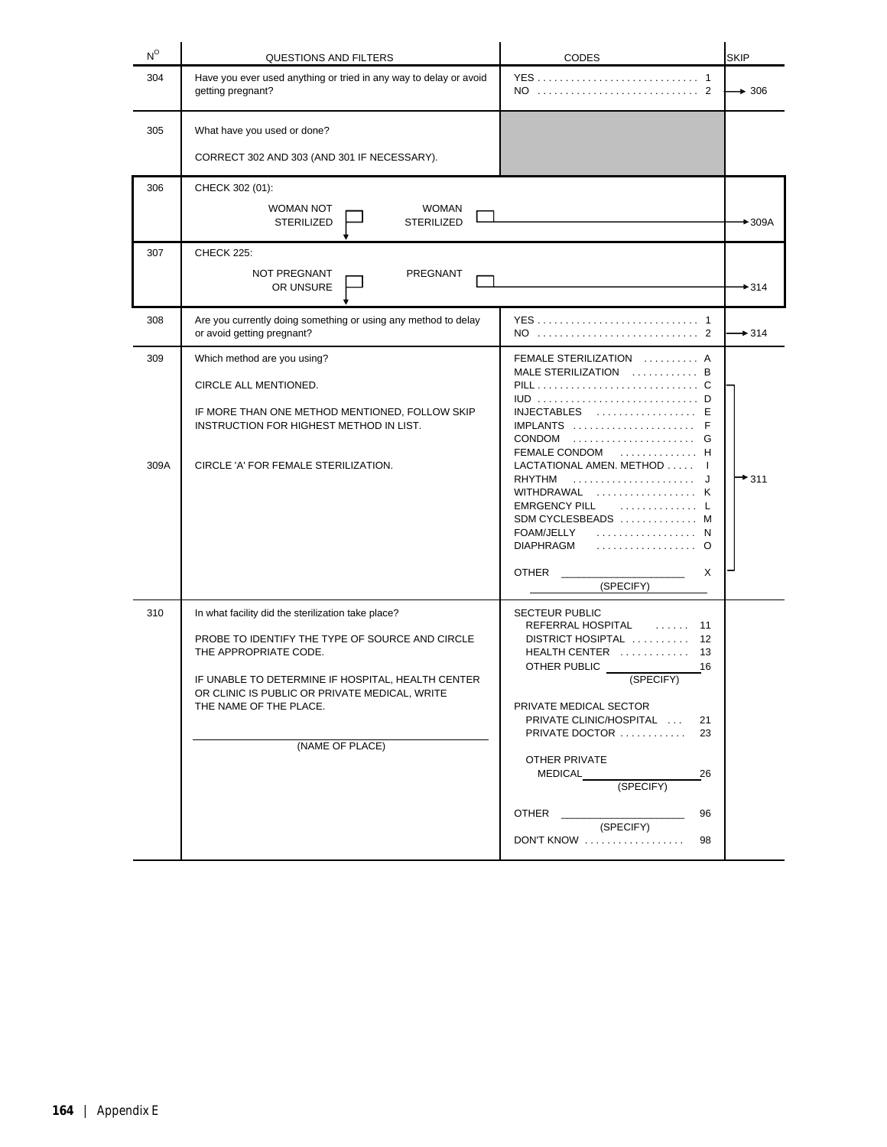| $N^{\circ}$ | QUESTIONS AND FILTERS                                                                                                                                                                                                                                                             | <b>CODES</b>                                                                                                                                                                                                                                                                                                                                                  | <b>SKIP</b>       |
|-------------|-----------------------------------------------------------------------------------------------------------------------------------------------------------------------------------------------------------------------------------------------------------------------------------|---------------------------------------------------------------------------------------------------------------------------------------------------------------------------------------------------------------------------------------------------------------------------------------------------------------------------------------------------------------|-------------------|
| 304         | Have you ever used anything or tried in any way to delay or avoid<br>getting pregnant?                                                                                                                                                                                            |                                                                                                                                                                                                                                                                                                                                                               | $\rightarrow$ 306 |
| 305         | What have you used or done?<br>CORRECT 302 AND 303 (AND 301 IF NECESSARY).                                                                                                                                                                                                        |                                                                                                                                                                                                                                                                                                                                                               |                   |
| 306         | CHECK 302 (01):<br>WOMAN NOT<br><b>WOMAN</b><br><b>STERILIZED</b><br><b>STERILIZED</b>                                                                                                                                                                                            |                                                                                                                                                                                                                                                                                                                                                               | $+309A$           |
| 307         | CHECK 225:<br>NOT PREGNANT<br>PREGNANT<br>OR UNSURE                                                                                                                                                                                                                               |                                                                                                                                                                                                                                                                                                                                                               | $+314$            |
| 308         | Are you currently doing something or using any method to delay<br>or avoid getting pregnant?                                                                                                                                                                                      |                                                                                                                                                                                                                                                                                                                                                               | $\rightarrow$ 314 |
| 309<br>309A | Which method are you using?<br>CIRCLE ALL MENTIONED.<br>IF MORE THAN ONE METHOD MENTIONED, FOLLOW SKIP<br>INSTRUCTION FOR HIGHEST METHOD IN LIST.<br>CIRCLE 'A' FOR FEMALE STERILIZATION.                                                                                         | FEMALE STERILIZATION  A<br>MALE STERILIZATION  B<br>IUD D<br>$INJECTABLES$ E<br>IMPLANTS<br>CONDOM  G<br>FEMALE CONDOM  H<br>LACTATIONAL AMEN. METHOD I<br><b>RHYTHM</b><br>J<br>$WITHDRAWAL$<br>K<br><b>EMRGENCY PILL</b><br>. L<br>SDM CYCLESBEADS  M<br>FOAM/JELLY<br>. N<br><b>DIAPHRAGM</b><br>. 0<br><b>OTHER</b><br>X<br>(SPECIFY)                     | $+$ 311           |
| 310         | In what facility did the sterilization take place?<br>PROBE TO IDENTIFY THE TYPE OF SOURCE AND CIRCLE<br>THE APPROPRIATE CODE.<br>IF UNABLE TO DETERMINE IF HOSPITAL, HEALTH CENTER<br>OR CLINIC IS PUBLIC OR PRIVATE MEDICAL, WRITE<br>THE NAME OF THE PLACE.<br>(NAME OF PLACE) | <b>SECTEUR PUBLIC</b><br>REFERRAL HOSPITAL<br>1.1.1.1.1<br>11<br>12<br>DISTRICT HOSIPTAL<br>HEALTH CENTER<br>13<br>OTHER PUBLIC<br>16<br>(SPECIFY)<br>PRIVATE MEDICAL SECTOR<br>PRIVATE CLINIC/HOSPITAL<br>21<br>PRIVATE DOCTOR<br>23<br><b>OTHER PRIVATE</b><br>26<br>MEDICAL<br>(SPECIFY)<br><b>OTHER CONTROLLER</b><br>96<br>(SPECIFY)<br>DON'T KNOW<br>98 |                   |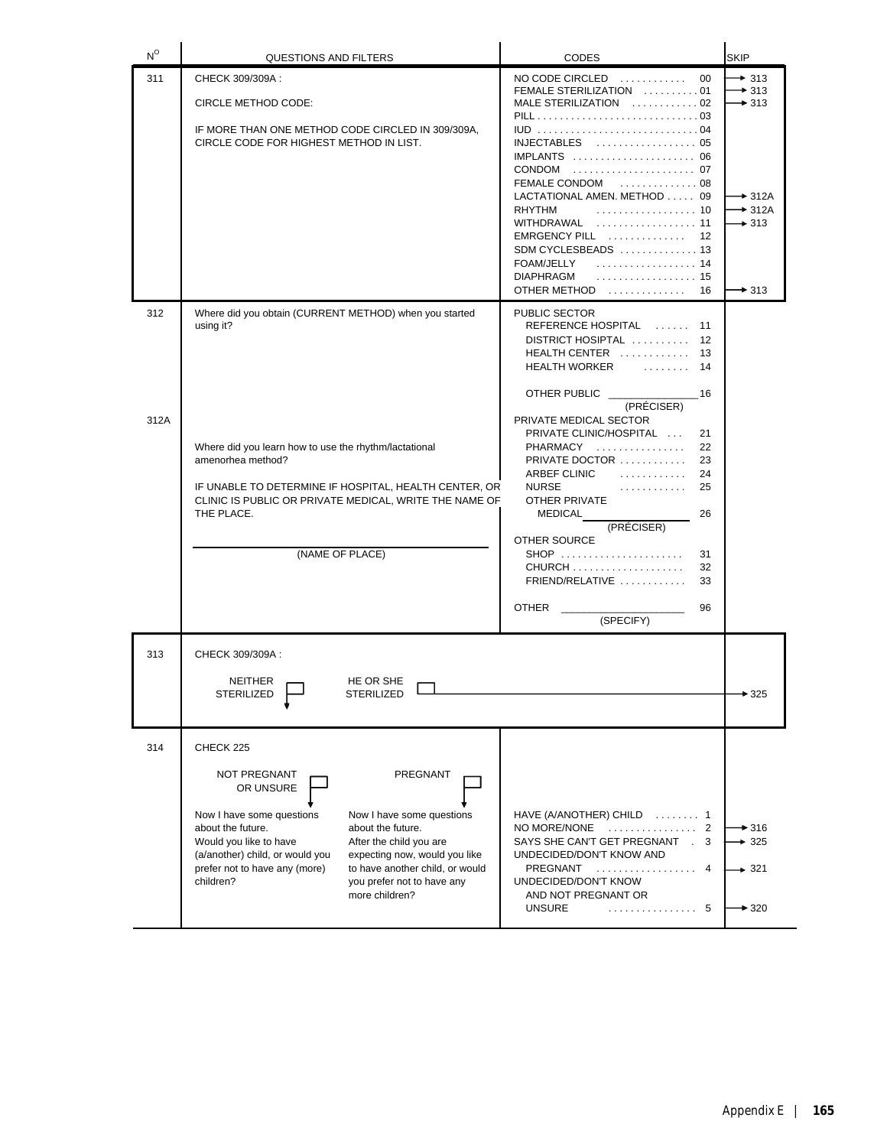| $N^{\circ}$ | QUESTIONS AND FILTERS                                                                                                                                                                                                                                                                                                                                                                                            | <b>CODES</b>                                                                                                                                                                                                                                                                                                                                                                           | <b>SKIP</b>                                                                                                                            |
|-------------|------------------------------------------------------------------------------------------------------------------------------------------------------------------------------------------------------------------------------------------------------------------------------------------------------------------------------------------------------------------------------------------------------------------|----------------------------------------------------------------------------------------------------------------------------------------------------------------------------------------------------------------------------------------------------------------------------------------------------------------------------------------------------------------------------------------|----------------------------------------------------------------------------------------------------------------------------------------|
| 311         | CHECK 309/309A:<br>CIRCLE METHOD CODE:<br>IF MORE THAN ONE METHOD CODE CIRCLED IN 309/309A,<br>CIRCLE CODE FOR HIGHEST METHOD IN LIST.                                                                                                                                                                                                                                                                           | $NO$ CODE CIRCLED $\ldots \ldots \ldots$<br>00<br>FEMALE STERILIZATION 01<br>MALE STERILIZATION  02<br>IUD 04<br>INJECTABLES  05<br>IMPLANTS  06<br>FEMALE CONDOM  08<br>LACTATIONAL AMEN. METHOD 09<br><b>RHYTHM</b><br>. 10<br>WITHDRAWAL  11<br>$EMRGENCY PIL$ $\ldots$ $\ldots$<br>12<br>SDM CYCLESBEADS  13<br>. 14<br>FOAM/JELLY<br><b>DIAPHRAGM</b><br>. 15<br>OTHER METHOD  16 | $+313$<br>$\rightarrow$ 313<br>$\rightarrow$ 313<br>$\rightarrow$ 312A<br>$\rightarrow$ 312A<br>$\rightarrow$ 313<br>$\rightarrow$ 313 |
| 312         | Where did you obtain (CURRENT METHOD) when you started<br>using it?                                                                                                                                                                                                                                                                                                                                              | PUBLIC SECTOR<br>REFERENCE HOSPITAL<br>11<br>DISTRICT HOSIPTAL<br>12<br>HEALTH CENTER<br>13<br><u>in a series de la provincia de la provincia de la provincia de la provincia de la provincia de la provincia de </u><br><b>HEALTH WORKER</b><br>14<br>OTHER PUBLIC <u>_________</u><br>- 16                                                                                           |                                                                                                                                        |
| 312A        | Where did you learn how to use the rhythm/lactational<br>amenorhea method?<br>IF UNABLE TO DETERMINE IF HOSPITAL, HEALTH CENTER, OR<br>CLINIC IS PUBLIC OR PRIVATE MEDICAL, WRITE THE NAME OF<br>THE PLACE.<br>(NAME OF PLACE)                                                                                                                                                                                   | (PRÉCISER)<br>PRIVATE MEDICAL SECTOR<br>PRIVATE CLINIC/HOSPITAL<br>21<br>PHARMACY<br>22<br>PRIVATE DOCTOR<br>23<br>ARBEF CLINIC<br>.<br>24<br><b>NURSE</b><br>.<br>25<br>OTHER PRIVATE<br>26<br>MEDICAL<br>(PRÉCISER)<br>OTHER SOURCE<br>SHOP<br>31<br>$CHURCH$<br>32<br>FRIEND/RELATIVE<br>33<br><b>OTHER</b><br>96<br>(SPECIFY)                                                      |                                                                                                                                        |
| 313         | CHECK 309/309A :<br><b>NEITHER</b><br>HE OR SHE<br><b>STERILIZED</b><br>STERILIZED                                                                                                                                                                                                                                                                                                                               |                                                                                                                                                                                                                                                                                                                                                                                        | ► 325                                                                                                                                  |
| 314         | CHECK 225<br>NOT PREGNANT<br>PREGNANT<br>OR UNSURE<br>Now I have some questions<br>Now I have some questions<br>about the future.<br>about the future.<br>Would you like to have<br>After the child you are<br>(a/another) child, or would you<br>expecting now, would you like<br>prefer not to have any (more)<br>to have another child, or would<br>children?<br>you prefer not to have any<br>more children? | HAVE (A/ANOTHER) CHILD  1<br>NO MORE/NONE<br>. 2<br>SAYS SHE CAN'T GET PREGNANT . 3<br>UNDECIDED/DON'T KNOW AND<br>PREGNANT<br>. 4<br>UNDECIDED/DON'T KNOW<br>AND NOT PREGNANT OR<br><b>UNSURE</b><br>. 5                                                                                                                                                                              | $\rightarrow$ 316<br>$+325$<br>$+321$<br>$*320$                                                                                        |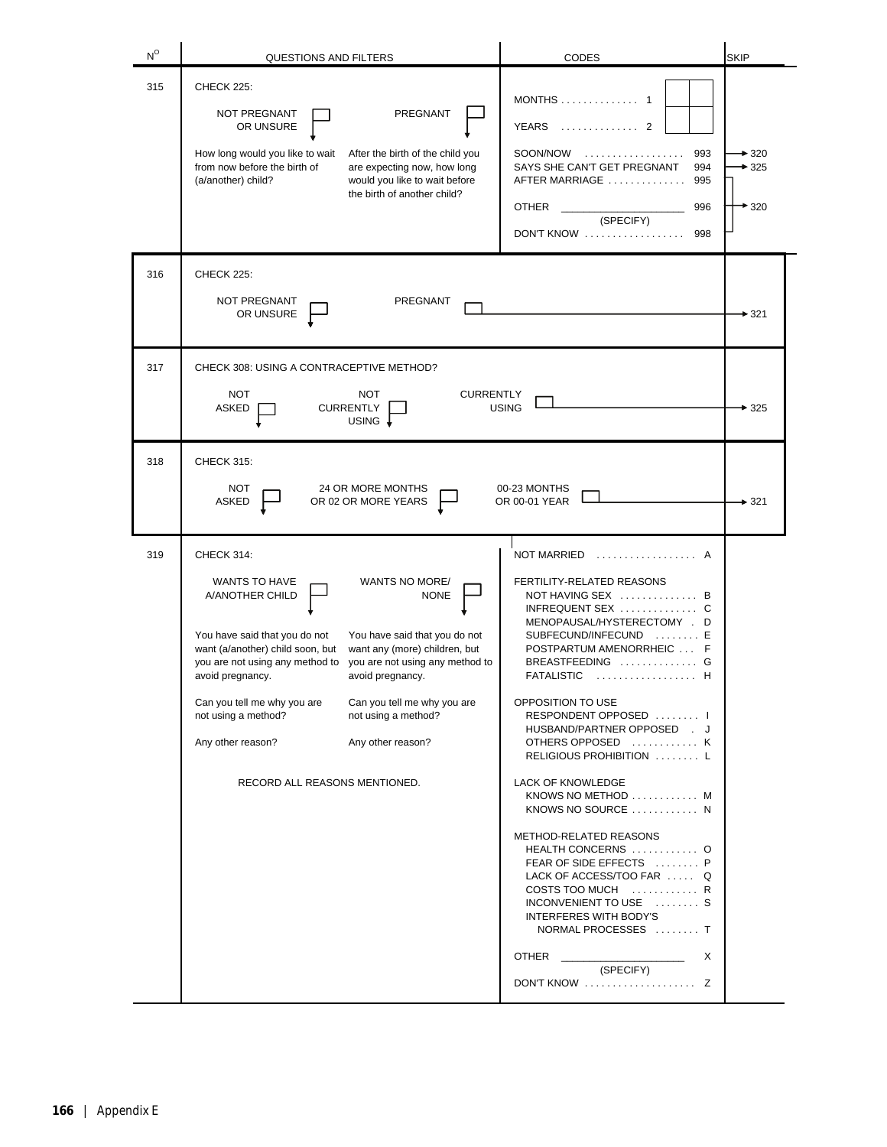| $N^{\circ}$ | <b>QUESTIONS AND FILTERS</b>                                                                                                                                                                                                                                                                                                                                                                                                                                                                                                              | CODES                                                                                                                                                                                                                                                                                                                                                                                                                                                                                                                                                                                                                                                                                | <b>SKIP</b>                |
|-------------|-------------------------------------------------------------------------------------------------------------------------------------------------------------------------------------------------------------------------------------------------------------------------------------------------------------------------------------------------------------------------------------------------------------------------------------------------------------------------------------------------------------------------------------------|--------------------------------------------------------------------------------------------------------------------------------------------------------------------------------------------------------------------------------------------------------------------------------------------------------------------------------------------------------------------------------------------------------------------------------------------------------------------------------------------------------------------------------------------------------------------------------------------------------------------------------------------------------------------------------------|----------------------------|
| 315         | <b>CHECK 225:</b><br>PREGNANT<br><b>NOT PREGNANT</b><br>OR UNSURE<br>How long would you like to wait<br>After the birth of the child you<br>from now before the birth of<br>are expecting now, how long<br>(a/another) child?<br>would you like to wait before<br>the birth of another child?                                                                                                                                                                                                                                             | $MONTHS$ 1<br><b>YEARS</b><br><u>.</u><br>2<br>SOON/NOW<br>.<br>993<br>SAYS SHE CAN'T GET PREGNANT<br>994<br>AFTER MARRIAGE<br>995<br><b>OTHER</b><br>996<br>(SPECIFY)<br>DON'T KNOW<br>998                                                                                                                                                                                                                                                                                                                                                                                                                                                                                          | $*320$<br>$*325$<br>$*320$ |
| 316         | CHECK 225:<br>NOT PREGNANT<br>PREGNANT<br>OR UNSURE                                                                                                                                                                                                                                                                                                                                                                                                                                                                                       |                                                                                                                                                                                                                                                                                                                                                                                                                                                                                                                                                                                                                                                                                      | $*321$                     |
| 317         | CHECK 308: USING A CONTRACEPTIVE METHOD?<br><b>NOT</b><br><b>NOT</b><br><b>CURRENTLY</b><br><b>CURRENTLY</b><br>ASKED<br>USING +                                                                                                                                                                                                                                                                                                                                                                                                          | <b>USING</b>                                                                                                                                                                                                                                                                                                                                                                                                                                                                                                                                                                                                                                                                         | $*325$                     |
| 318         | <b>CHECK 315:</b><br><b>NOT</b><br>24 OR MORE MONTHS<br>OR 02 OR MORE YEARS<br>ASKED                                                                                                                                                                                                                                                                                                                                                                                                                                                      | 00-23 MONTHS<br>OR 00-01 YEAR                                                                                                                                                                                                                                                                                                                                                                                                                                                                                                                                                                                                                                                        | • 321                      |
| 319         | <b>CHECK 314:</b><br><b>WANTS TO HAVE</b><br>WANTS NO MORE/<br>A/ANOTHER CHILD<br><b>NONE</b><br>You have said that you do not<br>You have said that you do not<br>want (a/another) child soon, but<br>want any (more) children, but<br>you are not using any method to<br>you are not using any method to<br>avoid pregnancy.<br>avoid pregnancy.<br>Can you tell me why you are<br>Can you tell me why you are<br>not using a method?<br>not using a method?<br>Any other reason?<br>Any other reason?<br>RECORD ALL REASONS MENTIONED. | <b>NOT MARRIED</b><br>FERTILITY-RELATED REASONS<br>NOT HAVING SEX  B<br>INFREQUENT SEX C<br>MENOPAUSAL/HYSTERECTOMY . D<br>SUBFECUND/INFECUND<br>. E<br>POSTPARTUM AMENORRHEIC  F<br>BREASTFEEDING  G<br><b>FATALISTIC</b><br>OPPOSITION TO USE<br>RESPONDENT OPPOSED   <br>HUSBAND/PARTNER OPPOSED . J<br>OTHERS OPPOSED  K<br>RELIGIOUS PROHIBITION  L<br>LACK OF KNOWLEDGE<br>KNOWS NO METHOD  M<br>KNOWS NO SOURCE  N<br>METHOD-RELATED REASONS<br>HEALTH CONCERNS  O<br>FEAR OF SIDE EFFECTS  P<br>LACK OF ACCESS/TOO FAR  Q<br>COSTS TOO MUCH  R<br>INCONVENIENT TO USE  S<br>INTERFERES WITH BODY'S<br>NORMAL PROCESSES  T<br><b>OTHER</b><br>Χ<br>(SPECIFY)<br>DON'T KNOW  Z |                            |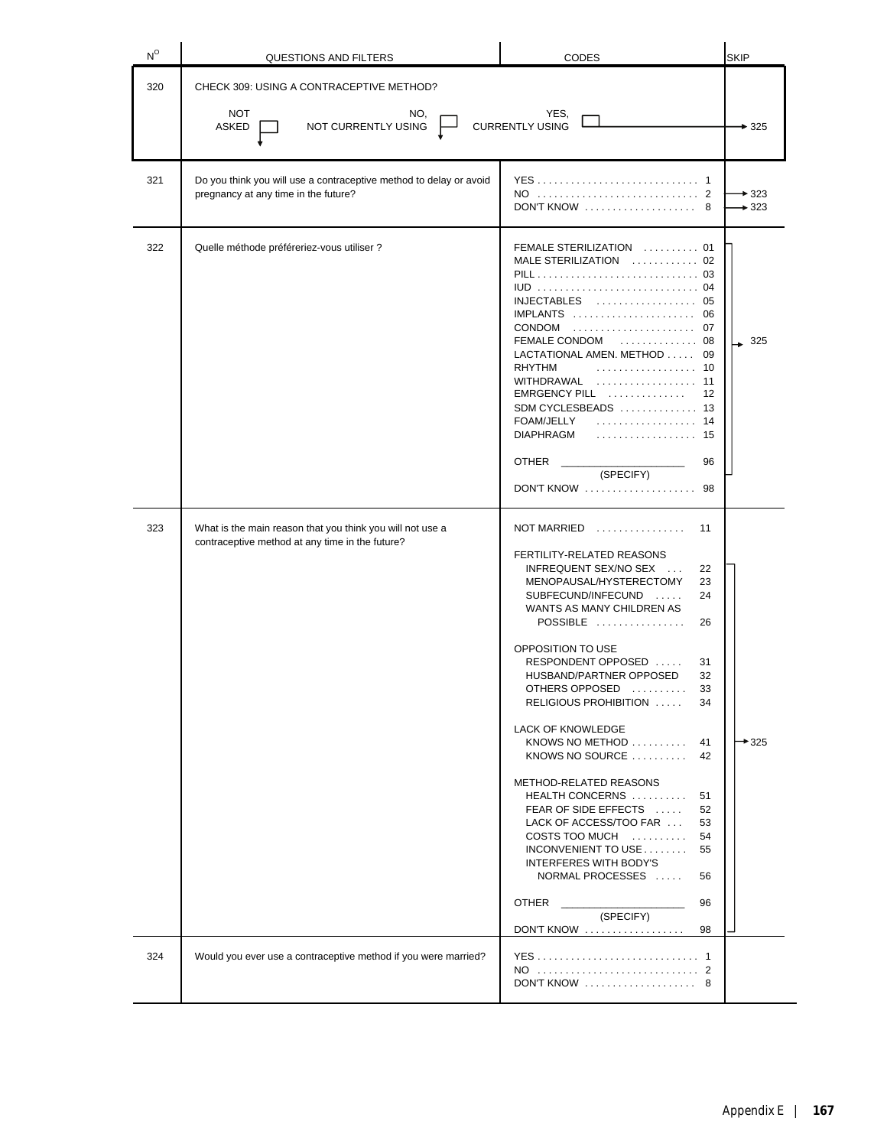| $N^{\circ}$ | <b>QUESTIONS AND FILTERS</b>                                                                                 | <b>CODES</b>                                                                                                                                                                                                                                                                                                                                                                                                                                                                                                                                                                                                                                                                                                           | <b>SKIP</b>       |
|-------------|--------------------------------------------------------------------------------------------------------------|------------------------------------------------------------------------------------------------------------------------------------------------------------------------------------------------------------------------------------------------------------------------------------------------------------------------------------------------------------------------------------------------------------------------------------------------------------------------------------------------------------------------------------------------------------------------------------------------------------------------------------------------------------------------------------------------------------------------|-------------------|
| 320         | CHECK 309: USING A CONTRACEPTIVE METHOD?                                                                     |                                                                                                                                                                                                                                                                                                                                                                                                                                                                                                                                                                                                                                                                                                                        |                   |
|             | <b>NOT</b><br>NO,<br>YES,<br><b>CURRENTLY USING</b><br>NOT CURRENTLY USING<br><b>ASKED</b>                   |                                                                                                                                                                                                                                                                                                                                                                                                                                                                                                                                                                                                                                                                                                                        |                   |
| 321         | Do you think you will use a contraceptive method to delay or avoid<br>pregnancy at any time in the future?   | DON'T KNOW<br>8                                                                                                                                                                                                                                                                                                                                                                                                                                                                                                                                                                                                                                                                                                        | $+323$<br>$+323$  |
| 322         | Quelle méthode préféreriez-vous utiliser ?                                                                   | FEMALE STERILIZATION  01<br>MALE STERILIZATION  02<br>PILL 03<br>INJECTABLES  05<br>$IMPLANTS$<br>06<br>FEMALE CONDOM<br>. 08<br>LACTATIONAL AMEN. METHOD 09<br><b>RHYTHM</b><br>. 10<br>WITHDRAWAL<br>. 11<br>$EMRGENCY$ PILL $\ldots, \ldots, \ldots, \ldots$<br>12<br>SDM CYCLESBEADS  13<br><b>FOAM/JELLY</b><br>. 14<br><b>DIAPHRAGM</b><br>. 15<br>OTHER<br>96<br>(SPECIFY)<br>DON'T KNOW<br>98                                                                                                                                                                                                                                                                                                                  | 325               |
| 323         | What is the main reason that you think you will not use a<br>contraceptive method at any time in the future? | NOT MARRIED<br>.<br>11<br>FERTILITY-RELATED REASONS<br>INFREQUENT SEX/NO SEX<br>22<br>MENOPAUSAL/HYSTERECTOMY<br>23<br>SUBFECUND/INFECUND<br>24<br>WANTS AS MANY CHILDREN AS<br>POSSIBLE<br>26<br>OPPOSITION TO USE<br>RESPONDENT OPPOSED<br>31<br>HUSBAND/PARTNER OPPOSED<br>32<br>33<br>OTHERS OPPOSED<br>RELIGIOUS PROHIBITION<br>34<br>LACK OF KNOWLEDGE<br>KNOWS NO METHOD $\ldots \ldots \ldots$<br>41<br>KNOWS NO SOURCE<br>42<br>METHOD-RELATED REASONS<br>HEALTH CONCERNS<br>51<br>FEAR OF SIDE EFFECTS<br>52<br>LACK OF ACCESS/TOO FAR<br>53<br>COSTS TOO MUCH<br>54<br>INCONVENIENT TO USE<br>55<br>INTERFERES WITH BODY'S<br>NORMAL PROCESSES<br>56<br><b>OTHER</b><br>96<br>(SPECIFY)<br>DON'T KNOW<br>98 | $\rightarrow$ 325 |
| 324         | Would you ever use a contraceptive method if you were married?                                               | YES  1<br>NO  2<br>DON'T KNOW  8                                                                                                                                                                                                                                                                                                                                                                                                                                                                                                                                                                                                                                                                                       |                   |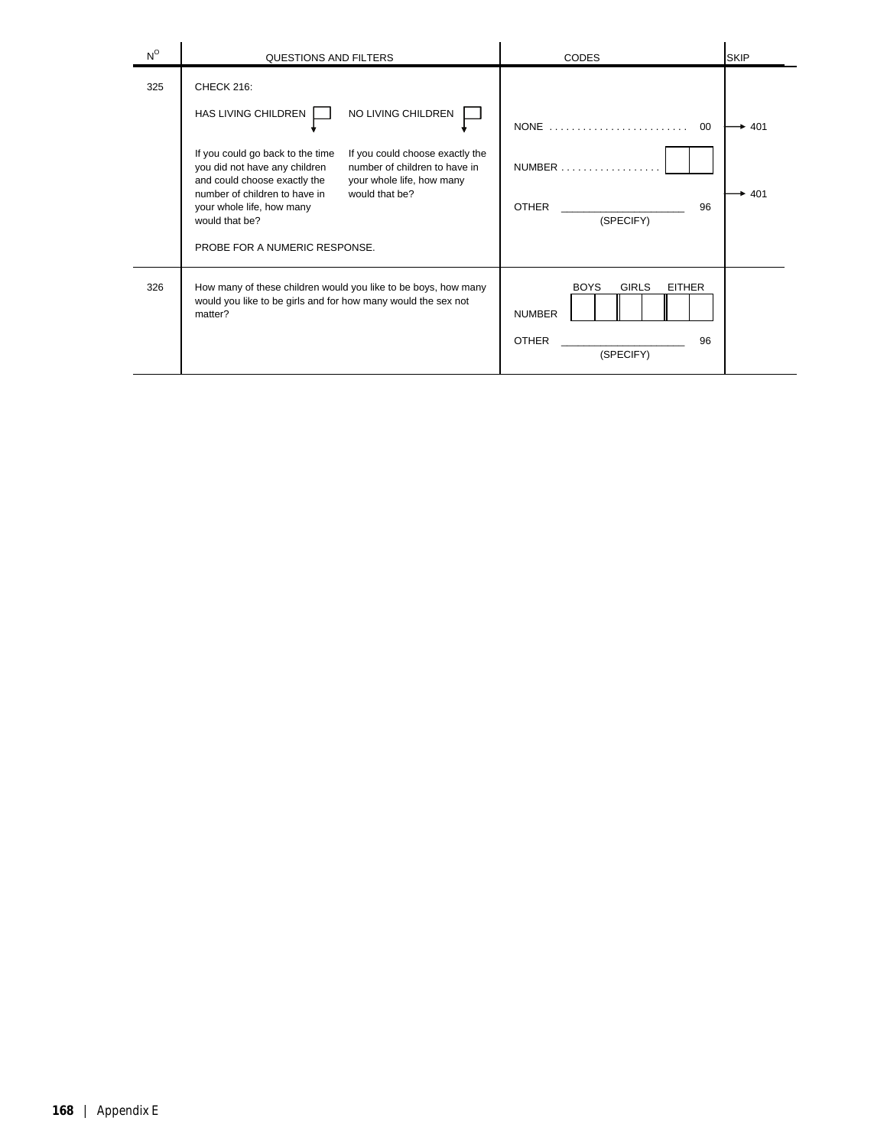| $N^{\circ}$ | <b>QUESTIONS AND FILTERS</b>                                                                                                                                                                                                                                                                                                                                                                     | <b>CODES</b>                                                                                     | <b>SKIP</b> |
|-------------|--------------------------------------------------------------------------------------------------------------------------------------------------------------------------------------------------------------------------------------------------------------------------------------------------------------------------------------------------------------------------------------------------|--------------------------------------------------------------------------------------------------|-------------|
| 325         | CHECK 216:<br>HAS LIVING CHILDREN<br>NO LIVING CHILDREN<br>If you could go back to the time<br>If you could choose exactly the<br>number of children to have in<br>you did not have any children<br>and could choose exactly the<br>your whole life, how many<br>number of children to have in<br>would that be?<br>your whole life, how many<br>would that be?<br>PROBE FOR A NUMERIC RESPONSE. | NONE<br>00<br>$NUMBER$<br><b>OTHER</b><br>96<br>(SPECIFY)                                        | 401<br>401  |
| 326         | How many of these children would you like to be boys, how many<br>would you like to be girls and for how many would the sex not<br>matter?                                                                                                                                                                                                                                                       | <b>GIRLS</b><br><b>EITHER</b><br><b>BOYS</b><br><b>NUMBER</b><br><b>OTHER</b><br>96<br>(SPECIFY) |             |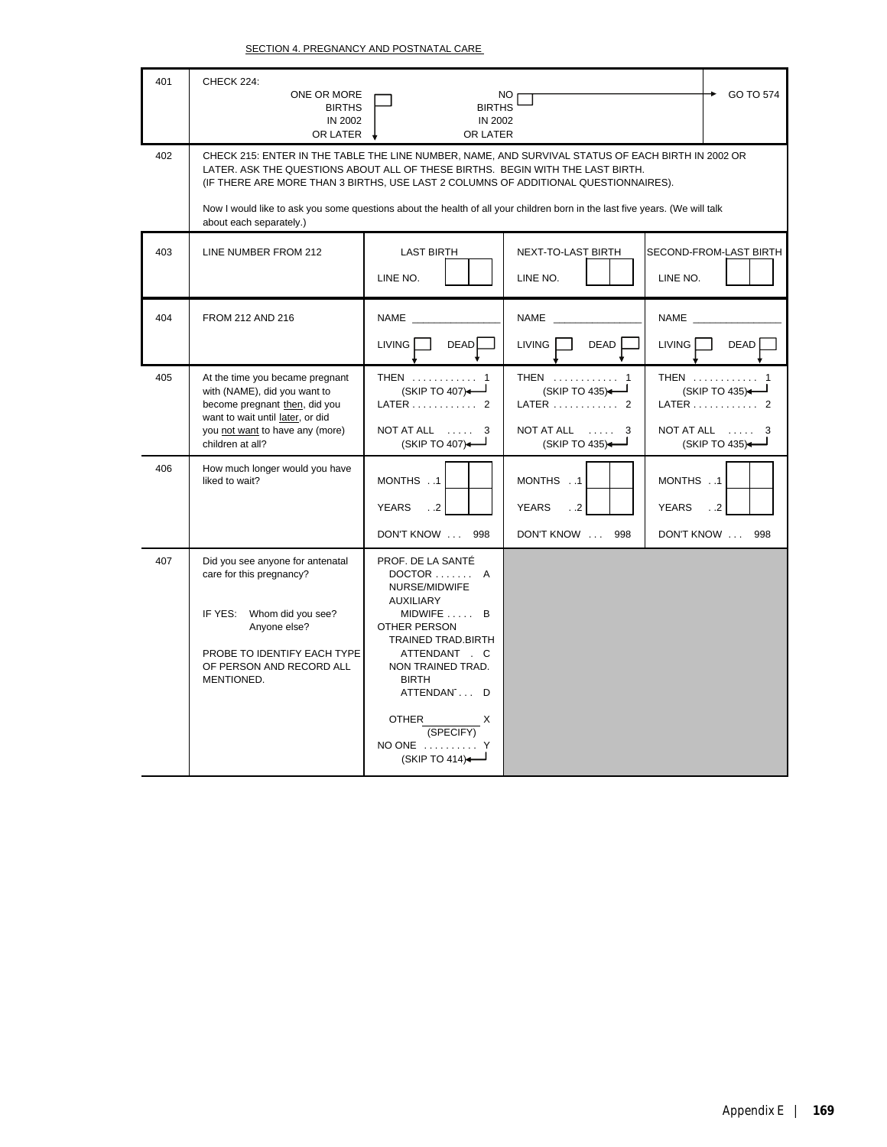| 401 | CHECK 224:<br>ONE OR MORE<br><b>BIRTHS</b><br>IN 2002<br>OR LATER                                                                                                                                                                                                                                                                                                                                                                    | <b>BIRTHS</b><br><b>IN 2002</b><br>OR LATER                                                                                                                                                                                                      | NO.                                                                 | GO TO 574                                                        |  |
|-----|--------------------------------------------------------------------------------------------------------------------------------------------------------------------------------------------------------------------------------------------------------------------------------------------------------------------------------------------------------------------------------------------------------------------------------------|--------------------------------------------------------------------------------------------------------------------------------------------------------------------------------------------------------------------------------------------------|---------------------------------------------------------------------|------------------------------------------------------------------|--|
| 402 | CHECK 215: ENTER IN THE TABLE THE LINE NUMBER, NAME, AND SURVIVAL STATUS OF EACH BIRTH IN 2002 OR<br>LATER. ASK THE QUESTIONS ABOUT ALL OF THESE BIRTHS. BEGIN WITH THE LAST BIRTH.<br>(IF THERE ARE MORE THAN 3 BIRTHS, USE LAST 2 COLUMNS OF ADDITIONAL QUESTIONNAIRES).<br>Now I would like to ask you some questions about the health of all your children born in the last five years. (We will talk<br>about each separately.) |                                                                                                                                                                                                                                                  |                                                                     |                                                                  |  |
| 403 | LINE NUMBER FROM 212                                                                                                                                                                                                                                                                                                                                                                                                                 | <b>LAST BIRTH</b><br>LINE NO.                                                                                                                                                                                                                    | NEXT-TO-LAST BIRTH<br>LINE NO.                                      | SECOND-FROM-LAST BIRTH<br>LINE NO.                               |  |
| 404 | FROM 212 AND 216                                                                                                                                                                                                                                                                                                                                                                                                                     | NAME _<br><b>LIVING</b><br><b>DEAD</b>                                                                                                                                                                                                           | NAME _______<br>DEAD<br><b>LIVING</b>                               | NAME <sub>_</sub><br><b>LIVING</b><br><b>DEAD</b>                |  |
| 405 | At the time you became pregnant<br>with (NAME), did you want to<br>become pregnant then, did you<br>want to wait until later, or did<br>you not want to have any (more)<br>children at all?                                                                                                                                                                                                                                          | THEN  1<br>(SKIP TO 407)<br>LATER 2<br>NOT AT ALL<br>(SKIP TO 407)-                                                                                                                                                                              | THEN  1<br>(SKIP TO 435)<br>LATER  2<br>NOT AT ALL<br>(SKIP TO 435) | THEN<br>(SKIP TO 435)<br>LATER 2<br>NOT AT ALL<br>(SKIP TO 435)- |  |
| 406 | How much longer would you have<br>liked to wait?                                                                                                                                                                                                                                                                                                                                                                                     | MONTHS1<br><b>YEARS</b><br>$\cdot$ .2<br>DON'T KNOW<br>998                                                                                                                                                                                       | MONTHS 1<br>YEARS<br>$\cdot$ .2<br>DON'T KNOW<br>998                | MONTHS1<br><b>YEARS</b><br>$\cdot$ .2<br>DON'T KNOW<br>998       |  |
| 407 | Did you see anyone for antenatal<br>care for this pregnancy?<br>Whom did you see?<br>IF YES:<br>Anyone else?<br>PROBE TO IDENTIFY EACH TYPE<br>OF PERSON AND RECORD ALL<br>MENTIONED.                                                                                                                                                                                                                                                | PROF. DE LA SANTÉ<br>DOCTOR  A<br>NURSE/MIDWIFE<br>AUXILIARY<br>$MIDWIFE$ $B$<br>OTHER PERSON<br><b>TRAINED TRAD.BIRTH</b><br>ATTENDANT . C<br>NON TRAINED TRAD.<br><b>BIRTH</b><br>ATTENDAN1 D<br>OTHER<br>(SPECIFY)<br>NO ONE<br>(SKIP TO 414) |                                                                     |                                                                  |  |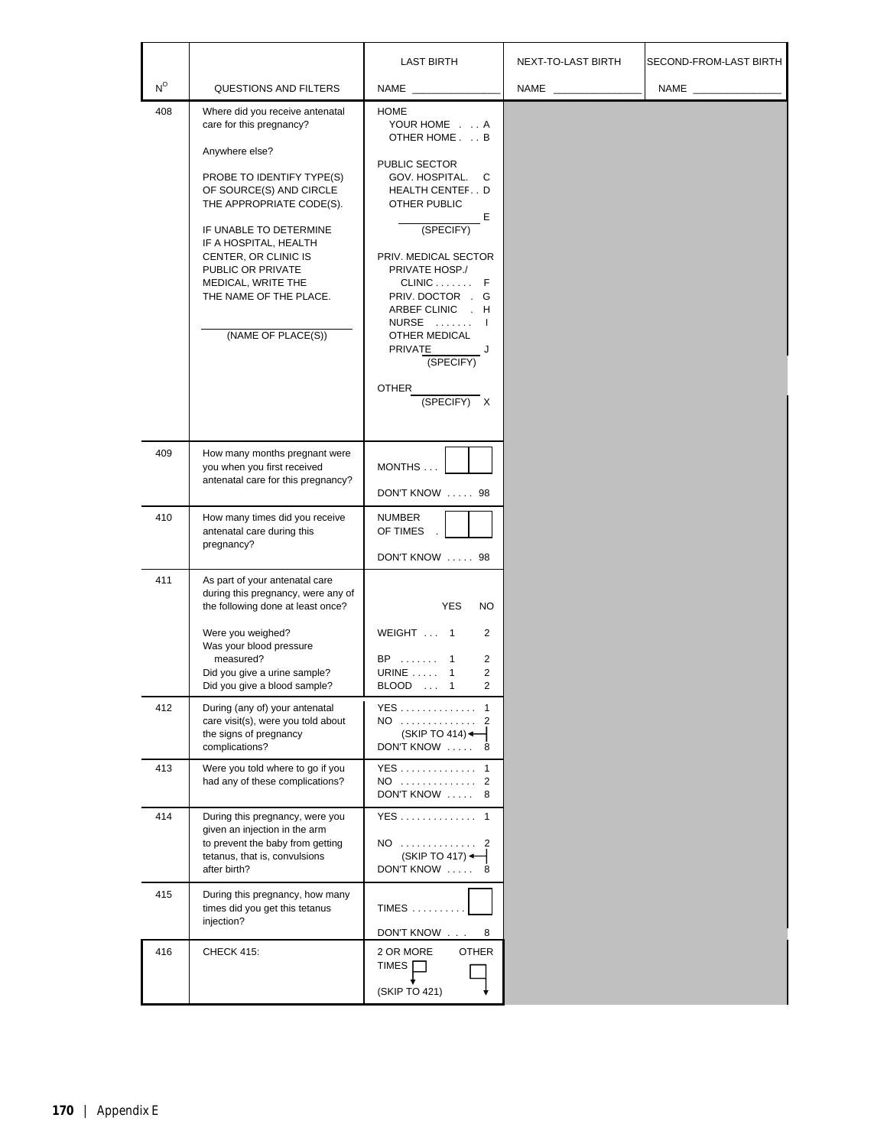|                         |                                                                                                                                                                                                                                                                                                                                         | <b>LAST BIRTH</b>                                                                                                                                                                                                                                                                                                        | NEXT-TO-LAST BIRTH | SECOND-FROM-LAST BIRTH |
|-------------------------|-----------------------------------------------------------------------------------------------------------------------------------------------------------------------------------------------------------------------------------------------------------------------------------------------------------------------------------------|--------------------------------------------------------------------------------------------------------------------------------------------------------------------------------------------------------------------------------------------------------------------------------------------------------------------------|--------------------|------------------------|
| $\mathsf{N}^\mathsf{O}$ | QUESTIONS AND FILTERS                                                                                                                                                                                                                                                                                                                   | NAME _______                                                                                                                                                                                                                                                                                                             | NAME               | NAME ________________  |
| 408                     | Where did you receive antenatal<br>care for this pregnancy?<br>Anywhere else?<br>PROBE TO IDENTIFY TYPE(S)<br>OF SOURCE(S) AND CIRCLE<br>THE APPROPRIATE CODE(S).<br>IF UNABLE TO DETERMINE<br>IF A HOSPITAL, HEALTH<br>CENTER, OR CLINIC IS<br>PUBLIC OR PRIVATE<br>MEDICAL, WRITE THE<br>THE NAME OF THE PLACE.<br>(NAME OF PLACE(S)) | <b>HOME</b><br>YOUR HOME A<br>OTHER HOME. B<br>PUBLIC SECTOR<br>GOV. HOSPITAL.<br>C<br>HEALTH CENTEFD<br>OTHER PUBLIC<br>Е<br>(SPECIFY)<br>PRIV. MEDICAL SECTOR<br>PRIVATE HOSP./<br>$CLINIC$ $F$<br>PRIV. DOCTOR . G<br>ARBEF CLINIC . H<br>NURSE  I<br>OTHER MEDICAL<br>PRIVATE J<br>(SPECIFY)<br>OTHER<br>(SPECIFY) X |                    |                        |
| 409                     | How many months pregnant were<br>you when you first received<br>antenatal care for this pregnancy?                                                                                                                                                                                                                                      | MONTHS<br>DON'T KNOW  98                                                                                                                                                                                                                                                                                                 |                    |                        |
| 410                     | How many times did you receive<br>antenatal care during this<br>pregnancy?                                                                                                                                                                                                                                                              | NUMBER<br>OF TIMES<br>DON'T KNOW  98                                                                                                                                                                                                                                                                                     |                    |                        |
| 411                     | As part of your antenatal care<br>during this pregnancy, were any of<br>the following done at least once?<br>Were you weighed?<br>Was your blood pressure<br>measured?<br>Did you give a urine sample?<br>Did you give a blood sample?                                                                                                  | <b>YES</b><br><b>NO</b><br>WEIGHT  1<br>2<br>BP  1<br>$\overline{2}$<br><b>URINE</b> 1<br>2<br>$\overline{2}$<br>BLOOD  1                                                                                                                                                                                                |                    |                        |
| 412                     | During (any of) your antenatal<br>care visit(s), were you told about<br>the signs of pregnancy<br>complications?                                                                                                                                                                                                                        | YES 1<br>NO  2<br>(SKIP TO 414)<br>DON'T KNOW  8                                                                                                                                                                                                                                                                         |                    |                        |
| 413                     | Were you told where to go if you<br>had any of these complications?                                                                                                                                                                                                                                                                     | YES 1<br>NO  2<br>DON'T KNOW  8                                                                                                                                                                                                                                                                                          |                    |                        |
| 414                     | During this pregnancy, were you<br>given an injection in the arm<br>to prevent the baby from getting<br>tetanus, that is, convulsions<br>after birth?                                                                                                                                                                                   | YES 1<br>NO  2<br>$(SKIP TO 417)$ $\leftarrow$<br>DON'T KNOW  8                                                                                                                                                                                                                                                          |                    |                        |
| 415                     | During this pregnancy, how many<br>times did you get this tetanus<br>injection?                                                                                                                                                                                                                                                         | <b>TIMES</b><br>DON'T KNOW<br>8                                                                                                                                                                                                                                                                                          |                    |                        |
| 416                     | <b>CHECK 415:</b>                                                                                                                                                                                                                                                                                                                       | <b>OTHER</b><br>2 OR MORE<br>TIMES <sub>I</sub><br>(SKIP TO 421)                                                                                                                                                                                                                                                         |                    |                        |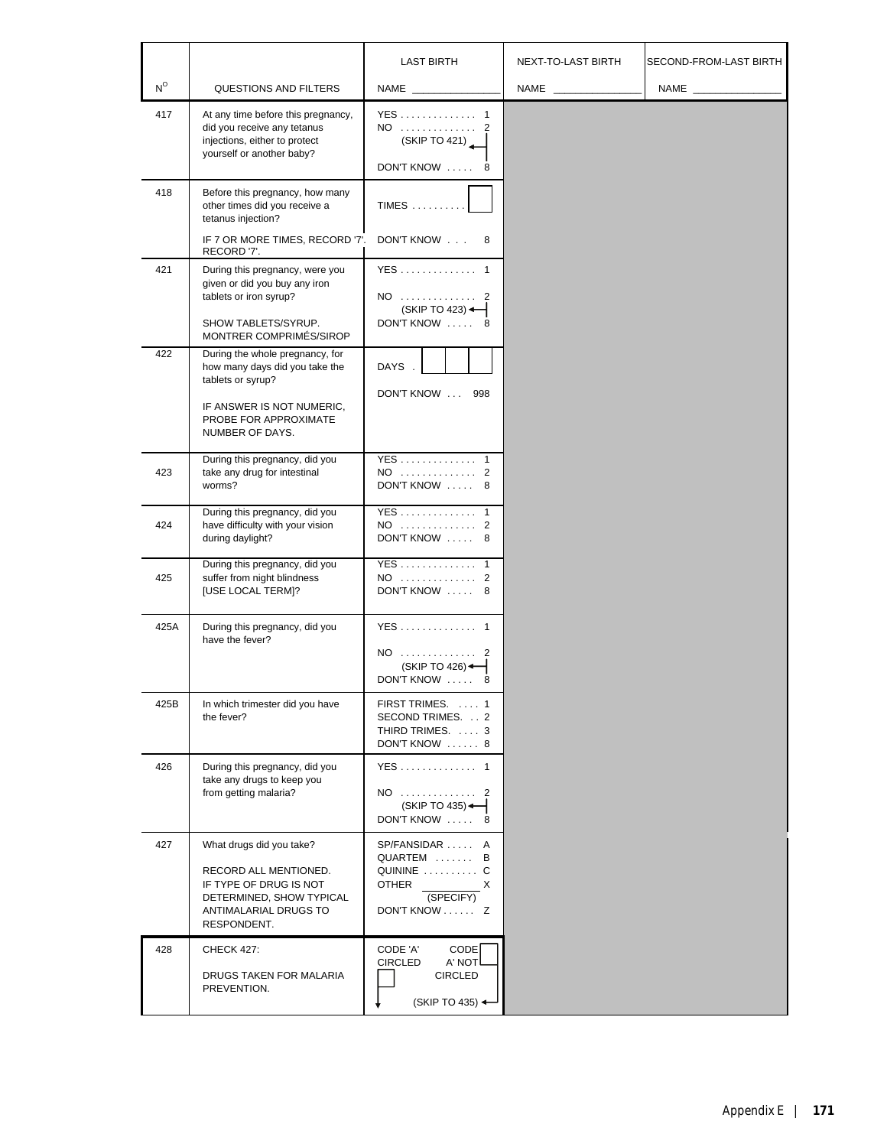|             |                                                                                                                                                                 | <b>LAST BIRTH</b>                                                                                  | NEXT-TO-LAST BIRTH | SECOND-FROM-LAST BIRTH |
|-------------|-----------------------------------------------------------------------------------------------------------------------------------------------------------------|----------------------------------------------------------------------------------------------------|--------------------|------------------------|
| $N^{\circ}$ | QUESTIONS AND FILTERS                                                                                                                                           | NAME                                                                                               | <b>NAME</b> NAME   | NAME ______________    |
| 417         | At any time before this pregnancy,<br>did you receive any tetanus<br>injections, either to protect<br>yourself or another baby?                                 | YES 1<br>NO  2<br>(SKIP TO 421)<br>DON'T KNOW  8                                                   |                    |                        |
| 418         | Before this pregnancy, how many<br>other times did you receive a<br>tetanus injection?<br>IF 7 OR MORE TIMES, RECORD '7'.<br>RECORD '7'.                        | <b>TIMES</b><br>DON'T KNOW<br>8                                                                    |                    |                        |
| 421         | During this pregnancy, were you<br>given or did you buy any iron<br>tablets or iron syrup?<br>SHOW TABLETS/SYRUP.<br>MONTRER COMPRIMÉS/SIROP                    | YES 1<br>NO  2<br>$(SKIP TO 423)$ $\leftarrow$<br>DON'T KNOW  8                                    |                    |                        |
| 422         | During the whole pregnancy, for<br>how many days did you take the<br>tablets or syrup?<br>IF ANSWER IS NOT NUMERIC.<br>PROBE FOR APPROXIMATE<br>NUMBER OF DAYS. | DAYS.<br>DON'T KNOW  998                                                                           |                    |                        |
| 423         | During this pregnancy, did you<br>take any drug for intestinal<br>worms?                                                                                        | YES 1<br>NO  2<br>DON'T KNOW  8                                                                    |                    |                        |
| 424         | During this pregnancy, did you<br>have difficulty with your vision<br>during daylight?                                                                          | YES 1<br>NO  2<br>DON'T KNOW  8                                                                    |                    |                        |
| 425         | During this pregnancy, did you<br>suffer from night blindness<br><b>[USE LOCAL TERM]?</b>                                                                       | YES 1<br>NO  2<br>DON'T KNOW  8                                                                    |                    |                        |
| 425A        | During this pregnancy, did you<br>have the fever?                                                                                                               | YES 1<br>NO  2<br>(SKIP TO 426)<br>DON'T KNOW  8                                                   |                    |                        |
| 425B        | In which trimester did you have<br>the fever?                                                                                                                   | FIRST TRIMES.  1<br>SECOND TRIMES. 2<br>THIRD TRIMES.  3<br>DON'T KNOW  8                          |                    |                        |
| 426         | During this pregnancy, did you<br>take any drugs to keep you<br>from getting malaria?                                                                           | YES 1<br>NO  2<br>(SKIP TO 435) $\leftarrow$<br>DON'T KNOW<br>8                                    |                    |                        |
| 427         | What drugs did you take?<br>RECORD ALL MENTIONED.<br>IF TYPE OF DRUG IS NOT<br>DETERMINED, SHOW TYPICAL<br>ANTIMALARIAL DRUGS TO<br>RESPONDENT.                 | SP/FANSIDAR  A<br>QUARTEM  B<br>QUININE  C<br>OTHER<br>X<br>(SPECIFY)<br>DON'T KNOW Z              |                    |                        |
| 428         | <b>CHECK 427:</b><br>DRUGS TAKEN FOR MALARIA<br>PREVENTION.                                                                                                     | CODE 'A'<br>CODE <sup>1</sup><br>A' NOT<br>CIRCLED<br><b>CIRCLED</b><br>(SKIP TO 435) $\leftarrow$ |                    |                        |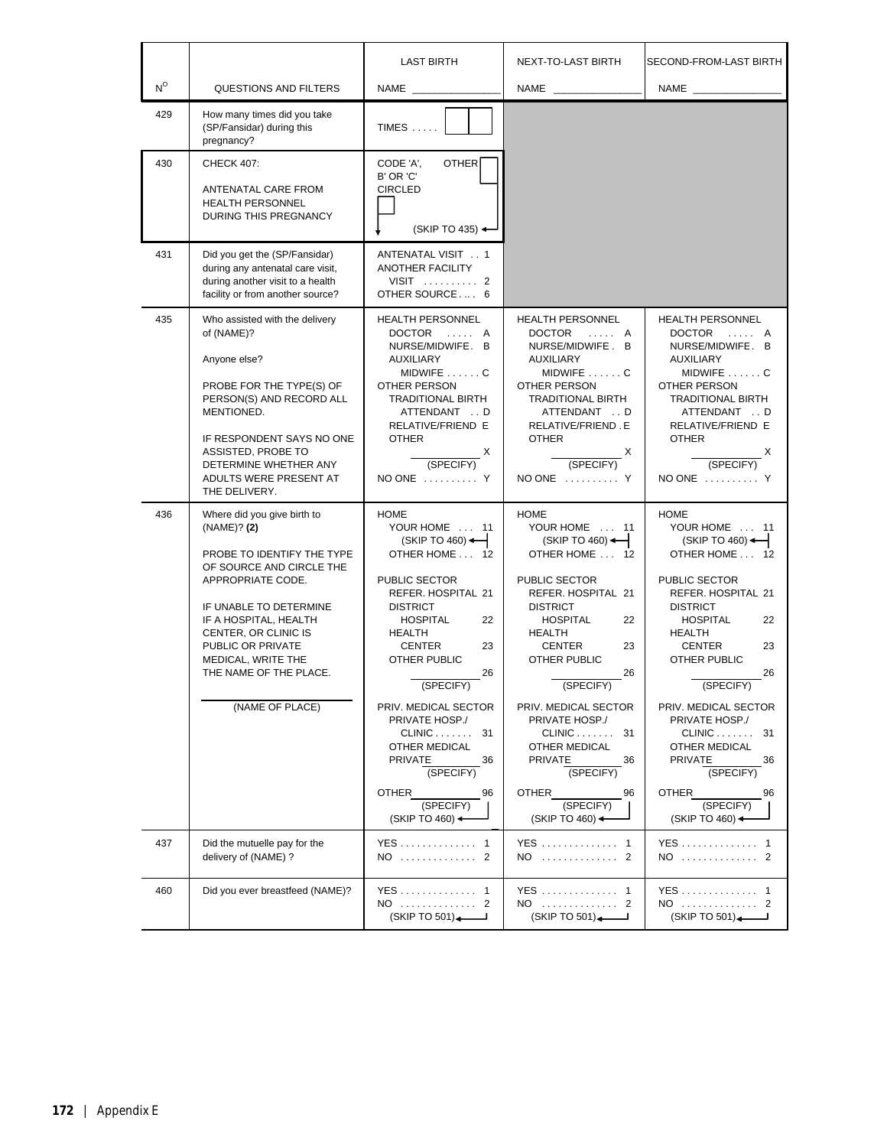|                         |                                                                                                                                                                                                                                                                                              | <b>LAST BIRTH</b>                                                                                                                                                                                                                                                                                                                                                                                       | NEXT-TO-LAST BIRTH                                                                                                                                                                                                                                                                                                                                                                                              | SECOND-FROM-LAST BIRTH                                                                                                                                                                                                                                                                                                                                                                         |
|-------------------------|----------------------------------------------------------------------------------------------------------------------------------------------------------------------------------------------------------------------------------------------------------------------------------------------|---------------------------------------------------------------------------------------------------------------------------------------------------------------------------------------------------------------------------------------------------------------------------------------------------------------------------------------------------------------------------------------------------------|-----------------------------------------------------------------------------------------------------------------------------------------------------------------------------------------------------------------------------------------------------------------------------------------------------------------------------------------------------------------------------------------------------------------|------------------------------------------------------------------------------------------------------------------------------------------------------------------------------------------------------------------------------------------------------------------------------------------------------------------------------------------------------------------------------------------------|
| $\mathsf{N}^\mathsf{O}$ | <b>QUESTIONS AND FILTERS</b>                                                                                                                                                                                                                                                                 | NAME                                                                                                                                                                                                                                                                                                                                                                                                    | NAME                                                                                                                                                                                                                                                                                                                                                                                                            | NAME                                                                                                                                                                                                                                                                                                                                                                                           |
| 429                     | How many times did you take<br>(SP/Fansidar) during this<br>pregnancy?                                                                                                                                                                                                                       | TIMES                                                                                                                                                                                                                                                                                                                                                                                                   |                                                                                                                                                                                                                                                                                                                                                                                                                 |                                                                                                                                                                                                                                                                                                                                                                                                |
| 430                     | <b>CHECK 407:</b><br>ANTENATAL CARE FROM<br><b>HEALTH PERSONNEL</b><br><b>DURING THIS PREGNANCY</b>                                                                                                                                                                                          | CODE 'A',<br><b>OTHER</b><br>B' OR 'C'<br><b>CIRCLED</b><br>(SKIP TO 435) $\leftarrow$                                                                                                                                                                                                                                                                                                                  |                                                                                                                                                                                                                                                                                                                                                                                                                 |                                                                                                                                                                                                                                                                                                                                                                                                |
| 431                     | Did you get the (SP/Fansidar)<br>during any antenatal care visit,<br>during another visit to a health<br>facility or from another source?                                                                                                                                                    | ANTENATAL VISIT 1<br>ANOTHER FACILITY<br>VISIT  2<br>OTHER SOURCE 6                                                                                                                                                                                                                                                                                                                                     |                                                                                                                                                                                                                                                                                                                                                                                                                 |                                                                                                                                                                                                                                                                                                                                                                                                |
| 435                     | Who assisted with the delivery<br>of (NAME)?<br>Anyone else?<br>PROBE FOR THE TYPE(S) OF<br>PERSON(S) AND RECORD ALL<br>MENTIONED.<br>IF RESPONDENT SAYS NO ONE<br>ASSISTED, PROBE TO<br>DETERMINE WHETHER ANY<br>ADULTS WERE PRESENT AT<br>THE DELIVERY.                                    | <b>HEALTH PERSONNEL</b><br>DOCTOR  A<br>NURSE/MIDWIFE. B<br>AUXILIARY<br>MIDWIFE C<br>OTHER PERSON<br>TRADITIONAL BIRTH<br>ATTENDANT  D<br>RELATIVE/FRIEND E<br><b>OTHER</b><br>$\frac{X}{(SPECIFY)}$<br>NO ONE  Y                                                                                                                                                                                      | <b>HEALTH PERSONNEL</b><br>DOCTOR<br>. A<br>NURSE/MIDWIFE. B<br><b>AUXILIARY</b><br>$MIDWIFE$ C<br><b>OTHER PERSON</b><br><b>TRADITIONAL BIRTH</b><br>ATTENDANT  D<br>RELATIVE/FRIEND.E<br><b>OTHER</b><br>$\frac{X}{(SPECIFY)}$<br>NO ONE  Y                                                                                                                                                                   | <b>HEALTH PERSONNEL</b><br>DOCTOR<br>. A<br>NURSE/MIDWIFE. B<br>AUXILIARY<br>MIDWIFE C<br>OTHER PERSON<br><b>TRADITIONAL BIRTH</b><br>ATTENDANT  D<br>RELATIVE/FRIEND E<br><b>OTHER</b><br>(SPECIFY)<br>NO ONE  Y                                                                                                                                                                              |
| 436                     | Where did you give birth to<br>(NAME)? (2)<br>PROBE TO IDENTIFY THE TYPE<br>OF SOURCE AND CIRCLE THE<br>APPROPRIATE CODE.<br>IF UNABLE TO DETERMINE<br>IF A HOSPITAL, HEALTH<br>CENTER, OR CLINIC IS<br>PUBLIC OR PRIVATE<br>MEDICAL, WRITE THE<br>THE NAME OF THE PLACE.<br>(NAME OF PLACE) | <b>HOME</b><br>YOUR HOME  11<br>$(SKIP TO 460)$ $\leftarrow$<br>OTHER HOME  12<br>PUBLIC SECTOR<br>REFER. HOSPITAL 21<br><b>DISTRICT</b><br><b>HOSPITAL</b><br>22<br><b>HEALTH</b><br>CENTER<br>23<br>OTHER PUBLIC<br>26<br>(SPECIFY)<br>PRIV. MEDICAL SECTOR<br>PRIVATE HOSP./<br>$CLINIC$ 31<br>OTHER MEDICAL<br>PRIVATE<br>36<br>(SPECIFY)<br>OTHER<br>96<br>(SPECIFY)<br>(SKIP TO 460) $\leftarrow$ | <b>HOME</b><br>YOUR HOME  11<br>$(SKIP TO 460)$ $\leftarrow$<br>OTHER HOME  12<br>PUBLIC SECTOR<br>REFER. HOSPITAL 21<br><b>DISTRICT</b><br><b>HOSPITAL</b><br>22<br><b>HEALTH</b><br><b>CENTER</b><br>23<br>OTHER PUBLIC<br>26<br>(SPECIFY)<br>PRIV. MEDICAL SECTOR<br>PRIVATE HOSP./<br>$CLINIC$ 31<br>OTHER MEDICAL<br>PRIVATE<br>36<br>(SPECIFY)<br>OTHER<br>96<br>(SPECIFY)<br>$(SKIPTO 460)$ $\leftarrow$ | <b>HOME</b><br>YOUR HOME  11<br>$(SKIP TO 460)$ $\leftarrow$<br>OTHER HOME  12<br>PUBLIC SECTOR<br>REFER. HOSPITAL 21<br><b>DISTRICT</b><br><b>HOSPITAL</b><br>22<br>HEALTH<br>23<br>CENTER<br>OTHER PUBLIC<br>26<br>(SPECIFY)<br>PRIV. MEDICAL SECTOR<br>PRIVATE HOSP./<br>CLINIC<br>-31<br>OTHER MEDICAL<br><b>PRIVATE</b><br>36<br>(SPECIFY)<br>OTHER<br>96<br>(SPECIFY)<br>(SKIP TO 460) < |
| 437                     | Did the mutuelle pay for the<br>delivery of (NAME) ?                                                                                                                                                                                                                                         | YES 1<br>NO  2                                                                                                                                                                                                                                                                                                                                                                                          | YES  1<br>NO.<br>. 2                                                                                                                                                                                                                                                                                                                                                                                            | YES 1<br>NO  2                                                                                                                                                                                                                                                                                                                                                                                 |
| 460                     | Did you ever breastfeed (NAME)?                                                                                                                                                                                                                                                              | YES 1<br>NO  2<br>(SKIP TO 501)                                                                                                                                                                                                                                                                                                                                                                         | YES  1<br>NO  2<br>(SKIP TO 501)                                                                                                                                                                                                                                                                                                                                                                                | YES 1<br>NO  2<br>(SKIP TO 501)                                                                                                                                                                                                                                                                                                                                                                |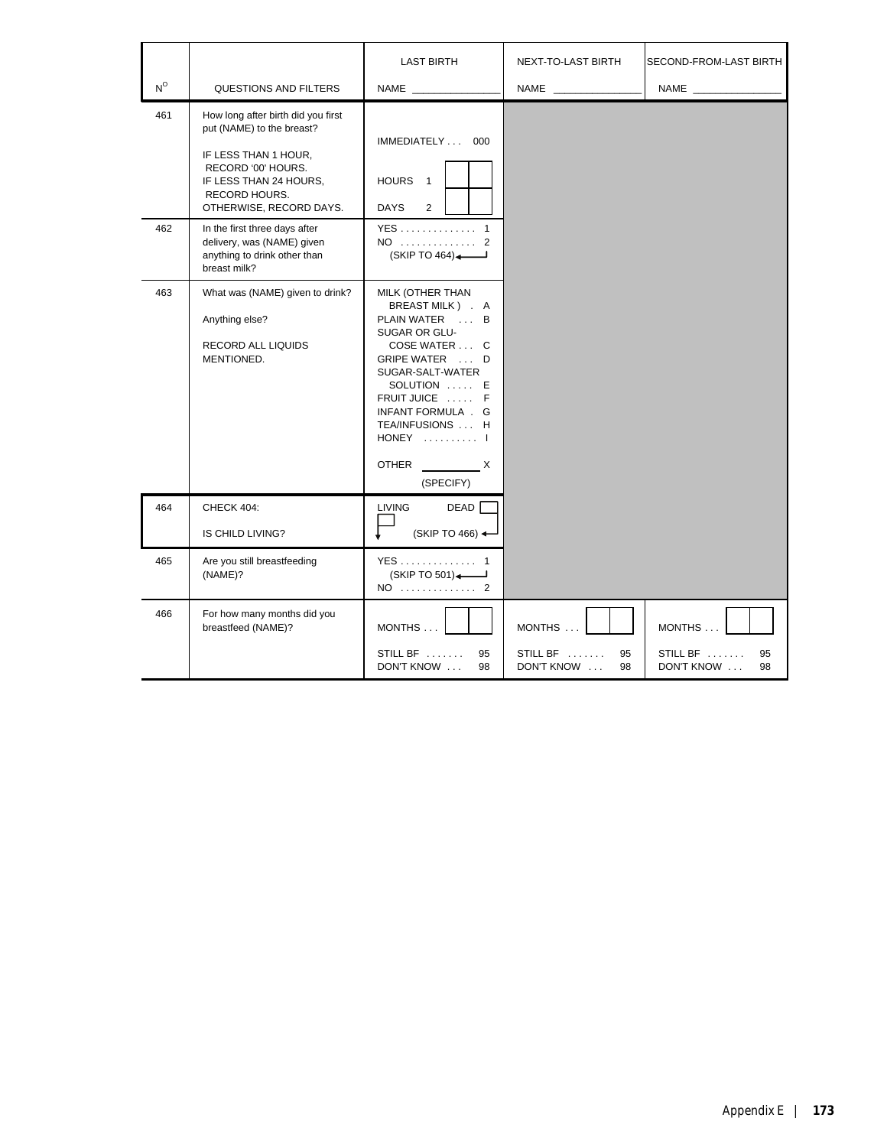|             |                                                                                                                                                                                     | <b>LAST BIRTH</b>                                                                                                                                                                                                                                                   | NEXT-TO-LAST BIRTH                           | SECOND-FROM-LAST BIRTH                       |
|-------------|-------------------------------------------------------------------------------------------------------------------------------------------------------------------------------------|---------------------------------------------------------------------------------------------------------------------------------------------------------------------------------------------------------------------------------------------------------------------|----------------------------------------------|----------------------------------------------|
| $N^{\circ}$ | QUESTIONS AND FILTERS                                                                                                                                                               | NAME                                                                                                                                                                                                                                                                | <b>NAME</b>                                  |                                              |
| 461         | How long after birth did you first<br>put (NAME) to the breast?<br>IF LESS THAN 1 HOUR,<br>RECORD '00' HOURS.<br>IF LESS THAN 24 HOURS.<br>RECORD HOURS.<br>OTHERWISE, RECORD DAYS. | IMMEDIATELY  000<br>HOURS <sub>1</sub><br><b>DAYS</b><br>$\overline{2}$                                                                                                                                                                                             |                                              |                                              |
| 462         | In the first three days after<br>delivery, was (NAME) given<br>anything to drink other than<br>breast milk?                                                                         | YES 1<br>NO  2<br>(SKIP TO 464)                                                                                                                                                                                                                                     |                                              |                                              |
| 463         | What was (NAME) given to drink?<br>Anything else?<br>RECORD ALL LIQUIDS<br>MENTIONED.                                                                                               | MILK (OTHER THAN<br>BREAST MILK ) . A<br>PLAIN WATER  B<br>SUGAR OR GLU-<br>COSE WATER  C<br>GRIPE WATER  D<br>SUGAR-SALT-WATER<br>SOLUTION  E<br>FRUIT JUICE  F<br>INFANT FORMULA . G<br>TEA/INFUSIONS  H<br>HONEY  I<br>$\mathsf{X}$<br><b>OTHER</b><br>(SPECIFY) |                                              |                                              |
| 464         | CHECK 404:<br>IS CHILD LIVING?                                                                                                                                                      | DEAD <sup>[</sup><br><b>LIVING</b><br>$(SKIPTO 466)$ $\leftarrow$                                                                                                                                                                                                   |                                              |                                              |
| 465         | Are you still breastfeeding<br>(NAME)?                                                                                                                                              | YES  1<br>(SKIP TO 501)<br>NO  2                                                                                                                                                                                                                                    |                                              |                                              |
| 466         | For how many months did you<br>breastfeed (NAME)?                                                                                                                                   | MONTHS<br>STILL BF<br>95<br>DON'T KNOW<br>98                                                                                                                                                                                                                        | MONTHS<br>STILL BF<br>95<br>98<br>DON'T KNOW | MONTHS<br>STILL BF<br>95<br>DON'T KNOW<br>98 |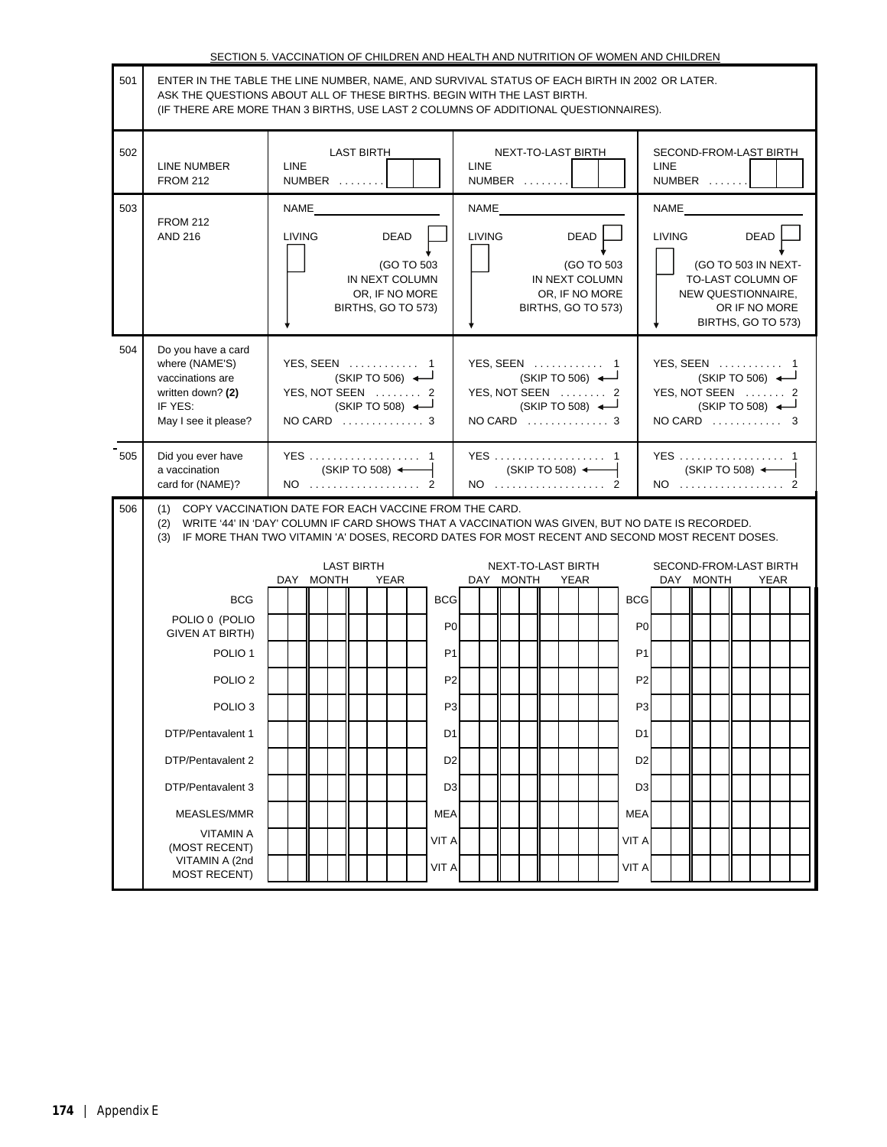|     | SECTION 5. VACCINATION OF CHILDREN AND HEALTH AND NUTRITION OF WOMEN AND CHILDREN                                                                                                                                                                               |                                                                                        |                                                                                                                                                                                                           |                                                                                                                                |  |  |
|-----|-----------------------------------------------------------------------------------------------------------------------------------------------------------------------------------------------------------------------------------------------------------------|----------------------------------------------------------------------------------------|-----------------------------------------------------------------------------------------------------------------------------------------------------------------------------------------------------------|--------------------------------------------------------------------------------------------------------------------------------|--|--|
| 501 | ENTER IN THE TABLE THE LINE NUMBER, NAME, AND SURVIVAL STATUS OF EACH BIRTH IN 2002 OR LATER.<br>ASK THE QUESTIONS ABOUT ALL OF THESE BIRTHS. BEGIN WITH THE LAST BIRTH.<br>(IF THERE ARE MORE THAN 3 BIRTHS, USE LAST 2 COLUMNS OF ADDITIONAL QUESTIONNAIRES). |                                                                                        |                                                                                                                                                                                                           |                                                                                                                                |  |  |
| 502 | LINE NUMBER<br><b>FROM 212</b>                                                                                                                                                                                                                                  | <b>LAST BIRTH</b><br><b>LINE</b><br>NUMBER                                             | <b>NEXT-TO-LAST BIRTH</b><br><b>LINE</b><br>NUMBER                                                                                                                                                        | SECOND-FROM-LAST BIRTH<br><b>LINE</b><br>NUMBER                                                                                |  |  |
| 503 | <b>FROM 212</b>                                                                                                                                                                                                                                                 | NAME                                                                                   | NAME                                                                                                                                                                                                      | NAME                                                                                                                           |  |  |
|     | <b>AND 216</b>                                                                                                                                                                                                                                                  | LIVING<br>DEAD<br>(GO TO 503<br>IN NEXT COLUMN<br>OR, IF NO MORE<br>BIRTHS, GO TO 573) | <b>LIVING</b><br>DEAD<br>(GO TO 503<br>IN NEXT COLUMN<br>OR, IF NO MORE<br>BIRTHS, GO TO 573)                                                                                                             | <b>LIVING</b><br>DEAD<br>(GO TO 503 IN NEXT-<br>TO-LAST COLUMN OF<br>NEW QUESTIONNAIRE,<br>OR IF NO MORE<br>BIRTHS, GO TO 573) |  |  |
| 504 | Do you have a card<br>where (NAME'S)<br>vaccinations are<br>written down? (2)<br>IF YES:<br>May I see it please?                                                                                                                                                | YES, SEEN  1<br>(SKIP TO 506)<br>YES, NOT SEEN  2<br>(SKIP TO 508)<br>NO CARD  3       | YES, SEEN  1<br>(SKIP TO 506)<br>YES, NOT SEEN  2<br>$(SKIPTO 508)$ $\leftarrow$<br>NO CARD  3                                                                                                            | YES, SEEN  1<br>$(SKIPTO 506)$ $\leftarrow$<br>YES, NOT SEEN  2<br>(SKIPTO 508)<br>$NO$ CARD $\ldots \ldots \ldots$ 3          |  |  |
| 505 | Did you ever have<br>a vaccination<br>card for (NAME)?                                                                                                                                                                                                          | (SKIP TO 508) <<br>NO  2                                                               | YES  1<br>(SKIP TO 508) <<br>NO 2                                                                                                                                                                         | YES  1<br>(SKIP TO 508) <<br>NO  2                                                                                             |  |  |
| 506 |                                                                                                                                                                                                                                                                 | (1) COPY VACCINATION DATE FOR EACH VACCINE FROM THE CARD.                              | (2) WRITE '44' IN 'DAY' COLUMN IF CARD SHOWS THAT A VACCINATION WAS GIVEN, BUT NO DATE IS RECORDED.<br>(3) IF MORE THAN TWO VITAMIN 'A' DOSES, RECORD DATES FOR MOST RECENT AND SECOND MOST RECENT DOSES. |                                                                                                                                |  |  |
|     |                                                                                                                                                                                                                                                                 | <b>LAST BIRTH</b><br>DAY MONTH<br>YEAR                                                 | NEXT-TO-LAST BIRTH<br>DAY MONTH<br><b>YEAR</b>                                                                                                                                                            | SECOND-FROM-LAST BIRTH<br>DAY MONTH<br>YEAR                                                                                    |  |  |
|     | <b>BCG</b>                                                                                                                                                                                                                                                      | <b>BCG</b>                                                                             | <b>BCG</b>                                                                                                                                                                                                |                                                                                                                                |  |  |
|     | POLIO 0 (POLIO<br><b>GIVEN AT BIRTH)</b>                                                                                                                                                                                                                        | P <sub>0</sub>                                                                         |                                                                                                                                                                                                           | P <sub>0</sub>                                                                                                                 |  |  |
|     | POLIO <sub>1</sub>                                                                                                                                                                                                                                              | P <sub>1</sub>                                                                         |                                                                                                                                                                                                           | P1                                                                                                                             |  |  |
|     | POLIO <sub>2</sub>                                                                                                                                                                                                                                              | P <sub>2</sub>                                                                         |                                                                                                                                                                                                           | P <sub>2</sub>                                                                                                                 |  |  |
|     | POLIO <sub>3</sub>                                                                                                                                                                                                                                              |                                                                                        | P <sub>3</sub>                                                                                                                                                                                            | P <sub>3</sub>                                                                                                                 |  |  |
|     | DTP/Pentavalent 1                                                                                                                                                                                                                                               | D1                                                                                     |                                                                                                                                                                                                           | D1                                                                                                                             |  |  |
|     | DTP/Pentavalent 2                                                                                                                                                                                                                                               | D <sub>2</sub>                                                                         |                                                                                                                                                                                                           | D <sub>2</sub>                                                                                                                 |  |  |
|     | DTP/Pentavalent 3                                                                                                                                                                                                                                               | D <sub>3</sub>                                                                         |                                                                                                                                                                                                           | D <sub>3</sub>                                                                                                                 |  |  |
|     | MEASLES/MMR<br><b>VITAMIN A</b>                                                                                                                                                                                                                                 | <b>MEA</b>                                                                             | <b>MEA</b>                                                                                                                                                                                                |                                                                                                                                |  |  |
|     | (MOST RECENT)<br>VITAMIN A (2nd                                                                                                                                                                                                                                 | VIT A<br>VIT A                                                                         | VIT A<br>VIT A                                                                                                                                                                                            |                                                                                                                                |  |  |
|     | <b>MOST RECENT)</b>                                                                                                                                                                                                                                             |                                                                                        |                                                                                                                                                                                                           |                                                                                                                                |  |  |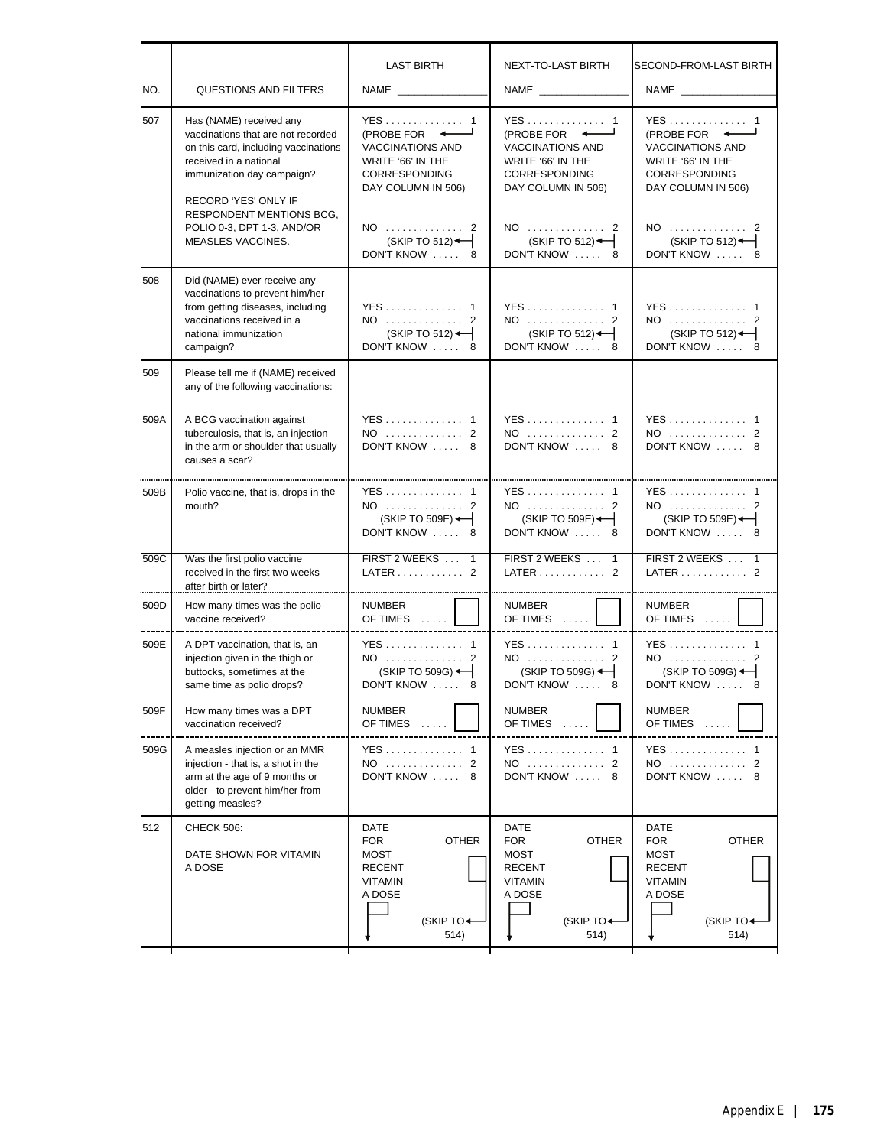| NO.  | <b>QUESTIONS AND FILTERS</b>                                                                                                                                                                                                                                                       | <b>LAST BIRTH</b><br>NAME _______________                                                                                                                                         | <b>NEXT-TO-LAST BIRTH</b>                                                                                                                                                 | SECOND-FROM-LAST BIRTH<br><b>NAME</b>                                                                                                                                  |
|------|------------------------------------------------------------------------------------------------------------------------------------------------------------------------------------------------------------------------------------------------------------------------------------|-----------------------------------------------------------------------------------------------------------------------------------------------------------------------------------|---------------------------------------------------------------------------------------------------------------------------------------------------------------------------|------------------------------------------------------------------------------------------------------------------------------------------------------------------------|
| 507  | Has (NAME) received any<br>vaccinations that are not recorded<br>on this card, including vaccinations<br>received in a national<br>immunization day campaign?<br>RECORD 'YES' ONLY IF<br><b>RESPONDENT MENTIONS BCG.</b><br>POLIO 0-3, DPT 1-3, AND/OR<br><b>MEASLES VACCINES.</b> | YES 1<br>(PROBE FOR $\leftarrow$<br><b>VACCINATIONS AND</b><br>WRITE '66' IN THE<br>CORRESPONDING<br>DAY COLUMN IN 506)<br>NO  2<br>$(SKIP TO 512)$ $\leftarrow$<br>DON'T KNOW  8 | YES 1<br>(PROBE FOR<br><b>VACCINATIONS AND</b><br>WRITE '66' IN THE<br><b>CORRESPONDING</b><br>DAY COLUMN IN 506)<br>NO  2<br>(SKIP TO 512) $\leftarrow$<br>DON'T KNOW  8 | YES 1<br>(PROBE FOR +<br><b>VACCINATIONS AND</b><br>WRITE '66' IN THE<br>CORRESPONDING<br>DAY COLUMN IN 506)<br>NO  2<br>$(SKIP TO 512)$ $\leftarrow$<br>DON'T KNOW  8 |
| 508  | Did (NAME) ever receive any<br>vaccinations to prevent him/her<br>from getting diseases, including<br>vaccinations received in a<br>national immunization<br>campaign?                                                                                                             | YES 1<br>NO  2<br>(SKIP TO 512)<br>DON'T KNOW  8                                                                                                                                  | YES 1<br>NO  2<br>(SKIP TO 512)<br>DON'T KNOW  8                                                                                                                          | YES 1<br>NO  2<br>$(SKIP TO 512)$ $\leftarrow$<br>DON'T KNOW  8                                                                                                        |
| 509  | Please tell me if (NAME) received<br>any of the following vaccinations:                                                                                                                                                                                                            |                                                                                                                                                                                   |                                                                                                                                                                           |                                                                                                                                                                        |
| 509A | A BCG vaccination against<br>tuberculosis, that is, an injection<br>in the arm or shoulder that usually<br>causes a scar?                                                                                                                                                          | YES 1<br>NO  2<br>DON'T KNOW  8                                                                                                                                                   | YES 1<br>NO  2<br>DON'T KNOW  8                                                                                                                                           | YES 1<br>NO  2<br>DON'T KNOW  8                                                                                                                                        |
| 509B | Polio vaccine, that is, drops in the<br>mouth?                                                                                                                                                                                                                                     | YES 1<br>NO  2<br>(SKIP TO 509E) $\leftarrow$<br>DON'T KNOW  8                                                                                                                    | YES 1<br>NO  2<br>(SKIP TO 509E)<br>DON'T KNOW  8                                                                                                                         | YES 1<br>NO  2<br>$(SKIP TO 509E)$ $\leftarrow$<br>DON'T KNOW  8                                                                                                       |
| 509C | Was the first polio vaccine<br>received in the first two weeks<br>after birth or later?                                                                                                                                                                                            | FIRST 2 WEEKS  1<br>LATER 2                                                                                                                                                       | FIRST 2 WEEKS  1<br>LATER $\ldots$ ,  2                                                                                                                                   | FIRST 2 WEEKS  1<br>LATER 2                                                                                                                                            |
| 509D | How many times was the polio<br>vaccine received?                                                                                                                                                                                                                                  | <b>NUMBER</b><br>OF TIMES<br>------------------------                                                                                                                             | <b>NUMBER</b><br>OF TIMES<br>-------------------- <del>--</del>                                                                                                           | <b>NUMBER</b><br>OF TIMES $\ldots$<br>-------------------- <del>----</del> -                                                                                           |
| 509E | A DPT vaccination, that is, an<br>injection given in the thigh or<br>buttocks, sometimes at the<br>same time as polio drops?                                                                                                                                                       | YES 1<br>NO  2<br>$(SKIP TO 509G)$ $\leftarrow$<br>DON'T KNOW  8                                                                                                                  | YES 1<br>NO  2<br>$(SKIP TO 509G)$ $\leftarrow$<br>DON'T KNOW  8                                                                                                          | YES 1<br>NO  2<br>$(SKIP TO 509G)$ $\leftarrow$<br>DON'T KNOW  8                                                                                                       |
| 509F | How many times was a DPT<br>vaccination received?                                                                                                                                                                                                                                  | NUMBER<br>OF TIMES                                                                                                                                                                | NUMBER<br>OF TIMES                                                                                                                                                        | NUMBER<br>OF TIMES<br>1.1.1.1                                                                                                                                          |
| 509G | A measles injection or an MMR<br>injection - that is, a shot in the<br>arm at the age of 9 months or<br>older - to prevent him/her from<br>getting measles?                                                                                                                        | YES 1<br>NO  2<br>DON'T KNOW  8                                                                                                                                                   | YES 1<br>NO  2<br>DON'T KNOW  8                                                                                                                                           | YES 1<br>NO  2<br>DON'T KNOW  8                                                                                                                                        |
| 512  | <b>CHECK 506:</b><br>DATE SHOWN FOR VITAMIN<br>A DOSE                                                                                                                                                                                                                              | DATE<br>FOR<br><b>OTHER</b><br>MOST<br><b>RECENT</b><br>VITAMIN<br>A DOSE<br>(SKIP TO <sup>+</sup><br>514)                                                                        | DATE<br><b>FOR</b><br><b>OTHER</b><br>MOST<br><b>RECENT</b><br>VITAMIN<br>A DOSE<br>(SKIP TO <sup>+</sup><br>514)                                                         | DATE<br><b>FOR</b><br><b>OTHER</b><br>MOST<br><b>RECENT</b><br><b>VITAMIN</b><br>A DOSE<br>(SKIP TO <sup>+</sup><br>514)                                               |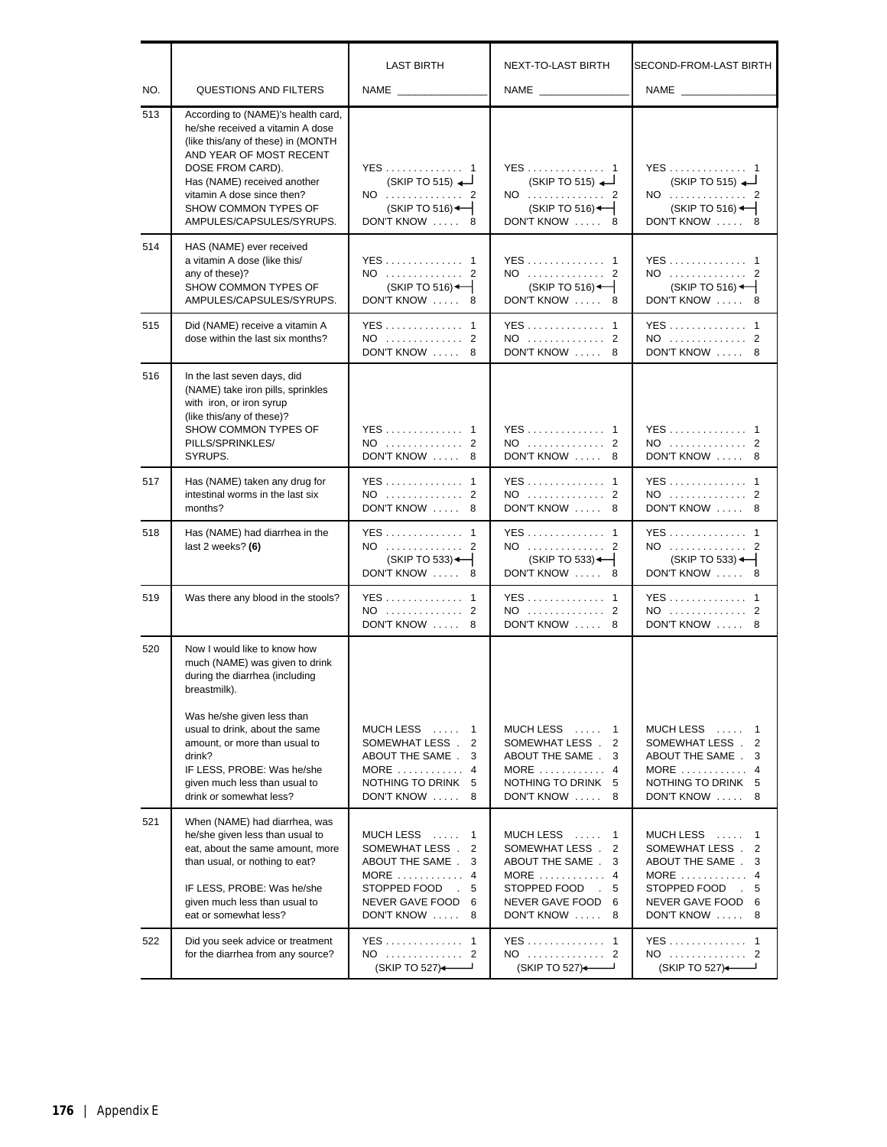|     |                                                                                                                                                                                                                                                                              | <b>LAST BIRTH</b>                                                                                                                                              | NEXT-TO-LAST BIRTH                                                                                                                                     | SECOND-FROM-LAST BIRTH                                                                                                                                               |
|-----|------------------------------------------------------------------------------------------------------------------------------------------------------------------------------------------------------------------------------------------------------------------------------|----------------------------------------------------------------------------------------------------------------------------------------------------------------|--------------------------------------------------------------------------------------------------------------------------------------------------------|----------------------------------------------------------------------------------------------------------------------------------------------------------------------|
| NO. | <b>QUESTIONS AND FILTERS</b>                                                                                                                                                                                                                                                 |                                                                                                                                                                | NAME                                                                                                                                                   |                                                                                                                                                                      |
| 513 | According to (NAME)'s health card,<br>he/she received a vitamin A dose<br>(like this/any of these) in (MONTH<br>AND YEAR OF MOST RECENT<br>DOSE FROM CARD).<br>Has (NAME) received another<br>vitamin A dose since then?<br>SHOW COMMON TYPES OF<br>AMPULES/CAPSULES/SYRUPS. | YES 1<br>(SKIPTO 515)<br>NO  2<br>(SKIP TO 516)<br>DON'T KNOW  8                                                                                               | YES 1<br>(SKIP TO 515)<br>NO  2<br>(SKIP TO 516)<br>DON'T KNOW  8                                                                                      | YES 1<br>(SKIP TO 515)<br>NO  2<br>$(SKIP TO 516)$ $\leftarrow$<br>DON'T KNOW  8                                                                                     |
| 514 | HAS (NAME) ever received<br>a vitamin A dose (like this/<br>any of these)?<br>SHOW COMMON TYPES OF<br>AMPULES/CAPSULES/SYRUPS.                                                                                                                                               | YES 1<br>NO  2<br>(SKIP TO 516)<br>DON'T KNOW  8                                                                                                               | YES 1<br>NO  2<br>(SKIP TO 516)<br>DON'T KNOW  8                                                                                                       | YES 1<br>NO  2<br>$(SKIP TO 516)$ $\leftarrow$<br>DON'T KNOW  8                                                                                                      |
| 515 | Did (NAME) receive a vitamin A<br>dose within the last six months?                                                                                                                                                                                                           | YES 1<br>NO  2<br>DON'T KNOW  8                                                                                                                                | YES 1<br>NO  2<br>DON'T KNOW  8                                                                                                                        | YES 1<br>NO  2<br>DON'T KNOW  8                                                                                                                                      |
| 516 | In the last seven days, did<br>(NAME) take iron pills, sprinkles<br>with iron, or iron syrup<br>(like this/any of these)?<br>SHOW COMMON TYPES OF<br>PILLS/SPRINKLES/<br>SYRUPS.                                                                                             | YES 1<br>NO  2<br>DON'T KNOW  8                                                                                                                                | YES 1<br>NO  2<br>DON'T KNOW  8                                                                                                                        | YES 1<br>NO  2<br>DON'T KNOW  8                                                                                                                                      |
| 517 | Has (NAME) taken any drug for<br>intestinal worms in the last six<br>months?                                                                                                                                                                                                 | YES 1<br>NO  2<br>DON'T KNOW  8                                                                                                                                | YES 1<br>NO  2<br>DON'T KNOW  8                                                                                                                        | YES 1<br>NO  2<br>DON'T KNOW  8                                                                                                                                      |
| 518 | Has (NAME) had diarrhea in the<br>last 2 weeks? (6)                                                                                                                                                                                                                          | YES 1<br>NO  2<br>$(SKIP TO 533)$ $\leftarrow$<br>DON'T KNOW  8                                                                                                | YES 1<br>NO  2<br>$(SKIP TO 533)$ $\leftarrow$<br>DON'T KNOW  8                                                                                        | YES 1<br>NO  2<br>$(SKIP TO 533)$ $\leftarrow$<br>DON'T KNOW  8                                                                                                      |
| 519 | Was there any blood in the stools?                                                                                                                                                                                                                                           | YES 1<br>NO  2<br>DON'T KNOW  8                                                                                                                                | YES 1<br>NO  2<br>DON'T KNOW<br>8                                                                                                                      | YES 1<br>NO  2<br>DON'T KNOW<br>-8                                                                                                                                   |
| 520 | Now I would like to know how<br>much (NAME) was given to drink<br>during the diarrhea (including<br>breastmilk).                                                                                                                                                             |                                                                                                                                                                |                                                                                                                                                        |                                                                                                                                                                      |
|     | Was he/she given less than<br>usual to drink, about the same<br>amount, or more than usual to<br>drink?<br>IF LESS, PROBE: Was he/she<br>given much less than usual to<br>drink or somewhat less?                                                                            | MUCH LESS<br>$\overline{1}$<br>SOMEWHAT LESS.<br>2<br>ABOUT THE SAME.<br>3<br>$MORE$ 4<br>NOTHING TO DRINK 5<br>DON'T KNOW  8                                  | MUCH LESS  1<br>SOMEWHAT LESS.<br>$\overline{2}$<br>ABOUT THE SAME.<br>3<br>MORE $\ldots$ 4<br>NOTHING TO DRINK 5<br>DON'T KNOW  8                     | MUCH LESS  1<br>SOMEWHAT LESS . 2<br>ABOUT THE SAME.<br>3<br>$MORE$ 4<br>NOTHING TO DRINK 5<br>DON'T KNOW  8                                                         |
| 521 | When (NAME) had diarrhea, was<br>he/she given less than usual to<br>eat, about the same amount, more<br>than usual, or nothing to eat?<br>IF LESS, PROBE: Was he/she<br>given much less than usual to<br>eat or somewhat less?                                               | MUCH LESS<br>$\mathbf{1}$<br>$\overline{2}$<br>SOMEWHAT LESS.<br>ABOUT THE SAME.<br>3<br>MORE  4<br>STOPPED FOOD<br>5<br>NEVER GAVE FOOD<br>6<br>DON'T KNOW  8 | MUCH LESS  1<br>SOMEWHAT LESS . 2<br>ABOUT THE SAME.<br>3<br>MORE $\dots\dots\dots\dots$ 4<br>STOPPED FOOD<br>.5<br>NEVER GAVE FOOD 6<br>DON'T KNOW  8 | $MUCH$ LESS $\ldots$<br>1<br>$\overline{2}$<br>SOMEWHAT LESS.<br>ABOUT THE SAME . 3<br>MORE $\ldots$ , 4<br>STOPPED FOOD<br>-5<br>NEVER GAVE FOOD 6<br>DON'T KNOW  8 |
| 522 | Did you seek advice or treatment<br>for the diarrhea from any source?                                                                                                                                                                                                        | YES 1<br>NO  2<br>(SKIP TO 527)                                                                                                                                | YES 1<br>NO  2<br>(SKIP TO 527)                                                                                                                        | YES 1<br>NO  2<br>(SKIP TO 527)                                                                                                                                      |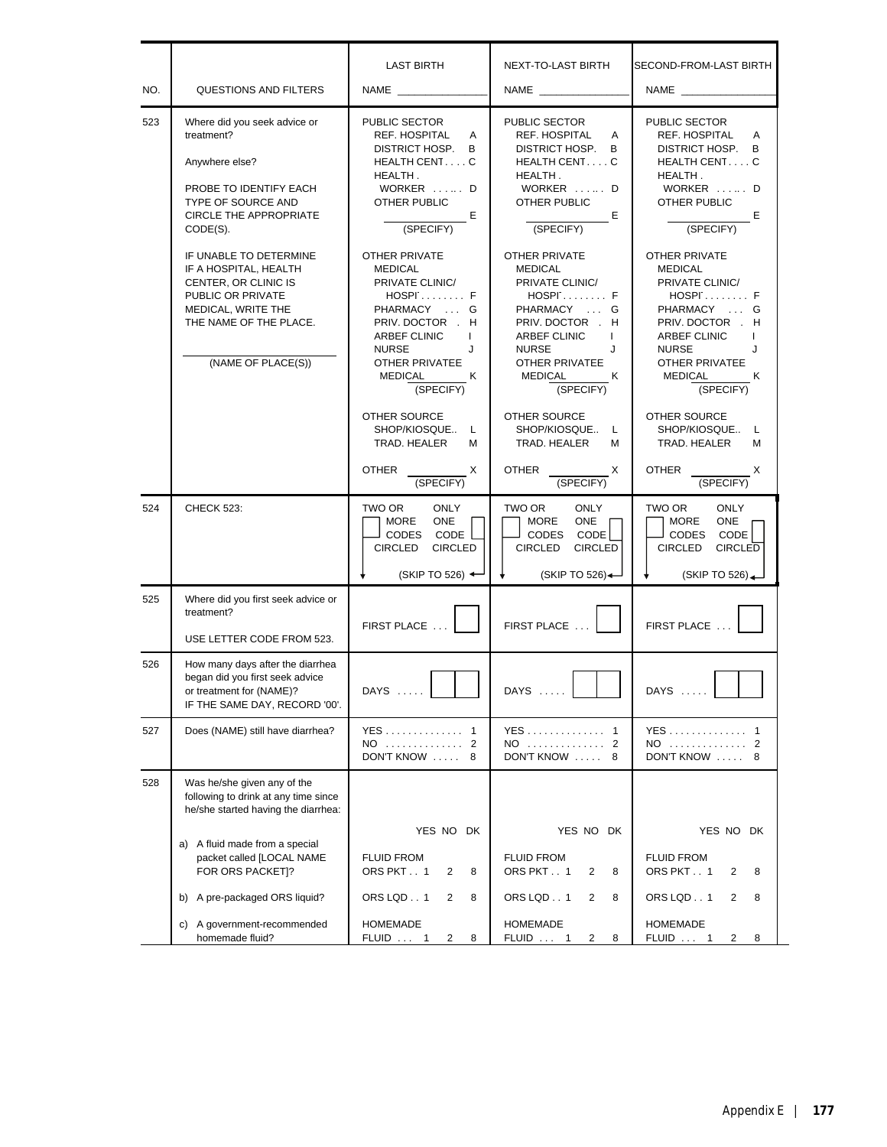| NO. | <b>QUESTIONS AND FILTERS</b>                                                                                                                                       | <b>LAST BIRTH</b><br><b>NAME</b>                                                                                                                                                                                             | NEXT-TO-LAST BIRTH<br><b>NAME</b>                                                                                                                                                                            | SECOND-FROM-LAST BIRTH<br><b>NAME NAME</b>                                                                                                                                                                                   |
|-----|--------------------------------------------------------------------------------------------------------------------------------------------------------------------|------------------------------------------------------------------------------------------------------------------------------------------------------------------------------------------------------------------------------|--------------------------------------------------------------------------------------------------------------------------------------------------------------------------------------------------------------|------------------------------------------------------------------------------------------------------------------------------------------------------------------------------------------------------------------------------|
| 523 | Where did you seek advice or<br>treatment?<br>Anywhere else?<br>PROBE TO IDENTIFY EACH<br>TYPE OF SOURCE AND<br>CIRCLE THE APPROPRIATE<br>$CODE(S)$ .              | PUBLIC SECTOR<br>REF. HOSPITAL<br>A<br>DISTRICT HOSP.<br>B<br>HEALTH CENTC<br>HEALTH.<br>WORKER  D<br>OTHER PUBLIC<br>Е<br>(SPECIFY)                                                                                         | PUBLIC SECTOR<br>REF. HOSPITAL<br>A<br>DISTRICT HOSP.<br>В<br>HEALTH CENTC<br>HEALTH.<br>WORKER  D<br>OTHER PUBLIC<br><b>E</b><br>(SPECIFY)                                                                  | PUBLIC SECTOR<br>REF. HOSPITAL<br>A<br>DISTRICT HOSP.<br>B<br>HEALTH CENTC<br>HEALTH.<br>WORKER  D<br><b>OTHER PUBLIC</b><br>Е<br>(SPECIFY)                                                                                  |
|     | IF UNABLE TO DETERMINE<br>IF A HOSPITAL, HEALTH<br>CENTER, OR CLINIC IS<br>PUBLIC OR PRIVATE<br>MEDICAL, WRITE THE<br>THE NAME OF THE PLACE.<br>(NAME OF PLACE(S)) | <b>OTHER PRIVATE</b><br><b>MEDICAL</b><br>PRIVATE CLINIC/<br>$HOSP$ $F$<br>PHARMACY  G<br>PRIV. DOCTOR . H<br><b>ARBEF CLINIC</b><br>$\mathbf{I}$<br><b>NURSE</b><br>J<br><b>OTHER PRIVATEE</b><br>MEDICAL<br>ĸ<br>(SPECIFY) | OTHER PRIVATE<br><b>MEDICAL</b><br>PRIVATE CLINIC/<br>$HOSP$ $F$<br>PHARMACY  G<br>PRIV. DOCTOR H<br>ARBEF CLINIC<br>$\mathbf{I}$<br><b>NURSE</b><br>J<br><b>OTHER PRIVATEE</b><br>MEDICAL<br>ĸ<br>(SPECIFY) | <b>OTHER PRIVATE</b><br><b>MEDICAL</b><br>PRIVATE CLINIC/<br>$HOSP$ $F$<br>PHARMACY  G<br>PRIV. DOCTOR . H<br><b>ARBEF CLINIC</b><br>$\mathbf{I}$<br><b>NURSE</b><br>J<br><b>OTHER PRIVATEE</b><br>MEDICAL<br>к<br>(SPECIFY) |
|     |                                                                                                                                                                    | OTHER SOURCE<br>SHOP/KIOSQUE<br>L<br>TRAD, HEALER<br>м                                                                                                                                                                       | OTHER SOURCE<br>SHOP/KIOSQUE L<br>TRAD. HEALER<br>м                                                                                                                                                          | OTHER SOURCE<br>SHOP/KIOSQUE<br>L<br>TRAD. HEALER<br>м                                                                                                                                                                       |
|     |                                                                                                                                                                    | <b>OTHER</b><br>$\mathsf{X}$<br>(SPECIFY)                                                                                                                                                                                    | <b>OTHER</b><br>X<br>(SPECIFY)                                                                                                                                                                               | <b>OTHER</b><br>Х<br>(SPECIFY)                                                                                                                                                                                               |
| 524 | <b>CHECK 523:</b>                                                                                                                                                  | <b>ONLY</b><br>TWO OR<br>MORE<br><b>ONE</b><br>CODE<br>CODES<br><b>CIRCLED</b><br><b>CIRCLED</b><br>(SKIP TO 526) 4                                                                                                          | TWO OR<br><b>ONLY</b><br><b>MORE</b><br><b>ONE</b><br><b>CODES</b><br>CODE<br><b>CIRCLED</b><br><b>CIRCLED</b><br>(SKIP TO 526) $\leftarrow$                                                                 | <b>ONLY</b><br>TWO OR<br><b>MORE</b><br><b>ONE</b><br>CODES<br>CODE<br><b>CIRCLED</b><br><b>CIRCLED</b><br>(SKIPTO 526)                                                                                                      |
| 525 | Where did you first seek advice or<br>treatment?<br>USE LETTER CODE FROM 523.                                                                                      | FIRST PLACE                                                                                                                                                                                                                  | FIRST PLACE                                                                                                                                                                                                  | FIRST PLACE                                                                                                                                                                                                                  |
| 526 | How many days after the diarrhea<br>began did you first seek advice<br>or treatment for (NAME)?<br>IF THE SAME DAY, RECORD '00'.                                   | $DAYS$                                                                                                                                                                                                                       | $DAYS$                                                                                                                                                                                                       | DAYS                                                                                                                                                                                                                         |
| 527 | Does (NAME) still have diarrhea?                                                                                                                                   | YES 1<br>NO  2<br>DON'T KNOW  8                                                                                                                                                                                              | YES 1<br>NO  2<br>DON'T KNOW  8                                                                                                                                                                              | YES 1<br>NO  2<br>DON'T KNOW  8                                                                                                                                                                                              |
| 528 | Was he/she given any of the<br>following to drink at any time since<br>he/she started having the diarrhea:                                                         |                                                                                                                                                                                                                              |                                                                                                                                                                                                              |                                                                                                                                                                                                                              |
|     | a) A fluid made from a special<br>packet called [LOCAL NAME<br>FOR ORS PACKET]?                                                                                    | YES NO DK<br><b>FLUID FROM</b><br>ORS PKT1<br>2<br>8                                                                                                                                                                         | YES NO DK<br><b>FLUID FROM</b><br>ORS PKT1<br>2<br>8                                                                                                                                                         | YES NO DK<br><b>FLUID FROM</b><br>ORS PKT1<br>2<br>8                                                                                                                                                                         |
|     | b) A pre-packaged ORS liquid?                                                                                                                                      | ORS LQD1<br>2<br>8                                                                                                                                                                                                           | ORS LQD1<br>2<br>8                                                                                                                                                                                           | ORS LQD1<br>2<br>8                                                                                                                                                                                                           |
|     | c) A government-recommended<br>homemade fluid?                                                                                                                     | <b>HOMEMADE</b><br>FLUID  1<br>2<br>8                                                                                                                                                                                        | <b>HOMEMADE</b><br>$FLUID \dots 1$<br>2<br>8                                                                                                                                                                 | <b>HOMEMADE</b><br><b>FLUID</b> 1<br>8<br>$\mathbf{2}$                                                                                                                                                                       |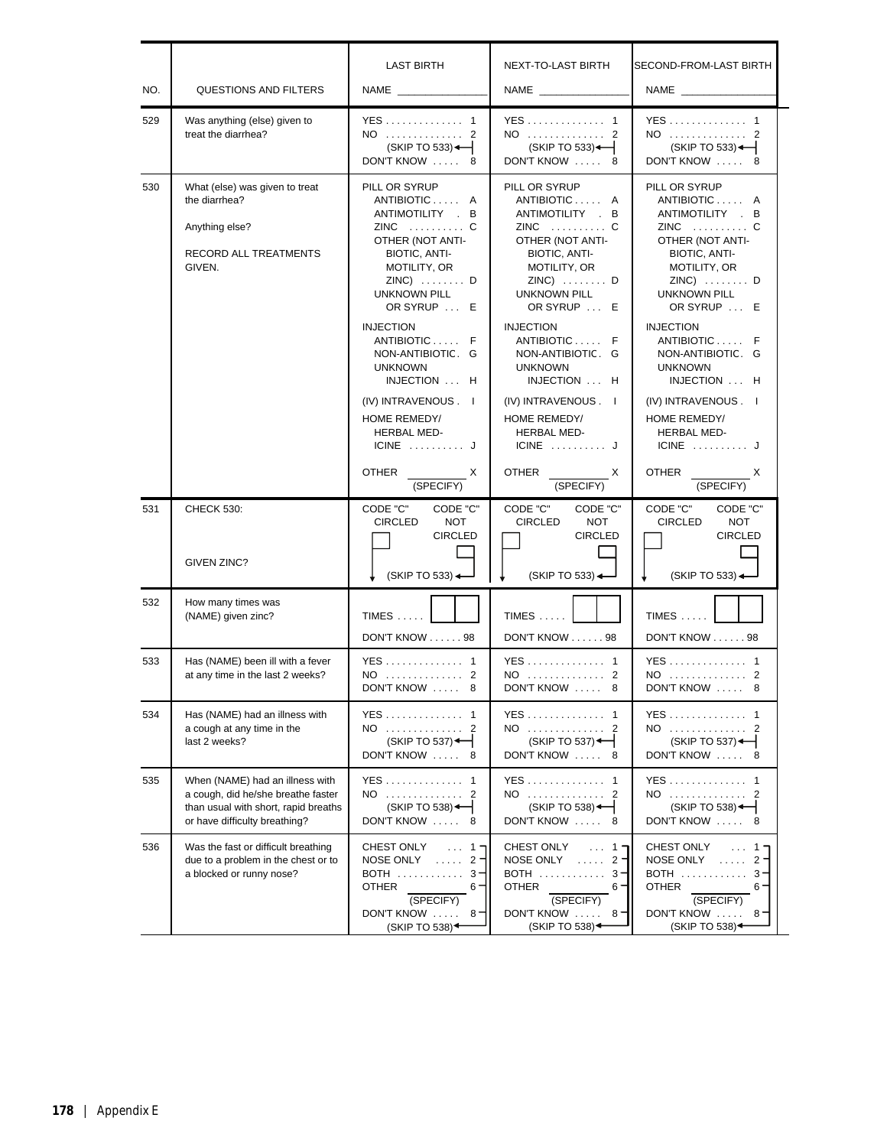| NO. | <b>QUESTIONS AND FILTERS</b>                                                                                                                   | <b>LAST BIRTH</b>                                                                                                                                                                                                                                                                                                                                      | NEXT-TO-LAST BIRTH                                                                                                                                                                                                                                                                                                                               | SECOND-FROM-LAST BIRTH                                                                                                                                                                                                                                                                                                                |
|-----|------------------------------------------------------------------------------------------------------------------------------------------------|--------------------------------------------------------------------------------------------------------------------------------------------------------------------------------------------------------------------------------------------------------------------------------------------------------------------------------------------------------|--------------------------------------------------------------------------------------------------------------------------------------------------------------------------------------------------------------------------------------------------------------------------------------------------------------------------------------------------|---------------------------------------------------------------------------------------------------------------------------------------------------------------------------------------------------------------------------------------------------------------------------------------------------------------------------------------|
| 529 | Was anything (else) given to<br>treat the diarrhea?                                                                                            | YES 1<br>NO  2<br>$(SKIP TO 533)$ $\leftarrow$<br>DON'T KNOW  8                                                                                                                                                                                                                                                                                        | YES 1<br>NO  2<br>(SKIP TO 533)<br>DON'T KNOW  8                                                                                                                                                                                                                                                                                                 | <b>YES</b> 1<br>NO  2<br>(SKIP TO 533)-<br>DON'T KNOW  8                                                                                                                                                                                                                                                                              |
| 530 | What (else) was given to treat<br>the diarrhea?<br>Anything else?<br>RECORD ALL TREATMENTS<br>GIVEN.                                           | PILL OR SYRUP<br>ANTIBIOTIC A<br>ANTIMOTILITY . B<br>$ZINC$ C<br>OTHER (NOT ANTI-<br>BIOTIC, ANTI-<br>MOTILITY, OR<br>$ZINC)$ $D$<br><b>UNKNOWN PILL</b><br>OR SYRUP  E<br><b>INJECTION</b><br>ANTIBIOTIC F<br>NON-ANTIBIOTIC. G<br><b>UNKNOWN</b><br>INJECTION  H<br>(IV) INTRAVENOUS . I<br>HOME REMEDY/<br>HERBAL MED-<br>$ICINE$ J<br><b>OTHER</b> | PILL OR SYRUP<br>ANTIBIOTIC A<br>ANTIMOTILITY . B<br>ZINC  C<br>OTHER (NOT ANTI-<br>BIOTIC, ANTI-<br>MOTILITY, OR<br>$ZINC)$ $D$<br><b>UNKNOWN PILL</b><br>OR SYRUP  E<br><b>INJECTION</b><br>ANTIBIOTIC F<br>NON-ANTIBIOTIC. G<br><b>UNKNOWN</b><br>INJECTION  H<br>(IV) INTRAVENOUS . I<br>HOME REMEDY/<br>HERBAL MED-<br>$ICINE$ $J$<br>OTHER | PILL OR SYRUP<br>ANTIBIOTIC A<br>ANTIMOTILITY . B<br>OTHER (NOT ANTI-<br>BIOTIC, ANTI-<br>MOTILITY, OR<br>$ZINC)$ $D$<br><b>UNKNOWN PILL</b><br>OR SYRUP  E<br><b>INJECTION</b><br>ANTIBIOTIC F<br>NON-ANTIBIOTIC. G<br><b>UNKNOWN</b><br>INJECTION  H<br>(IV) INTRAVENOUS . I<br>HOME REMEDY/<br>HERBAL MED-<br>$ICINE$ $J$<br>OTHER |
|     |                                                                                                                                                | X<br>(SPECIFY)                                                                                                                                                                                                                                                                                                                                         | (SPECIFY)                                                                                                                                                                                                                                                                                                                                        | (SPECIFY)                                                                                                                                                                                                                                                                                                                             |
| 531 | <b>CHECK 530:</b><br>GIVEN ZINC?                                                                                                               | CODE "C"<br>CODE "C"<br><b>CIRCLED</b><br><b>NOT</b><br><b>CIRCLED</b><br>$(SKIPTO 533)$ $\rightarrow$                                                                                                                                                                                                                                                 | CODE "C"<br>CODE "C"<br><b>CIRCLED</b><br><b>NOT</b><br><b>CIRCLED</b><br>$(SKIP TO 533)$ $\rightarrow$                                                                                                                                                                                                                                          | CODE "C"<br>CODE "C"<br><b>CIRCLED</b><br><b>NOT</b><br><b>CIRCLED</b><br>(SKIP TO 533) $\leftarrow$                                                                                                                                                                                                                                  |
| 532 | How many times was<br>(NAME) given zinc?                                                                                                       | $TIMES$<br>DON'T KNOW 98                                                                                                                                                                                                                                                                                                                               | $TIMES$<br>DON'T KNOW 98                                                                                                                                                                                                                                                                                                                         | $TIMES$<br>DON'T KNOW 98                                                                                                                                                                                                                                                                                                              |
| 533 | Has (NAME) been ill with a fever<br>at any time in the last 2 weeks?                                                                           | YES 1<br>NO  2<br>DON'T KNOW<br>8                                                                                                                                                                                                                                                                                                                      | YES 1<br>NO  2<br>DON'T KNOW<br>8                                                                                                                                                                                                                                                                                                                | NO  2<br>DON'T KNOW<br>8                                                                                                                                                                                                                                                                                                              |
| 534 | Has (NAME) had an illness with<br>a cough at any time in the<br>last 2 weeks?                                                                  | YES 1<br>NO  2<br>$(SKIP TO 537)$ <sup>+</sup><br>DON'T KNOW  8                                                                                                                                                                                                                                                                                        | YES 1<br>NO  2<br>$(SKIP TO 537)$ <sup>+</sup><br>DON'T KNOW  8                                                                                                                                                                                                                                                                                  | YES 1<br>NO  2<br>$(SKIP TO 537)$ $\leftarrow$<br>DON'T KNOW  8                                                                                                                                                                                                                                                                       |
| 535 | When (NAME) had an illness with<br>a cough, did he/she breathe faster<br>than usual with short, rapid breaths<br>or have difficulty breathing? | YES 1<br>NO  2<br>$(SKIP TO 538)$ <sup>+</sup><br>DON'T KNOW<br>8                                                                                                                                                                                                                                                                                      | YES 1<br>NO 2<br>$(SKIP TO 538)$ <sup>-1</sup><br>DON'T KNOW<br>8                                                                                                                                                                                                                                                                                | YES 1<br>NO  2<br>DON'T KNOW  8                                                                                                                                                                                                                                                                                                       |
| 536 | Was the fast or difficult breathing<br>due to a problem in the chest or to<br>a blocked or runny nose?                                         | CHEST ONLY<br>$\ldots$ 1.<br>NOSE ONLY $\ldots$ 2<br>BOTH  3-<br><b>OTHER</b><br>6.<br>(SPECIFY)<br>DON'T KNOW $\ldots$ 8 =<br>(SKIP TO 538) <sup>+</sup>                                                                                                                                                                                              | CHEST ONLY<br>$\ldots$ 1 $\blacksquare$<br>NOSE ONLY $\ldots$ 2<br>BOTH  3-<br><b>OTHER</b><br>6.<br>(SPECIFY)<br>DON'T KNOW $\ldots$ 8<br>(SKIP TO 538) $\triangleleft$                                                                                                                                                                         | CHEST ONLY<br>$\ldots$ 1 =<br>NOSE ONLY $\ldots$ 2<br>BOTH  3-<br><b>OTHER</b><br>$6 -$<br>(SPECIFY)<br>DON'T KNOW $\ldots$ 8<br>(SKIP TO 538) $\triangleleft$                                                                                                                                                                        |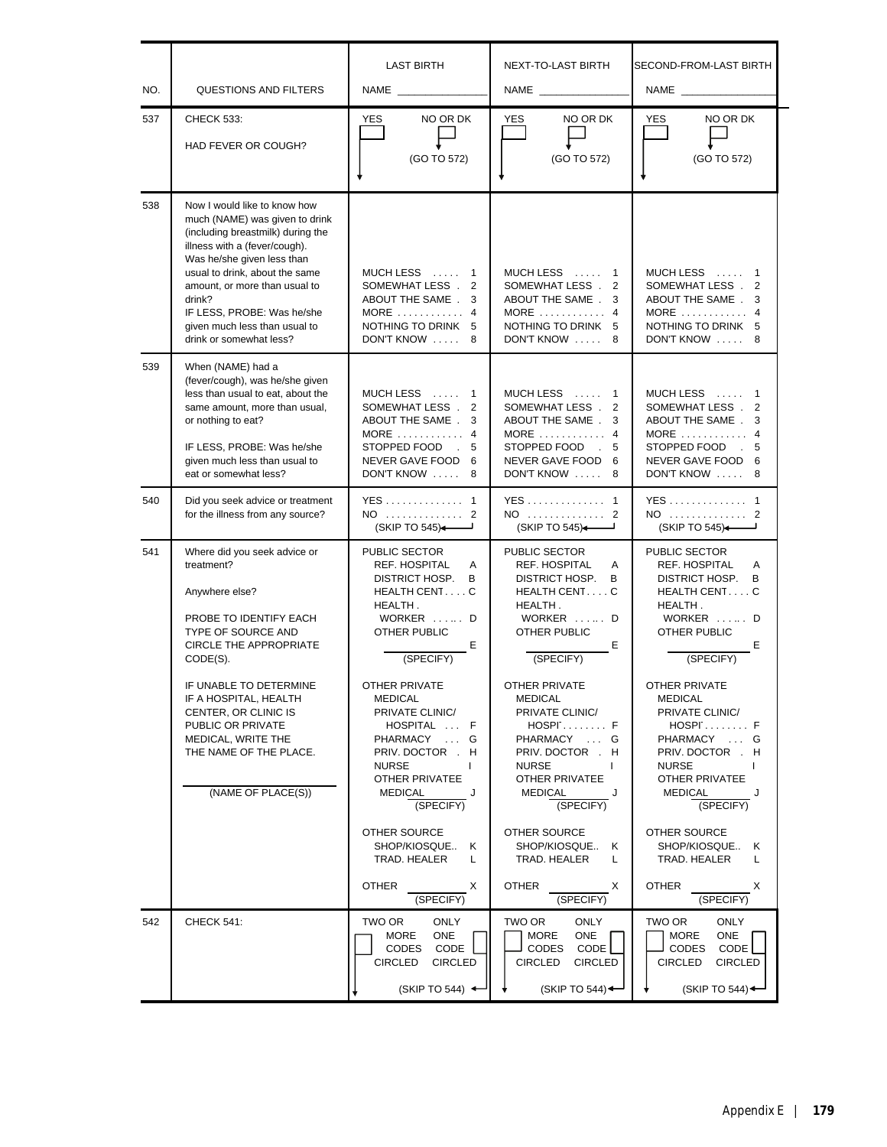| NO. | <b>QUESTIONS AND FILTERS</b>                                                                                                                                                                                                                                                                                                              | <b>LAST BIRTH</b>                                                                                                                                                                                                                                                                                                    | NEXT-TO-LAST BIRTH<br><b>NAME</b>                                                                                                                                                                                                                                                                | SECOND-FROM-LAST BIRTH<br><b>NAME</b> NAME                                                                                                                                                                                                                                                          |
|-----|-------------------------------------------------------------------------------------------------------------------------------------------------------------------------------------------------------------------------------------------------------------------------------------------------------------------------------------------|----------------------------------------------------------------------------------------------------------------------------------------------------------------------------------------------------------------------------------------------------------------------------------------------------------------------|--------------------------------------------------------------------------------------------------------------------------------------------------------------------------------------------------------------------------------------------------------------------------------------------------|-----------------------------------------------------------------------------------------------------------------------------------------------------------------------------------------------------------------------------------------------------------------------------------------------------|
| 537 | <b>CHECK 533:</b><br>HAD FEVER OR COUGH?                                                                                                                                                                                                                                                                                                  | NO OR DK<br><b>YES</b><br>(GO TO 572)                                                                                                                                                                                                                                                                                | NO OR DK<br>YES<br>(GO TO 572)                                                                                                                                                                                                                                                                   | NO OR DK<br>YES<br>(GO TO 572)                                                                                                                                                                                                                                                                      |
| 538 | Now I would like to know how<br>much (NAME) was given to drink<br>(including breastmilk) during the<br>illness with a (fever/cough).<br>Was he/she given less than<br>usual to drink, about the same<br>amount, or more than usual to<br>drink?<br>IF LESS, PROBE: Was he/she<br>given much less than usual to<br>drink or somewhat less? | MUCH LESS  1<br>SOMEWHAT LESS.<br>2<br>ABOUT THE SAME.<br>3<br>MORE $\dots\dots\dots\dots$ 4<br>NOTHING TO DRINK 5<br>DON'T KNOW  8                                                                                                                                                                                  | MUCH LESS  1<br>SOMEWHAT LESS.<br>2<br>ABOUT THE SAME.<br>3<br>$MORE$ 4<br>NOTHING TO DRINK 5<br>DON'T KNOW  8                                                                                                                                                                                   | MUCH LESS<br>1<br>SOMEWHAT LESS.<br>2<br>ABOUT THE SAME.<br>3<br>MORE $\ldots$ 4<br>NOTHING TO DRINK 5<br>DON'T KNOW  8                                                                                                                                                                             |
| 539 | When (NAME) had a<br>(fever/cough), was he/she given<br>less than usual to eat, about the<br>same amount, more than usual,<br>or nothing to eat?<br>IF LESS, PROBE: Was he/she<br>given much less than usual to<br>eat or somewhat less?                                                                                                  | MUCH LESS  1<br>SOMEWHAT LESS.<br>2<br>ABOUT THE SAME.<br>3<br>MORE $\ldots$ , 4<br>STOPPED FOOD 5<br>NEVER GAVE FOOD 6<br>DON'T KNOW  8                                                                                                                                                                             | MUCH LESS  1<br>SOMEWHAT LESS.<br>2<br>ABOUT THE SAME.<br>3<br>MORE $\dots\dots\dots\dots$<br>STOPPED FOOD 5<br>NEVER GAVE FOOD 6<br>DON'T KNOW  8                                                                                                                                               | MUCH LESS  1<br>SOMEWHAT LESS.<br>2<br>ABOUT THE SAME.<br>3<br>MORE $\ldots$ 4<br>STOPPED FOOD : 5<br>NEVER GAVE FOOD 6<br>DON'T KNOW  8                                                                                                                                                            |
| 540 | Did you seek advice or treatment<br>for the illness from any source?                                                                                                                                                                                                                                                                      | YES 1<br>NO  2<br>(SKIP TO 545)                                                                                                                                                                                                                                                                                      | YES 1<br>NO  2<br>(SKIP TO 545)                                                                                                                                                                                                                                                                  | YES 1<br>NO  2<br>(SKIP TO 545)                                                                                                                                                                                                                                                                     |
| 541 | Where did you seek advice or<br>treatment?<br>Anywhere else?<br>PROBE TO IDENTIFY EACH<br>TYPE OF SOURCE AND<br><b>CIRCLE THE APPROPRIATE</b><br>CODE(S).<br>IF UNABLE TO DETERMINE<br>IF A HOSPITAL, HEALTH<br>CENTER, OR CLINIC IS<br>PUBLIC OR PRIVATE<br>MEDICAL, WRITE THE<br>THE NAME OF THE PLACE.                                 | PUBLIC SECTOR<br>REF. HOSPITAL<br>$\mathsf{A}$<br>DISTRICT HOSP.<br>B<br>HEALTH CENTC<br>HEALTH.<br>WORKER  D<br>OTHER PUBLIC<br>Е<br>(SPECIFY)<br>OTHER PRIVATE<br><b>MEDICAL</b><br>PRIVATE CLINIC/<br>HOSPITAL  F<br>PHARMACY<br>$\ldots$ G<br>PRIV. DOCTOR . H<br><b>NURSE</b><br>$\mathbf{I}$<br>OTHER PRIVATEE | PUBLIC SECTOR<br>REF. HOSPITAL<br>A<br>DISTRICT HOSP.<br>B<br>HEALTH CENTC<br>HEALTH.<br>WORKER  D<br>OTHER PUBLIC<br>Е<br>(SPECIFY)<br><b>OTHER PRIVATE</b><br><b>MEDICAL</b><br>PRIVATE CLINIC/<br>$HOSP$ F<br>PHARMACY  G<br>PRIV. DOCTOR H<br><b>NURSE</b><br>$\mathbf{I}$<br>OTHER PRIVATEE | PUBLIC SECTOR<br>REF. HOSPITAL<br>A<br>DISTRICT HOSP. B<br>HEALTH CENTC<br>HEALTH.<br>WORKER  D<br>OTHER PUBLIC<br>Е<br>(SPECIFY)<br>OTHER PRIVATE<br><b>MEDICAL</b><br>PRIVATE CLINIC/<br>$HOSP$ : $F$<br>PHARMACY  G<br>PRIV. DOCTOR . H<br><b>NURSE</b><br>$\mathbf{I}$<br><b>OTHER PRIVATEE</b> |
|     | (NAME OF PLACE(S))                                                                                                                                                                                                                                                                                                                        | MEDICAL<br>J<br>(SPECIFY)<br>OTHER SOURCE<br>SHOP/KIOSQUE<br>Κ<br>TRAD. HEALER<br>L<br><b>OTHER</b><br>X<br>(SPECIFY)                                                                                                                                                                                                | MEDICAL<br>(SPECIFY)<br>OTHER SOURCE<br>SHOP/KIOSQUE<br>Κ<br>TRAD. HEALER<br>L<br>OTHER<br>X<br>(SPECIFY)                                                                                                                                                                                        | MEDICAL<br>(SPECIFY)<br>OTHER SOURCE<br>SHOP/KIOSQUE<br>Κ<br>TRAD. HEALER<br>L<br><b>OTHER</b><br>X<br>(SPECIFY)                                                                                                                                                                                    |
| 542 | <b>CHECK 541:</b>                                                                                                                                                                                                                                                                                                                         | TWO OR<br>ONLY<br>MORE<br><b>ONE</b><br><b>CODES</b><br>CODE<br><b>CIRCLED</b><br><b>CIRCLED</b><br>(SKIP TO 544) $\leftarrow$                                                                                                                                                                                       | TWO OR<br>ONLY<br><b>MORE</b><br>ONE<br><b>CODES</b><br>CODE<br><b>CIRCLED</b><br><b>CIRCLED</b><br>(SKIP TO 544)                                                                                                                                                                                | TWO OR<br>ONLY<br>MORE<br>ONE<br>CODES<br>CODE<br><b>CIRCLED</b><br><b>CIRCLED</b><br>(SKIP TO 544)                                                                                                                                                                                                 |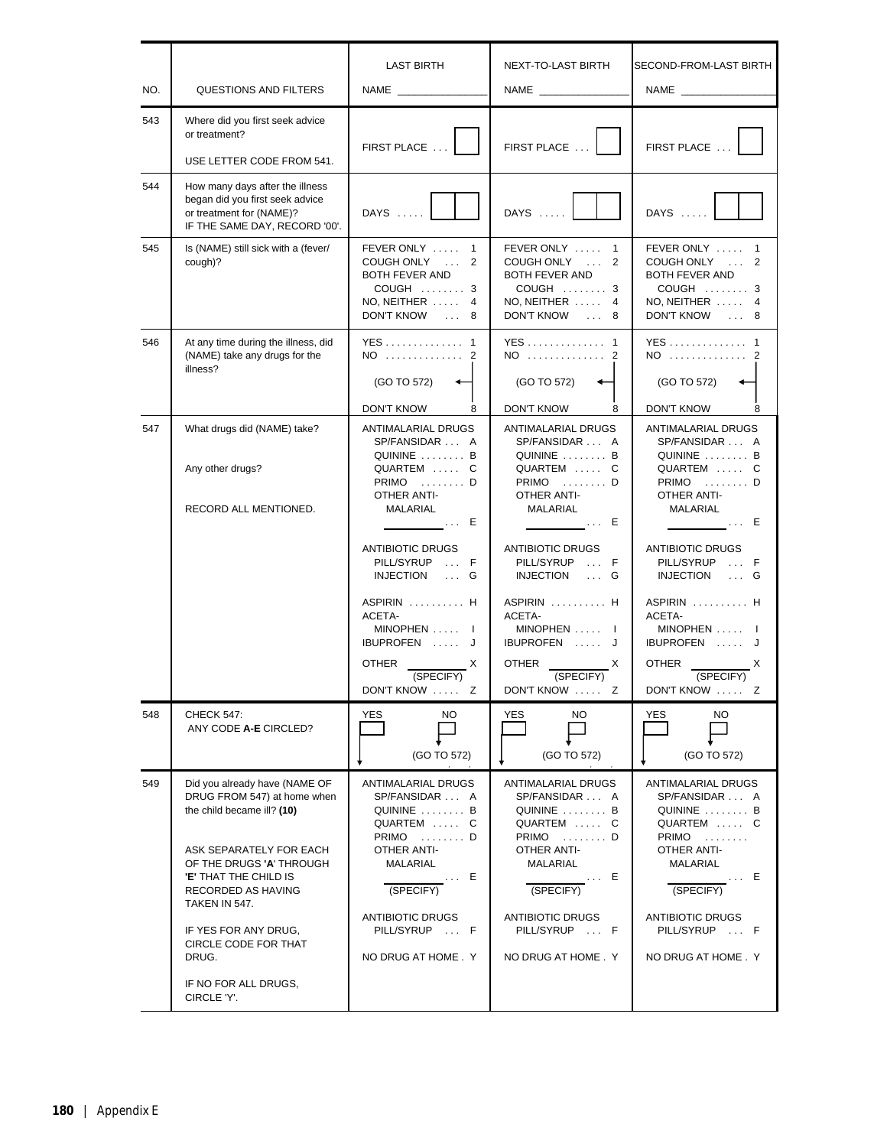| NO. | <b>QUESTIONS AND FILTERS</b>                                                                                                                                                                                                                                                                                             | <b>LAST BIRTH</b>                                                                                                                                                                                 | NEXT-TO-LAST BIRTH                                                                                                                                                                         | SECOND-FROM-LAST BIRTH                                                                                                                                                                               |
|-----|--------------------------------------------------------------------------------------------------------------------------------------------------------------------------------------------------------------------------------------------------------------------------------------------------------------------------|---------------------------------------------------------------------------------------------------------------------------------------------------------------------------------------------------|--------------------------------------------------------------------------------------------------------------------------------------------------------------------------------------------|------------------------------------------------------------------------------------------------------------------------------------------------------------------------------------------------------|
| 543 | Where did you first seek advice<br>or treatment?<br>USE LETTER CODE FROM 541.                                                                                                                                                                                                                                            | FIRST PLACE                                                                                                                                                                                       | FIRST PLACE                                                                                                                                                                                | FIRST PLACE                                                                                                                                                                                          |
| 544 | How many days after the illness<br>began did you first seek advice<br>or treatment for (NAME)?<br>IF THE SAME DAY, RECORD '00'.                                                                                                                                                                                          | DAYS                                                                                                                                                                                              | DAYS                                                                                                                                                                                       | DAYS                                                                                                                                                                                                 |
| 545 | Is (NAME) still sick with a (fever/<br>cough)?                                                                                                                                                                                                                                                                           | FEVER ONLY  1<br>COUGH ONLY  2<br>BOTH FEVER AND<br>COUGH  3<br>$NO, NEITHER$<br>$\overline{4}$<br>DON'T KNOW  8                                                                                  | FEVER ONLY  1<br>COUGH ONLY  2<br>BOTH FEVER AND<br>COUGH  3<br>$NO, NEITHER$<br>$\overline{4}$<br>DON'T KNOW  8                                                                           | FEVER ONLY  1<br>COUGH ONLY  2<br>BOTH FEVER AND<br>COUGH  3<br>NO, NEITHER  4<br>DON'T KNOW  8                                                                                                      |
| 546 | At any time during the illness, did<br>(NAME) take any drugs for the<br>illness?                                                                                                                                                                                                                                         | YES 1<br>NO  2<br>(GO TO 572)<br>$\overline{\phantom{0}}$<br>DON'T KNOW<br>8                                                                                                                      | YES 1<br>NO  2<br>$(GO TO 572)$ $\leftarrow$<br>DON'T KNOW<br>8                                                                                                                            | YES 1<br>NO  2<br>(GO TO 572)<br><b>DON'T KNOW</b><br>8                                                                                                                                              |
| 547 | What drugs did (NAME) take?<br>Any other drugs?                                                                                                                                                                                                                                                                          | ANTIMALARIAL DRUGS<br>SP/FANSIDAR  A<br>QUININE  B<br>QUARTEM  C<br>$PRIMO$ $D$<br>OTHER ANTI-                                                                                                    | ANTIMALARIAL DRUGS<br>SP/FANSIDAR  A<br>QUININE  B<br>QUARTEM  C<br>$PRIMO$ $D$<br>OTHER ANTI-                                                                                             | ANTIMALARIAL DRUGS<br>SP/FANSIDAR  A<br>QUININE  B<br>QUARTEM  C<br>$PRIMO$ D<br>OTHER ANTI-                                                                                                         |
|     | RECORD ALL MENTIONED.                                                                                                                                                                                                                                                                                                    | <b>MALARIAL</b><br><b>ANTIBIOTIC DRUGS</b><br>PILL/SYRUP  F<br>INJECTION  G                                                                                                                       | <b>MALARIAL</b><br><b>ANTIBIOTIC DRUGS</b><br>PILL/SYRUP  F<br>INJECTION  G                                                                                                                | <b>MALARIAL</b><br><b>ANTIBIOTIC DRUGS</b><br>PILL/SYRUP  F<br>INJECTION  G                                                                                                                          |
|     |                                                                                                                                                                                                                                                                                                                          | ASPIRIN  H<br>ACETA-<br>MINOPHEN  I<br>IBUPROFEN  J<br><b>OTHER</b><br>X<br>(SPECIFY)<br>DON'T KNOW  Z                                                                                            | ASPIRIN  H<br>ACETA-<br>MINOPHEN  I<br>IBUPROFEN  J<br><b>OTHER</b><br>X<br>(SPECIFY)<br>DON'T KNOW  Z                                                                                     | ASPIRIN  H<br>ACETA-<br>MINOPHEN  I<br>IBUPROFEN  J<br><b>OTHER</b><br>(SPECIFY)<br>DON'T KNOW  Z                                                                                                    |
| 548 | <b>CHECK 547:</b><br>ANY CODE A-E CIRCLED?                                                                                                                                                                                                                                                                               | <b>YES</b><br>NO.<br>(GO TO 572)                                                                                                                                                                  | YES<br>NO.<br>(GO TO 572)                                                                                                                                                                  | YES<br>NO<br>(GO TO 572)                                                                                                                                                                             |
| 549 | Did you already have (NAME OF<br>DRUG FROM 547) at home when<br>the child became ill? (10)<br>ASK SEPARATELY FOR EACH<br>OF THE DRUGS 'A' THROUGH<br><b>'E' THAT THE CHILD IS</b><br>RECORDED AS HAVING<br>TAKEN IN 547.<br>IF YES FOR ANY DRUG,<br>CIRCLE CODE FOR THAT<br>DRUG.<br>IF NO FOR ALL DRUGS,<br>CIRCLE 'Y'. | ANTIMALARIAL DRUGS<br>SP/FANSIDAR  A<br>QUININE  B<br>QUARTEM  C<br>OTHER ANTI-<br>MALARIAL<br>$\overline{\phantom{a}}$ E<br>(SPECIFY)<br>ANTIBIOTIC DRUGS<br>PILL/SYRUP  F<br>NO DRUG AT HOME. Y | ANTIMALARIAL DRUGS<br>SP/FANSIDAR  A<br>$QUININE$ B<br>QUARTEM  C<br>$PRIMO$ $D$<br>OTHER ANTI-<br>MALARIAL<br>_ E<br>(SPECIFY)<br>ANTIBIOTIC DRUGS<br>PILL/SYRUP  F<br>NO DRUG AT HOME. Y | <b>ANTIMALARIAL DRUGS</b><br>SP/FANSIDAR  A<br>QUININE  B<br>QUARTEM  C<br>$PRIMO$<br>OTHER ANTI-<br>MALARIAL<br>. E<br>(SPECIFY)<br><b>ANTIBIOTIC DRUGS</b><br>PILL/SYRUP  F<br>NO DRUG AT HOME . Y |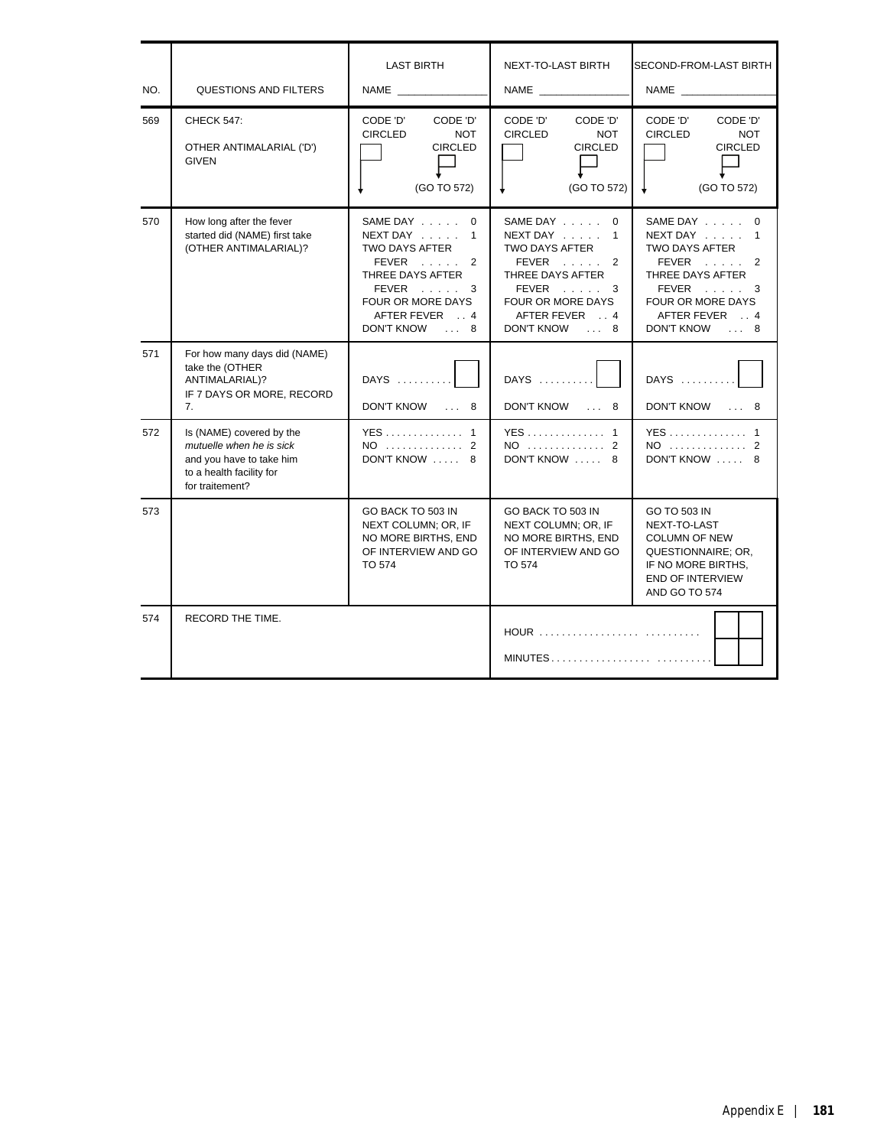| NO. | QUESTIONS AND FILTERS                                                                                                           | <b>LAST BIRTH</b><br>NAME                                                                                                                                | <b>NEXT-TO-LAST BIRTH</b>                                                                                                                               | <b>SECOND-FROM-LAST BIRTH</b>                                                                                                                 |
|-----|---------------------------------------------------------------------------------------------------------------------------------|----------------------------------------------------------------------------------------------------------------------------------------------------------|---------------------------------------------------------------------------------------------------------------------------------------------------------|-----------------------------------------------------------------------------------------------------------------------------------------------|
| 569 | <b>CHECK 547:</b><br>OTHER ANTIMALARIAL ('D')<br><b>GIVEN</b>                                                                   | CODE 'D'<br>CODE 'D'<br><b>CIRCLED</b><br><b>NOT</b><br><b>CIRCLED</b><br>(GO TO 572)                                                                    | CODE 'D'<br>CODE 'D'<br><b>CIRCLED</b><br><b>NOT</b><br><b>CIRCLED</b><br>(GO TO 572)                                                                   | CODE 'D'<br>CODE 'D'<br><b>CIRCLED</b><br><b>NOT</b><br><b>CIRCLED</b><br>(GO TO 572)                                                         |
| 570 | How long after the fever<br>started did (NAME) first take<br>(OTHER ANTIMALARIAL)?                                              | SAME DAY 0<br>$NEXT$ DAY $\ldots$ 1<br>TWO DAYS AFTER<br>$FEVER$ 2<br>THREE DAYS AFTER<br>FEVER 3<br>FOUR OR MORE DAYS<br>AFTER FEVER 4<br>DON'T KNOW  8 | SAME DAY 0<br>NEXT DAY $\ldots$ 1<br>TWO DAYS AFTER<br>FEVER<br>2<br>THREE DAYS AFTER<br>FEVER 3<br>FOUR OR MORE DAYS<br>AFTER FEVER 4<br>DON'T KNOW  8 | SAME DAY 0<br>NEXT DAY 1<br>TWO DAYS AFTER<br>$FEVER$ 2<br>THREE DAYS AFTER<br>FEVER 3<br>FOUR OR MORE DAYS<br>AFTER FEVER 4<br>DON'T KNOW  8 |
| 571 | For how many days did (NAME)<br>take the (OTHER<br>ANTIMALARIAL)?<br>IF 7 DAYS OR MORE, RECORD<br>7.                            | DAYS<br>DON'T KNOW  8                                                                                                                                    | DAYS<br>DON'T KNOW  8                                                                                                                                   | DAYS<br>DON'T KNOW  8                                                                                                                         |
| 572 | Is (NAME) covered by the<br>mutuelle when he is sick<br>and you have to take him<br>to a health facility for<br>for traitement? | YES 1<br>NO 2<br>DON'T KNOW  8                                                                                                                           | YES 1<br>NO 2<br>DON'T KNOW  8                                                                                                                          | YES 1<br>NO  2<br>DON'T KNOW  8                                                                                                               |
| 573 |                                                                                                                                 | GO BACK TO 503 IN<br>NEXT COLUMN; OR, IF<br>NO MORE BIRTHS, END<br>OF INTERVIEW AND GO<br>TO 574                                                         | GO BACK TO 503 IN<br>NEXT COLUMN; OR, IF<br>NO MORE BIRTHS, END<br>OF INTERVIEW AND GO<br>TO 574                                                        | GO TO 503 IN<br>NEXT-TO-LAST<br><b>COLUMN OF NEW</b><br>QUESTIONNAIRE; OR,<br>IF NO MORE BIRTHS.<br><b>END OF INTERVIEW</b><br>AND GO TO 574  |
| 574 | RECORD THE TIME.                                                                                                                |                                                                                                                                                          | HOUR<br>MINUTES                                                                                                                                         |                                                                                                                                               |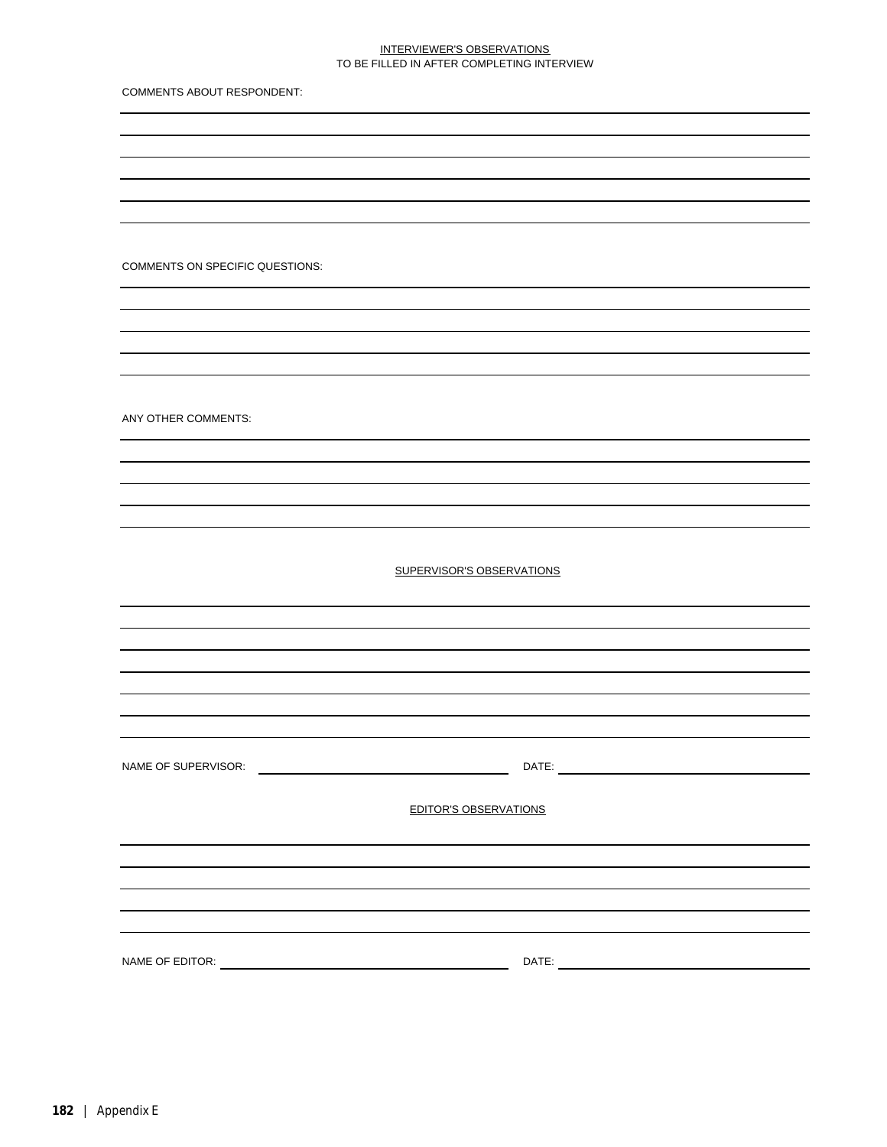## INTERVIEWER'S OBSERVATIONS TO BE FILLED IN AFTER COMPLETING INTERVIEW

COMMENTS ABOUT RESPONDENT:

COMMENTS ON SPECIFIC QUESTIONS:

ANY OTHER COMMENTS:

SUPERVISOR'S OBSERVATIONS

NAME OF SUPERVISOR: DATE:

EDITOR'S OBSERVATIONS

NAME OF EDITOR: DATE: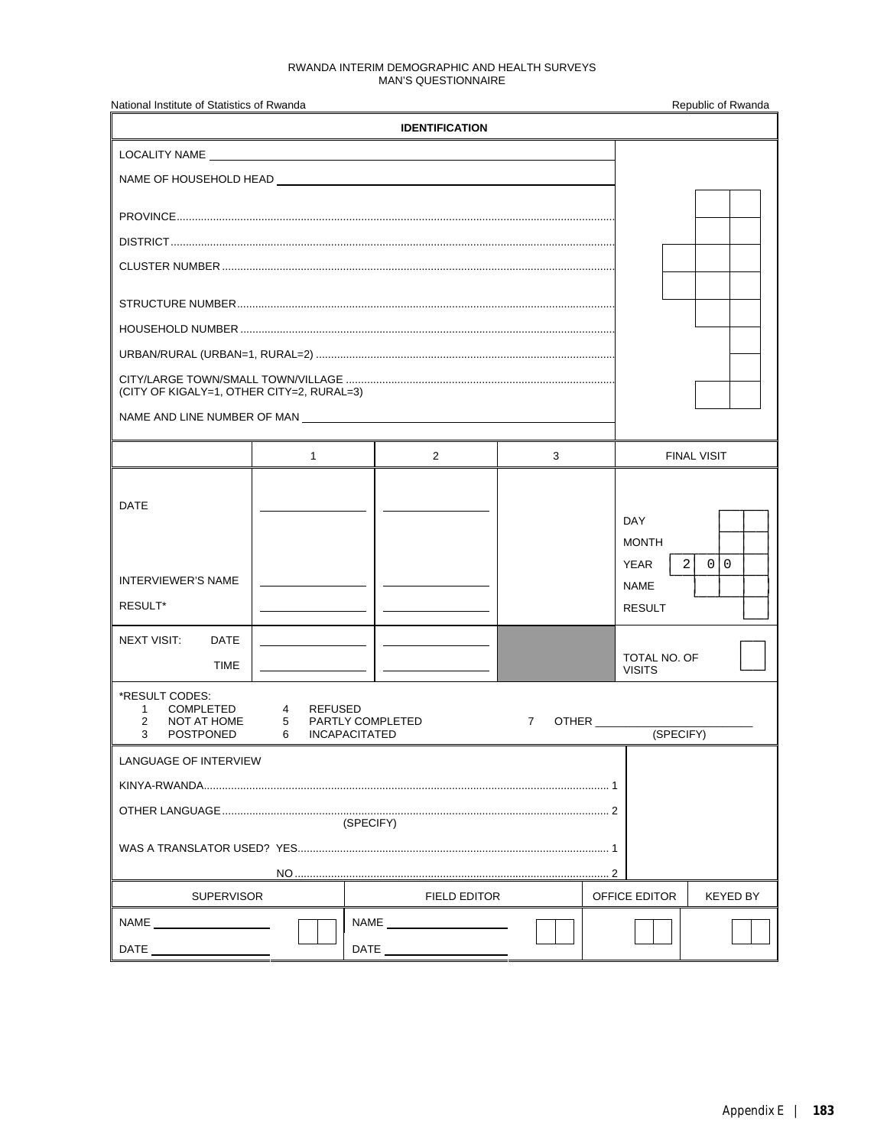#### RWANDA INTERIM DEMOGRAPHIC AND HEALTH SURVEYS MAN'S QUESTIONNAIRE

| National Institute of Statistics of Rwanda                                           |                          |                                        |  |                       |   |                                             | Republic of Rwanda                 |
|--------------------------------------------------------------------------------------|--------------------------|----------------------------------------|--|-----------------------|---|---------------------------------------------|------------------------------------|
|                                                                                      |                          |                                        |  | <b>IDENTIFICATION</b> |   |                                             |                                    |
|                                                                                      |                          |                                        |  |                       |   |                                             |                                    |
|                                                                                      |                          |                                        |  |                       |   |                                             |                                    |
|                                                                                      |                          |                                        |  |                       |   |                                             |                                    |
|                                                                                      |                          |                                        |  |                       |   |                                             |                                    |
|                                                                                      |                          |                                        |  |                       |   |                                             |                                    |
|                                                                                      |                          |                                        |  |                       |   |                                             |                                    |
|                                                                                      |                          |                                        |  |                       |   |                                             |                                    |
|                                                                                      |                          |                                        |  |                       |   |                                             |                                    |
| (CITY OF KIGALY=1, OTHER CITY=2, RURAL=3)                                            |                          |                                        |  |                       |   |                                             |                                    |
| NAME AND LINE NUMBER OF MAN <b>EXAMPLE 2018 12:50 THE STATE OF MAN</b>               |                          |                                        |  |                       |   |                                             |                                    |
|                                                                                      |                          |                                        |  |                       |   |                                             |                                    |
|                                                                                      |                          | $1 \quad \blacksquare$                 |  | $\overline{2}$        | 3 |                                             | <b>FINAL VISIT</b>                 |
| <b>DATE</b>                                                                          |                          |                                        |  |                       |   | <b>DAY</b><br><b>MONTH</b>                  |                                    |
| <b>INTERVIEWER'S NAME</b><br>RESULT*                                                 |                          |                                        |  |                       |   | <b>YEAR</b><br><b>NAME</b><br><b>RESULT</b> | 2<br>$\overline{0}$<br>$\mathbf 0$ |
| <b>NEXT VISIT:</b><br><b>DATE</b><br><b>TIME</b>                                     |                          |                                        |  |                       |   | TOTAL NO. OF<br><b>VISITS</b>               |                                    |
| *RESULT CODES:<br><b>COMPLETED</b><br>1<br>2<br>NOT AT HOME<br>3<br><b>POSTPONED</b> | $\overline{4}$<br>5<br>6 | <b>REFUSED</b><br><b>INCAPACITATED</b> |  | PARTLY COMPLETED      | 7 |                                             |                                    |
| LANGUAGE OF INTERVIEW                                                                |                          |                                        |  |                       |   |                                             |                                    |
|                                                                                      |                          |                                        |  |                       |   |                                             |                                    |
|                                                                                      |                          |                                        |  |                       |   |                                             |                                    |
| (SPECIFY)                                                                            |                          |                                        |  |                       |   |                                             |                                    |
|                                                                                      |                          |                                        |  |                       |   |                                             |                                    |
| <b>SUPERVISOR</b>                                                                    |                          |                                        |  | <b>FIELD EDITOR</b>   |   | OFFICE EDITOR                               | KEYED BY                           |
|                                                                                      |                          |                                        |  | NAME <b>NAME</b>      |   |                                             |                                    |
|                                                                                      |                          |                                        |  | DATE <b>DATE</b>      |   |                                             |                                    |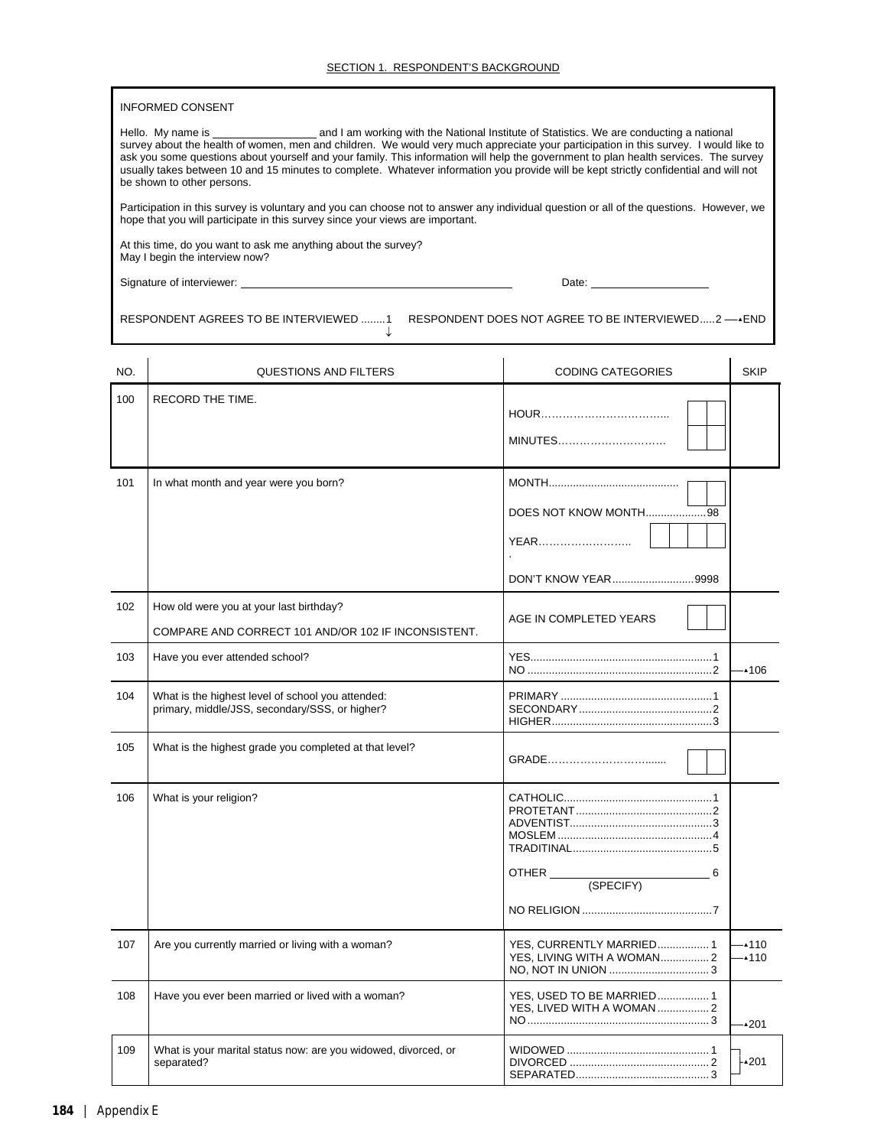#### INFORMED CONSENT

Hello. My name is and I am working with the National Institute of Statistics. We are conducting a national survey about the health of women, men and children. We would very much appreciate your participation in this survey. I would like to ask you some questions about yourself and your family. This information will help the government to plan health services. The survey usually takes between 10 and 15 minutes to complete. Whatever information you provide will be kept strictly confidential and will not be shown to other persons.

Participation in this survey is voluntary and you can choose not to answer any individual question or all of the questions. However, we hope that you will participate in this survey since your views are important.

↓

At this time, do you want to ask me anything about the survey? May I begin the interview now?

Signature of interviewer: Date:

RESPONDENT AGREES TO BE INTERVIEWED ........1 RESPONDENT DOES NOT AGREE TO BE INTERVIEWED.....2 ──>END

| NO. | QUESTIONS AND FILTERS                                                                               | <b>CODING CATEGORIES</b>                                | <b>SKIP</b>        |
|-----|-----------------------------------------------------------------------------------------------------|---------------------------------------------------------|--------------------|
| 100 | RECORD THE TIME.                                                                                    | MINUTES                                                 |                    |
| 101 | In what month and year were you born?                                                               | DOES NOT KNOW MONTH98<br>YEAR<br>DON'T KNOW YEAR9998    |                    |
| 102 | How old were you at your last birthday?<br>COMPARE AND CORRECT 101 AND/OR 102 IF INCONSISTENT.      | AGE IN COMPLETED YEARS                                  |                    |
| 103 | Have you ever attended school?                                                                      |                                                         | •106               |
| 104 | What is the highest level of school you attended:<br>primary, middle/JSS, secondary/SSS, or higher? |                                                         |                    |
| 105 | What is the highest grade you completed at that level?                                              |                                                         |                    |
| 106 | What is your religion?                                                                              | 6                                                       |                    |
| 107 | Are you currently married or living with a woman?                                                   | YES, CURRENTLY MARRIED 1                                | $-4110$<br>$-4110$ |
| 108 | Have you ever been married or lived with a woman?                                                   | YES, USED TO BE MARRIED 1<br>YES. LIVED WITH A WOMAN  2 | $\triangle 201$    |
| 109 | What is your marital status now: are you widowed, divorced, or<br>separated?                        |                                                         | ⊦∡201              |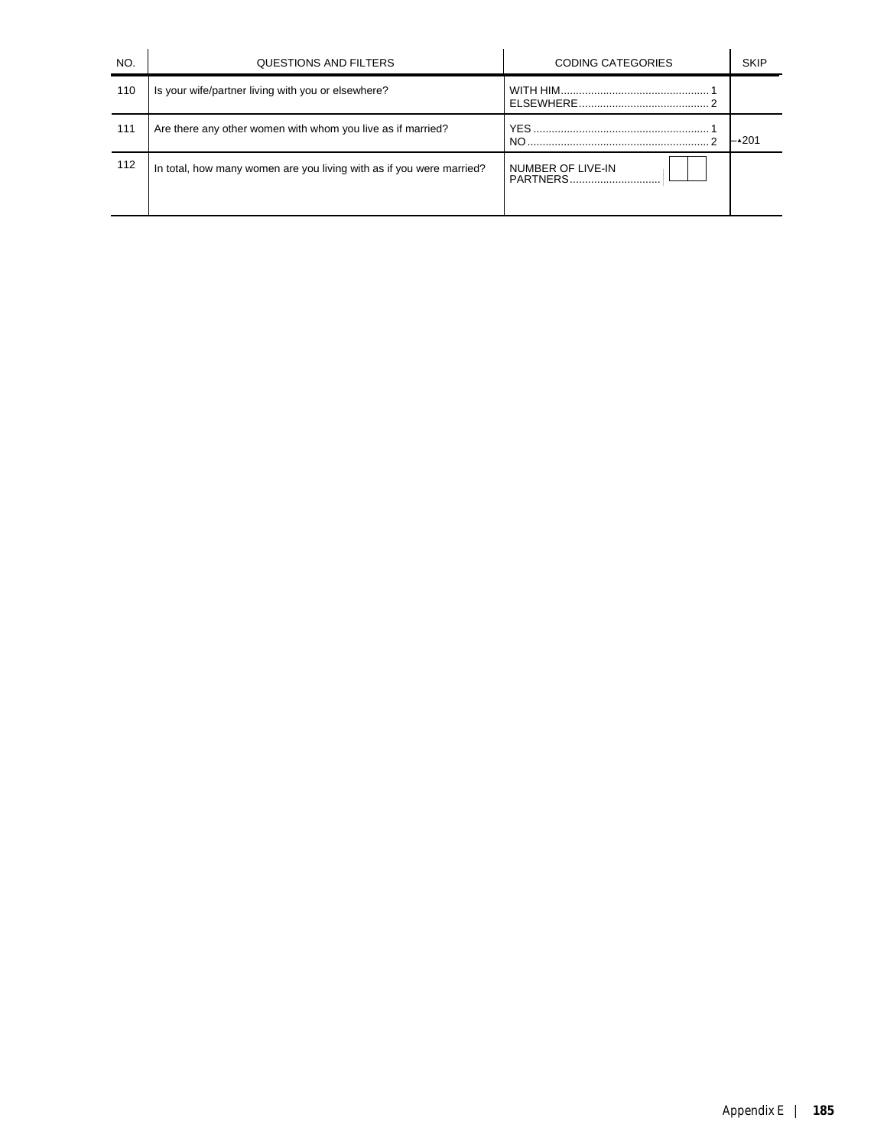| NO. | QUESTIONS AND FILTERS                                                | <b>CODING CATEGORIES</b>      | <b>SKIP</b> |
|-----|----------------------------------------------------------------------|-------------------------------|-------------|
| 110 | Is your wife/partner living with you or elsewhere?                   |                               |             |
| 111 | Are there any other women with whom you live as if married?          | NO.                           | -∡201       |
| 112 | In total, how many women are you living with as if you were married? | NUMBER OF LIVE-IN<br>PARTNERS |             |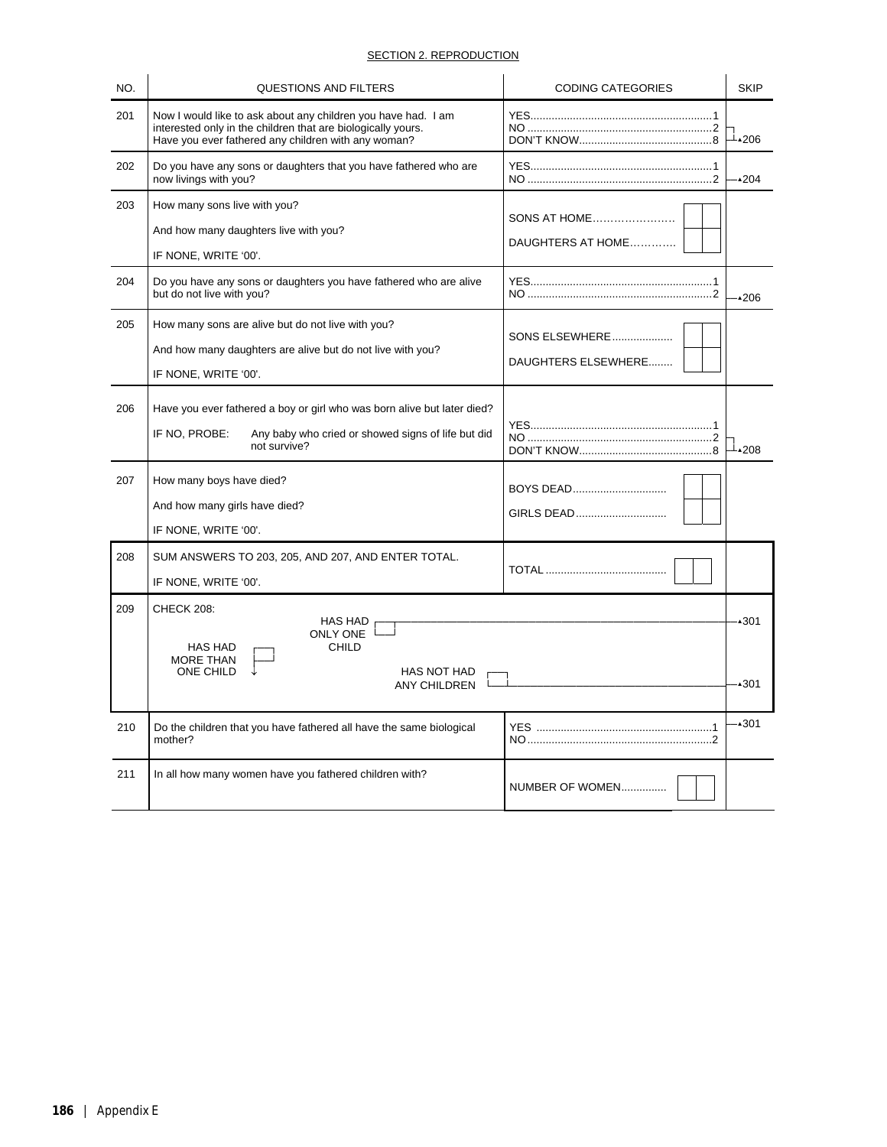# SECTION 2. REPRODUCTION

| NO. | <b>QUESTIONS AND FILTERS</b>                                                                                                                                                         | <b>CODING CATEGORIES</b>                 | <b>SKIP</b>  |
|-----|--------------------------------------------------------------------------------------------------------------------------------------------------------------------------------------|------------------------------------------|--------------|
| 201 | Now I would like to ask about any children you have had. I am<br>interested only in the children that are biologically yours.<br>Have you ever fathered any children with any woman? |                                          | ⊥∡206        |
| 202 | Do you have any sons or daughters that you have fathered who are<br>now livings with you?                                                                                            |                                          | $-4204$      |
| 203 | How many sons live with you?<br>And how many daughters live with you?<br>IF NONE, WRITE '00'.                                                                                        | <b>SONS AT HOME</b><br>DAUGHTERS AT HOME |              |
| 204 | Do you have any sons or daughters you have fathered who are alive<br>but do not live with you?                                                                                       |                                          | .206         |
| 205 | How many sons are alive but do not live with you?<br>And how many daughters are alive but do not live with you?<br>IF NONE, WRITE '00'.                                              | SONS ELSEWHERE<br>DAUGHTERS ELSEWHERE    |              |
| 206 | Have you ever fathered a boy or girl who was born alive but later died?<br>IF NO, PROBE:<br>Any baby who cried or showed signs of life but did<br>not survive?                       |                                          | ⊥∡208        |
| 207 | How many boys have died?<br>And how many girls have died?<br>IF NONE, WRITE '00'.                                                                                                    | BOYS DEAD<br>GIRLS DEAD                  |              |
| 208 | SUM ANSWERS TO 203, 205, AND 207, AND ENTER TOTAL.<br>IF NONE, WRITE '00'.                                                                                                           |                                          |              |
| 209 | CHECK 208:<br>HAS HAD<br>ONLY ONE L<br>HAS HAD<br><b>CHILD</b><br><b>MORE THAN</b><br>ONE CHILD<br>HAS NOT HAD<br><b>ANY CHILDREN</b>                                                |                                          | •301<br>∙301 |
|     |                                                                                                                                                                                      |                                          |              |
| 210 | Do the children that you have fathered all have the same biological<br>mother?                                                                                                       |                                          | •301         |
| 211 | In all how many women have you fathered children with?                                                                                                                               | NUMBER OF WOMEN                          |              |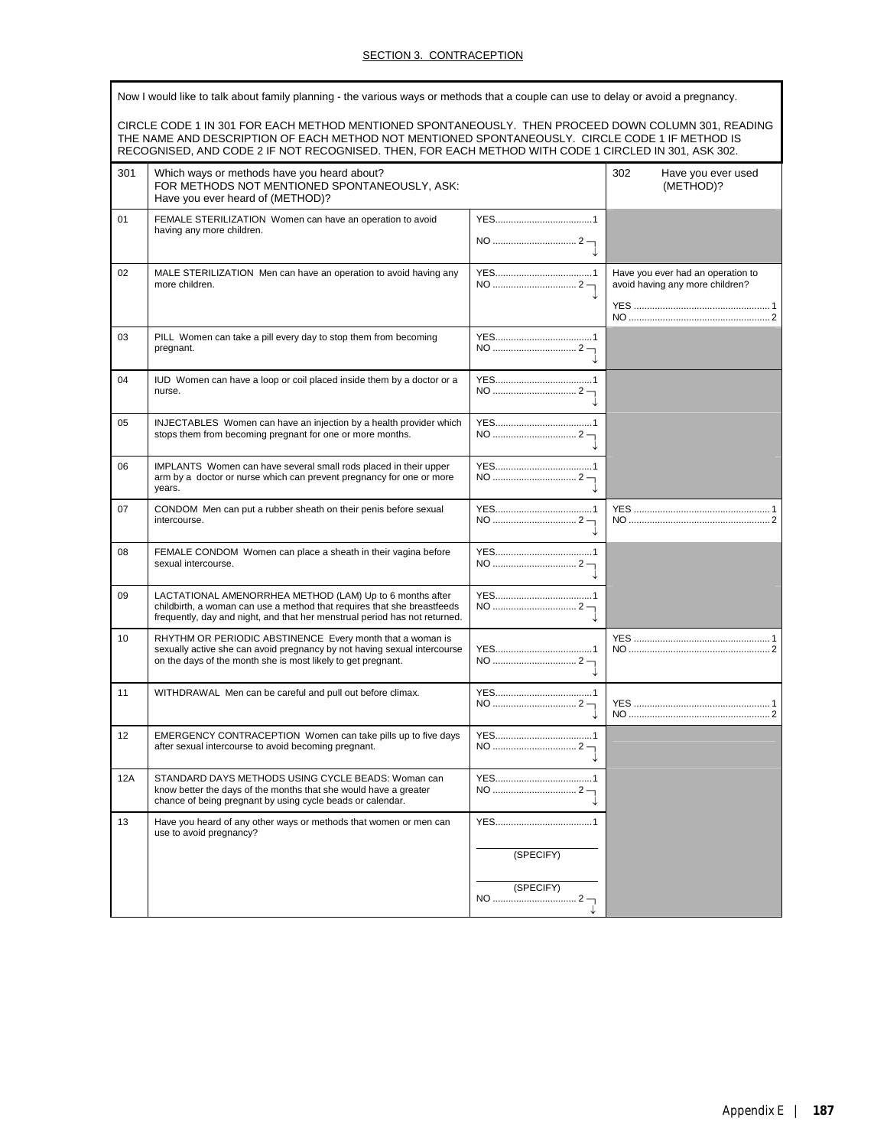# SECTION 3. CONTRACEPTION

|     | Now I would like to talk about family planning - the various ways or methods that a couple can use to delay or avoid a pregnancy.<br>CIRCLE CODE 1 IN 301 FOR EACH METHOD MENTIONED SPONTANEOUSLY. THEN PROCEED DOWN COLUMN 301, READING<br>THE NAME AND DESCRIPTION OF EACH METHOD NOT MENTIONED SPONTANEOUSLY. CIRCLE CODE 1 IF METHOD IS |           |                                                                      |  |  |
|-----|---------------------------------------------------------------------------------------------------------------------------------------------------------------------------------------------------------------------------------------------------------------------------------------------------------------------------------------------|-----------|----------------------------------------------------------------------|--|--|
|     | RECOGNISED, AND CODE 2 IF NOT RECOGNISED. THEN, FOR EACH METHOD WITH CODE 1 CIRCLED IN 301, ASK 302.                                                                                                                                                                                                                                        |           |                                                                      |  |  |
| 301 | Which ways or methods have you heard about?<br>FOR METHODS NOT MENTIONED SPONTANEOUSLY, ASK:<br>Have you ever heard of (METHOD)?                                                                                                                                                                                                            |           | 302<br>Have you ever used<br>(METHOD)?                               |  |  |
| 01  | FEMALE STERILIZATION Women can have an operation to avoid<br>having any more children.                                                                                                                                                                                                                                                      |           |                                                                      |  |  |
| 02  | MALE STERILIZATION Men can have an operation to avoid having any<br>more children.                                                                                                                                                                                                                                                          |           | Have you ever had an operation to<br>avoid having any more children? |  |  |
| 03  | PILL Women can take a pill every day to stop them from becoming<br>pregnant.                                                                                                                                                                                                                                                                |           |                                                                      |  |  |
| 04  | IUD Women can have a loop or coil placed inside them by a doctor or a<br>nurse.                                                                                                                                                                                                                                                             |           |                                                                      |  |  |
| 05  | INJECTABLES Women can have an injection by a health provider which<br>stops them from becoming pregnant for one or more months.                                                                                                                                                                                                             |           |                                                                      |  |  |
| 06  | IMPLANTS Women can have several small rods placed in their upper<br>arm by a doctor or nurse which can prevent pregnancy for one or more<br>years.                                                                                                                                                                                          |           |                                                                      |  |  |
| 07  | CONDOM Men can put a rubber sheath on their penis before sexual<br>intercourse.                                                                                                                                                                                                                                                             |           |                                                                      |  |  |
| 08  | FEMALE CONDOM Women can place a sheath in their vagina before<br>sexual intercourse.                                                                                                                                                                                                                                                        |           |                                                                      |  |  |
| 09  | LACTATIONAL AMENORRHEA METHOD (LAM) Up to 6 months after<br>childbirth, a woman can use a method that requires that she breastfeeds<br>frequently, day and night, and that her menstrual period has not returned.                                                                                                                           |           |                                                                      |  |  |
| 10  | RHYTHM OR PERIODIC ABSTINENCE Every month that a woman is<br>sexually active she can avoid pregnancy by not having sexual intercourse<br>on the days of the month she is most likely to get pregnant.                                                                                                                                       |           |                                                                      |  |  |
| 11  | WITHDRAWAL Men can be careful and pull out before climax.                                                                                                                                                                                                                                                                                   |           |                                                                      |  |  |
| 12  | EMERGENCY CONTRACEPTION Women can take pills up to five days<br>after sexual intercourse to avoid becoming pregnant.                                                                                                                                                                                                                        |           |                                                                      |  |  |
| 12A | STANDARD DAYS METHODS USING CYCLE BEADS: Woman can<br>know better the days of the months that she would have a greater<br>chance of being pregnant by using cycle beads or calendar.                                                                                                                                                        |           |                                                                      |  |  |
| 13  | Have you heard of any other ways or methods that women or men can<br>use to avoid pregnancy?                                                                                                                                                                                                                                                |           |                                                                      |  |  |
|     |                                                                                                                                                                                                                                                                                                                                             | (SPECIFY) |                                                                      |  |  |
|     |                                                                                                                                                                                                                                                                                                                                             | (SPECIFY) |                                                                      |  |  |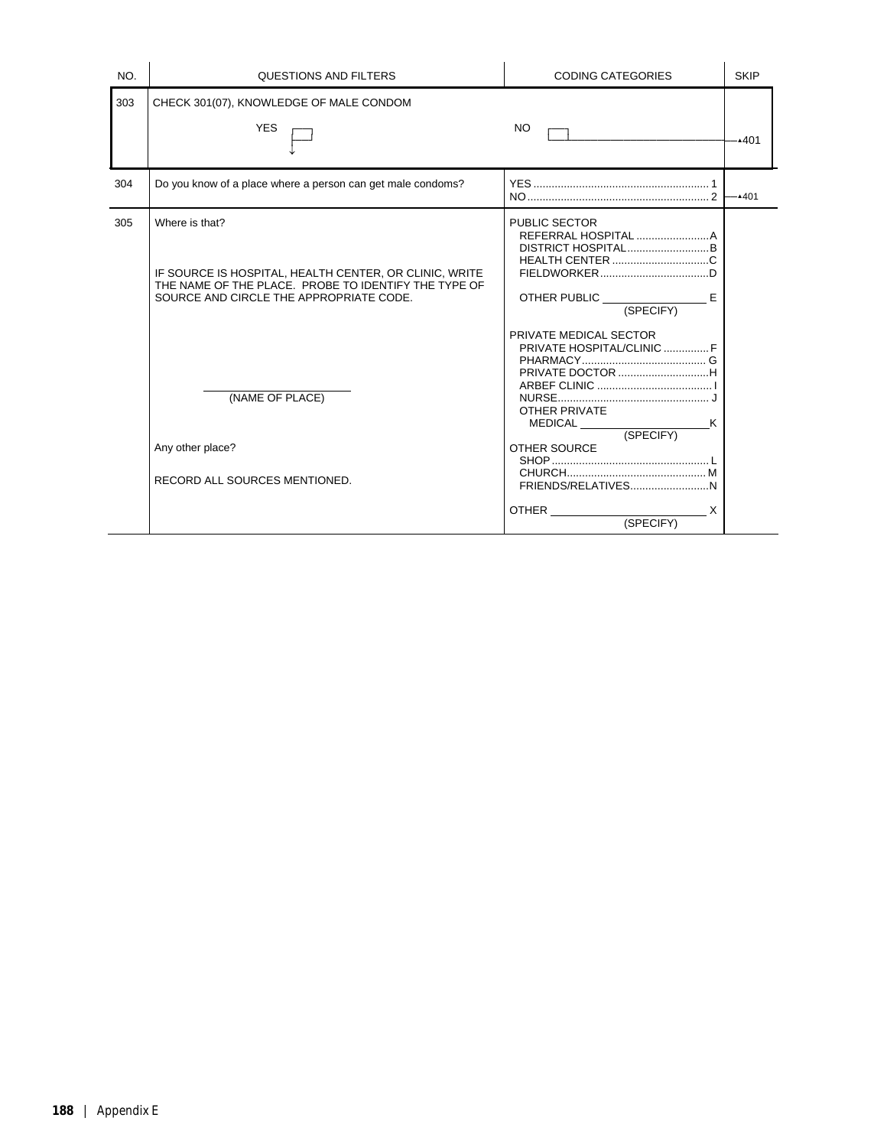| NO. | <b>QUESTIONS AND FILTERS</b>                                                                                                                                                | <b>CODING CATEGORIES</b>                                                                                                                                                                                | <b>SKIP</b> |
|-----|-----------------------------------------------------------------------------------------------------------------------------------------------------------------------------|---------------------------------------------------------------------------------------------------------------------------------------------------------------------------------------------------------|-------------|
| 303 | CHECK 301(07), KNOWLEDGE OF MALE CONDOM                                                                                                                                     |                                                                                                                                                                                                         |             |
|     | <b>YES</b>                                                                                                                                                                  | NO.                                                                                                                                                                                                     | $-401$      |
| 304 | Do you know of a place where a person can get male condoms?                                                                                                                 | $NO$ $2$                                                                                                                                                                                                | $-4401$     |
| 305 | Where is that?<br>IF SOURCE IS HOSPITAL, HEALTH CENTER, OR CLINIC, WRITE<br>THE NAME OF THE PLACE. PROBE TO IDENTIFY THE TYPE OF<br>SOURCE AND CIRCLE THE APPROPRIATE CODE. | <b>PUBLIC SECTOR</b><br>DISTRICT HOSPITALB                                                                                                                                                              |             |
|     | (NAME OF PLACE)<br>Any other place?<br>RECORD ALL SOURCES MENTIONED.                                                                                                        | PRIVATE MEDICAL SECTOR<br>PRIVATE HOSPITAL/CLINIC  F<br><b>OTHER PRIVATE</b><br>$\begin{array}{c} \text{MEDICAL} \end{array}$<br>(SPECIFY)<br>OTHER SOURCE<br>OTHER <b>CONTROLLER</b><br>X<br>(SPECIFY) |             |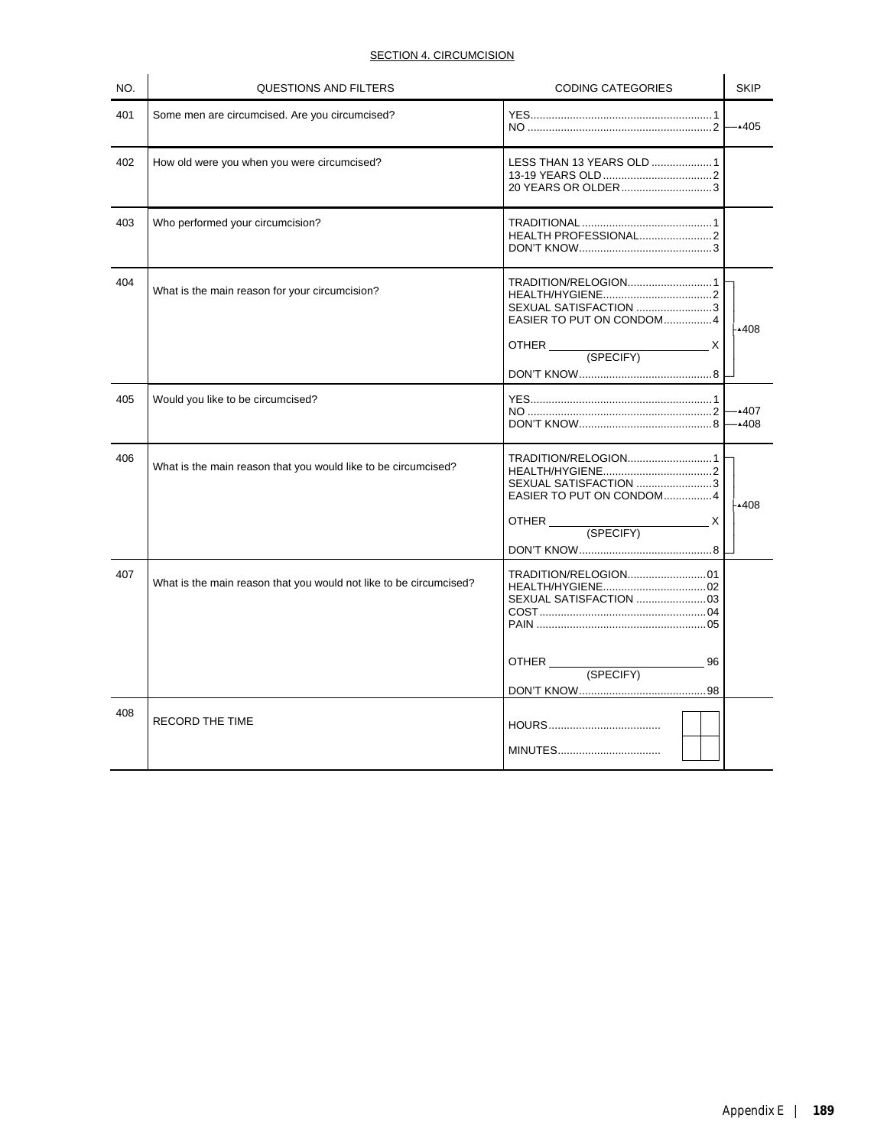# **SECTION 4. CIRCUMCISION**

| NO. | <b>QUESTIONS AND FILTERS</b>                                       | <b>CODING CATEGORIES</b>                                                                                    | <b>SKIP</b>  |
|-----|--------------------------------------------------------------------|-------------------------------------------------------------------------------------------------------------|--------------|
| 401 | Some men are circumcised. Are you circumcised?                     |                                                                                                             | $-405$       |
| 402 | How old were you when you were circumcised?                        | LESS THAN 13 YEARS OLD 1<br>20 YEARS OR OLDER3                                                              |              |
| 403 | Who performed your circumcision?                                   | HEALTH PROFESSIONAL2                                                                                        |              |
| 404 | What is the main reason for your circumcision?                     | TRADITION/RELOGION1<br>SEXUAL SATISFACTION 3<br>EASIER TO PUT ON CONDOM4<br>OTHER (SPECIFY)<br>X            | -408⊾        |
| 405 | Would you like to be circumcised?                                  |                                                                                                             | .407<br>∙408 |
| 406 | What is the main reason that you would like to be circumcised?     | TRADITION/RELOGION1<br>SEXUAL SATISFACTION 3<br>EASIER TO PUT ON CONDOM4<br>$\mathsf{X}$<br>OTHER (SPECIFY) | ⊦▲408        |
| 407 | What is the main reason that you would not like to be circumcised? | 96<br>OTHER (SPECIFY)                                                                                       |              |
| 408 | RECORD THE TIME                                                    |                                                                                                             |              |